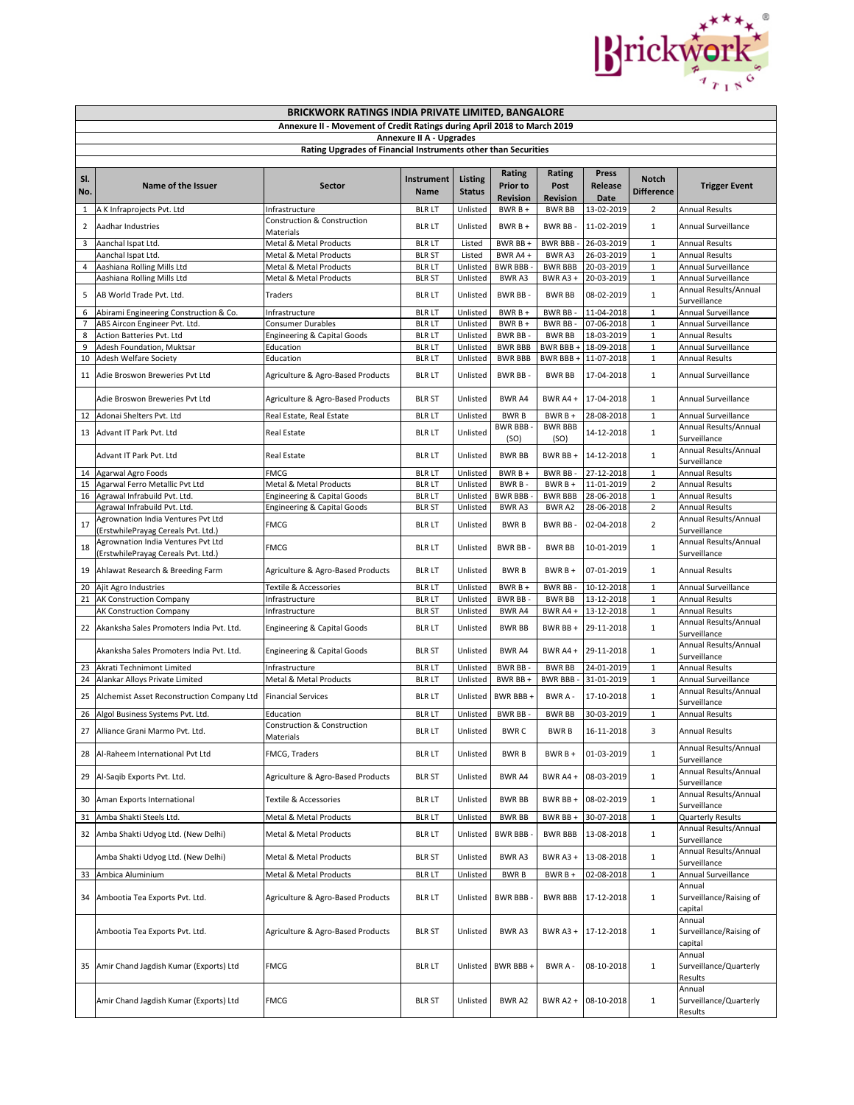

|                |                                                                                                                  | BRICKWORK RATINGS INDIA PRIVATE LIMITED, BANGALORE                       |                                 |                                 |                                              |                                   |                          |                                  |                                                              |
|----------------|------------------------------------------------------------------------------------------------------------------|--------------------------------------------------------------------------|---------------------------------|---------------------------------|----------------------------------------------|-----------------------------------|--------------------------|----------------------------------|--------------------------------------------------------------|
|                |                                                                                                                  | Annexure II - Movement of Credit Ratings during April 2018 to March 2019 |                                 |                                 |                                              |                                   |                          |                                  |                                                              |
|                |                                                                                                                  | Rating Upgrades of Financial Instruments other than Securities           | <b>Annexure II A - Upgrades</b> |                                 |                                              |                                   |                          |                                  |                                                              |
|                |                                                                                                                  |                                                                          |                                 |                                 |                                              |                                   |                          |                                  |                                                              |
| SI.<br>No.     | Name of the Issuer                                                                                               | <b>Sector</b>                                                            | Instrument<br>Name              | <b>Listing</b><br><b>Status</b> | Rating<br><b>Prior to</b><br><b>Revision</b> | Rating<br>Post<br><b>Revision</b> | Press<br>Release<br>Date | Notch<br><b>Difference</b>       | <b>Trigger Event</b>                                         |
| $\mathbf{1}$   | A K Infraprojects Pvt. Ltd                                                                                       | Infrastructure                                                           | <b>BLR LT</b>                   | Unlisted                        | BWR B +                                      | <b>BWR BB</b>                     | 13-02-2019               | $\overline{2}$                   | <b>Annual Results</b>                                        |
| $\overline{2}$ | Aadhar Industries                                                                                                | Construction & Construction<br>Materials                                 | <b>BLR LT</b>                   | Unlisted                        | BWR B +                                      | <b>BWR BB</b>                     | 11-02-2019               | $\mathbf{1}$                     | Annual Surveillance                                          |
| 3              | Aanchal Ispat Ltd.                                                                                               | Metal & Metal Products                                                   | <b>BLR LT</b>                   | Listed                          | BWR BB +                                     | <b>BWR BBB-</b>                   | 26-03-2019               | $\mathbf{1}$                     | <b>Annual Results</b>                                        |
|                | Aanchal Ispat Ltd.                                                                                               | Metal & Metal Products                                                   | <b>BLR ST</b>                   | Listed                          | BWR A4+                                      | BWR A3                            | 26-03-2019               | $\mathbf 1$                      | <b>Annual Results</b>                                        |
| 4              | Aashiana Rolling Mills Ltd                                                                                       | Metal & Metal Products                                                   | <b>BLR LT</b>                   | Unlisted                        | <b>BWR BBB-</b>                              | <b>BWR BBB</b>                    | 20-03-2019               | $\mathbf 1$                      | Annual Surveillance                                          |
| 5              | Aashiana Rolling Mills Ltd<br>AB World Trade Pvt. Ltd.                                                           | Metal & Metal Products<br>Traders                                        | <b>BLR ST</b><br><b>BLR LT</b>  | Unlisted<br>Unlisted            | BWR A3<br><b>BWR BB-</b>                     | BWR A3 +<br><b>BWR BB</b>         | 20-03-2019<br>08-02-2019 | $\mathbf{1}$<br>$\mathbf{1}$     | Annual Surveillance<br>Annual Results/Annual<br>Surveillance |
| 6              | Abirami Engineering Construction & Co.                                                                           | Infrastructure                                                           | <b>BLR LT</b>                   | Unlisted                        | BWR B +                                      | BWR BB-                           | 11-04-2018               | $\mathbf 1$                      | Annual Surveillance                                          |
| $\overline{7}$ | ABS Aircon Engineer Pvt. Ltd.                                                                                    | Consumer Durables                                                        | <b>BLR LT</b>                   | Unlisted                        | $BWRB +$                                     | BWR BB-                           | 07-06-2018               | $\mathbf{1}$                     | Annual Surveillance                                          |
| 8              | Action Batteries Pvt. Ltd                                                                                        | <b>Engineering &amp; Capital Goods</b>                                   | <b>BLR LT</b>                   | Unlisted                        | BWR BB-                                      | <b>BWR BB</b>                     | 18-03-2019               | $\mathbf{1}$                     | <b>Annual Results</b>                                        |
| 9              | Adesh Foundation, Muktsar                                                                                        | Education                                                                | <b>BLR LT</b>                   | Unlisted                        | <b>BWR BBB</b>                               | BWR BBB +                         | 18-09-2018               | $1\,$                            | Annual Surveillance                                          |
| 10             | Adesh Welfare Society                                                                                            | Education                                                                | <b>BLR LT</b>                   | Unlisted                        | <b>BWR BBB</b>                               | BWR BBB +                         | 11-07-2018               | $\mathbf 1$                      | <b>Annual Results</b>                                        |
| 11             | Adie Broswon Breweries Pvt Ltd                                                                                   | Agriculture & Agro-Based Products                                        | <b>BLR LT</b>                   | Unlisted                        | BWR BB-                                      | <b>BWR BB</b>                     | 17-04-2018               | 1                                | Annual Surveillance                                          |
|                | Adie Broswon Breweries Pvt Ltd                                                                                   | Agriculture & Agro-Based Products                                        | <b>BLR ST</b>                   | Unlisted                        | BWR A4                                       | BWR A4 +                          | 17-04-2018               | $\mathbf{1}$                     | Annual Surveillance                                          |
| 12             | Adonai Shelters Pvt. Ltd                                                                                         | Real Estate, Real Estate                                                 | <b>BLR LT</b>                   | Unlisted                        | <b>BWRB</b>                                  | BWR B +                           | 28-08-2018               | $\mathbf{1}$                     | Annual Surveillance                                          |
| 13             | Advant IT Park Pvt. Ltd                                                                                          | Real Estate                                                              | <b>BLR LT</b>                   | Unlisted                        | <b>BWR BBB-</b><br>(SO)                      | <b>BWR BBB</b><br>(SO)            | 14-12-2018               | $\mathbf{1}$                     | Annual Results/Annual<br>Surveillance                        |
|                | Advant IT Park Pvt. Ltd                                                                                          | Real Estate                                                              | <b>BLR LT</b>                   | Unlisted                        | <b>BWR BB</b>                                | BWR BB+                           | 14-12-2018               | $\mathbf{1}$                     | Annual Results/Annual<br>Surveillance                        |
|                | 14 Agarwal Agro Foods                                                                                            | <b>FMCG</b>                                                              | <b>BLR LT</b>                   | Unlisted                        | $BWRB +$                                     | BWR BB-                           | 27-12-2018               | $\mathbf{1}$                     | <b>Annual Results</b>                                        |
| 15             | Agarwal Ferro Metallic Pvt Ltd                                                                                   | Metal & Metal Products                                                   | <b>BLR LT</b>                   | Unlisted                        | BWR B-                                       | BWR B +                           | 11-01-2019               | $\overline{2}$                   | <b>Annual Results</b>                                        |
| 16             | Agrawal Infrabuild Pvt. Ltd.                                                                                     | Engineering & Capital Goods                                              | <b>BLR LT</b>                   | Unlisted                        | BWR BBB-                                     | <b>BWR BBB</b>                    | 28-06-2018               | $\mathbf 1$                      | <b>Annual Results</b>                                        |
| 17             | Agrawal Infrabuild Pvt. Ltd.<br>Agrownation India Ventures Pvt Ltd                                               | <b>Engineering &amp; Capital Goods</b><br><b>FMCG</b>                    | <b>BLR ST</b><br><b>BLR LT</b>  | Unlisted<br>Unlisted            | BWR A3<br><b>BWRB</b>                        | BWR A2<br>BWR BB-                 | 28-06-2018<br>02-04-2018 | $\overline{2}$<br>$\overline{2}$ | <b>Annual Results</b><br>Annual Results/Annual               |
| 18             | (ErstwhilePrayag Cereals Pvt. Ltd.)<br>Agrownation India Ventures Pvt Ltd<br>(ErstwhilePrayag Cereals Pvt. Ltd.) | <b>FMCG</b>                                                              | <b>BLR LT</b>                   | Unlisted                        | <b>BWR BB-</b>                               | <b>BWR BB</b>                     | 10-01-2019               | $\mathbf{1}$                     | Surveillance<br>Annual Results/Annual<br>Surveillance        |
| 19             | Ahlawat Research & Breeding Farm                                                                                 | Agriculture & Agro-Based Products                                        | <b>BLR LT</b>                   | Unlisted                        | <b>BWRB</b>                                  | BWR B +                           | 07-01-2019               | $\mathbf{1}$                     | <b>Annual Results</b>                                        |
| 20             | Ajit Agro Industries                                                                                             | Textile & Accessories                                                    | <b>BLR LT</b>                   | Unlisted                        | BWR B +                                      | BWR BB-                           | 10-12-2018               | $\mathbf{1}$                     | Annual Surveillance                                          |
|                | 21 AK Construction Company                                                                                       | Infrastructure                                                           | <b>BLR LT</b>                   | Unlisted                        | BWR BB-                                      | <b>BWR BB</b>                     | 13-12-2018               | $\mathbf{1}$                     | <b>Annual Results</b>                                        |
|                | AK Construction Company                                                                                          | Infrastructure                                                           | <b>BLR ST</b>                   | Unlisted                        | BWR A4                                       | BWR A4 +                          | 13-12-2018               | $\mathbf 1$                      | <b>Annual Results</b>                                        |
|                | 22 Akanksha Sales Promoters India Pvt. Ltd.                                                                      | Engineering & Capital Goods                                              | <b>BLR LT</b>                   | Unlisted                        | <b>BWR BB</b>                                | BWR BB +                          | 29-11-2018               | $\mathbf{1}$                     | Annual Results/Annual<br>Surveillance                        |
|                | Akanksha Sales Promoters India Pvt. Ltd.                                                                         | <b>Engineering &amp; Capital Goods</b>                                   | <b>BLR ST</b>                   | Unlisted                        | BWR A4                                       | BWR A4 +                          | 29-11-2018               | $\mathbf{1}$                     | Annual Results/Annual<br>Surveillance                        |
| 23             | Akrati Technimont Limited                                                                                        | Infrastructure<br>Metal & Metal Products                                 | <b>BLR LT</b><br><b>BLR LT</b>  | Unlisted<br>Unlisted            | <b>BWR BB-</b><br>BWR BB +                   | <b>BWR BB</b><br><b>BWR BBB-</b>  | 24-01-2019<br>31-01-2019 | $\mathbf{1}$<br>$\mathbf{1}$     | <b>Annual Results</b><br>Annual Surveillance                 |
| 24<br>25       | Alankar Alloys Private Limited<br>Alchemist Asset Reconstruction Company Ltd                                     | <b>Financial Services</b>                                                | <b>BLR LT</b>                   | Unlisted                        | BWR BBB +                                    | BWR A -                           | 17-10-2018               | $\mathbf{1}$                     | Annual Results/Annual<br>Surveillance                        |
| 26             | Algol Business Systems Pvt. Ltd.                                                                                 | Education                                                                | <b>BLR LT</b>                   | Unlisted                        | BWR BB-                                      | <b>BWR BB</b>                     | 30-03-2019               | $\mathbf{1}$                     | <b>Annual Results</b>                                        |
| 27             | Alliance Grani Marmo Pvt. Ltd.                                                                                   | Construction & Construction<br>Materials                                 | blr lt                          | Unlisted                        | <b>BWRC</b>                                  | <b>BWRB</b>                       | 16-11-2018               | 3                                | <b>Annual Results</b>                                        |
|                | 28 Al-Raheem International Pvt Ltd                                                                               | FMCG, Traders                                                            | <b>BLR LT</b>                   | Unlisted                        | <b>BWRB</b>                                  | BWR B +                           | 01-03-2019               | $\mathbf{1}$                     | Annual Results/Annual<br>Surveillance                        |
|                | 29 Al-Saqib Exports Pvt. Ltd.                                                                                    | Agriculture & Agro-Based Products                                        | <b>BLR ST</b>                   | Unlisted                        | BWR A4                                       | BWR A4+                           | 08-03-2019               | $\mathbf{1}$                     | Annual Results/Annual<br>Surveillance                        |
|                | 30 Aman Exports International                                                                                    | Textile & Accessories                                                    | <b>BLR LT</b>                   | Unlisted                        | <b>BWR BB</b>                                | BWR BB +                          | 08-02-2019               | $\mathbf{1}$                     | Annual Results/Annual<br>Surveillance                        |
|                | 31 Amba Shakti Steels Ltd.                                                                                       | Metal & Metal Products                                                   | <b>BLR LT</b>                   | Unlisted                        | <b>BWR BB</b>                                | BWR BB +                          | 30-07-2018               | $\mathbf{1}$                     | Quarterly Results                                            |
|                | 32 Amba Shakti Udyog Ltd. (New Delhi)                                                                            | Metal & Metal Products                                                   | <b>BLR LT</b>                   | Unlisted                        | <b>BWR BBB</b>                               | <b>BWR BBB</b>                    | 13-08-2018               | $\mathbf{1}$                     | Annual Results/Annual<br>Surveillance                        |
|                | Amba Shakti Udyog Ltd. (New Delhi)                                                                               | Metal & Metal Products                                                   | <b>BLR ST</b>                   | Unlisted                        | BWR A3                                       | <b>BWR A3 +</b>                   | 13-08-2018               | $\mathbf{1}$                     | Annual Results/Annual<br>Surveillance                        |
|                | 33 Ambica Aluminium                                                                                              | Metal & Metal Products                                                   | <b>BLR LT</b>                   | Unlisted                        | <b>BWRB</b>                                  | $BWRB +$                          | 02-08-2018               | 1                                | Annual Surveillance                                          |
|                | 34 Ambootia Tea Exports Pvt. Ltd.                                                                                | Agriculture & Agro-Based Products                                        | <b>BLR LT</b>                   | Unlisted                        | BWR BBB -                                    | <b>BWR BBB</b>                    | 17-12-2018               | 1                                | Annual<br>Surveillance/Raising of<br>capital                 |
|                | Ambootia Tea Exports Pvt. Ltd.                                                                                   | Agriculture & Agro-Based Products                                        | <b>BLR ST</b>                   | Unlisted                        | BWR A3                                       | BWR A3+                           | 17-12-2018               | $\mathbf{1}$                     | Annual<br>Surveillance/Raising of<br>capital                 |
|                | 35 Amir Chand Jagdish Kumar (Exports) Ltd                                                                        | <b>FMCG</b>                                                              | <b>BLR LT</b>                   | Unlisted                        | BWR BBB+                                     | BWR A -                           | 08-10-2018               | $\mathbf{1}$                     | Annual<br>Surveillance/Quarterly<br>Results                  |
|                | Amir Chand Jagdish Kumar (Exports) Ltd                                                                           | <b>FMCG</b>                                                              | <b>BLR ST</b>                   | Unlisted                        | BWR A2                                       | <b>BWR A2 +</b>                   | 08-10-2018               | $\mathbf{1}$                     | Annual<br>Surveillance/Quarterly<br>Results                  |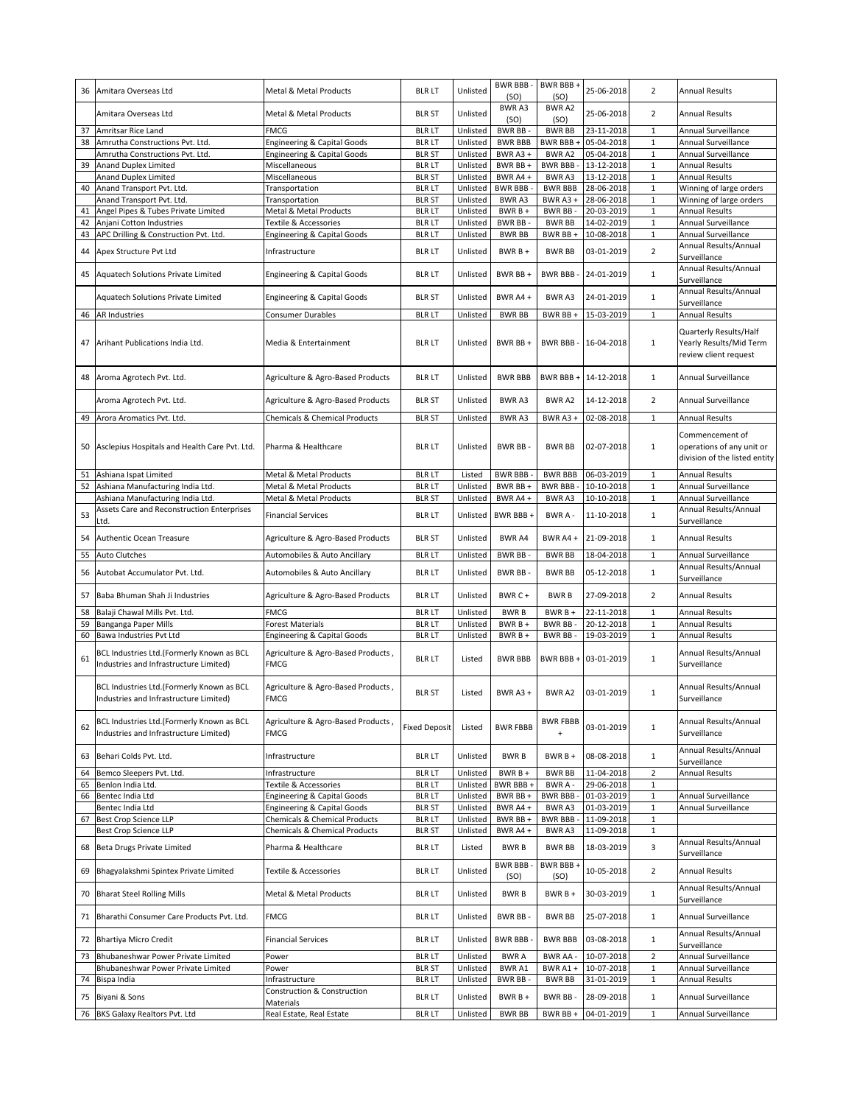| 36 | Amitara Overseas Ltd                                                                | Metal & Metal Products                            | <b>BLR LT</b>        | Unlisted | <b>BWR BBB-</b><br>(SO) | BWR BBB+<br>(SO)  | 25-06-2018           | $\overline{2}$ | <b>Annual Results</b>                                                         |
|----|-------------------------------------------------------------------------------------|---------------------------------------------------|----------------------|----------|-------------------------|-------------------|----------------------|----------------|-------------------------------------------------------------------------------|
|    | Amitara Overseas Ltd                                                                | Metal & Metal Products                            | <b>BLR ST</b>        | Unlisted | BWR A3<br>(SO)          | BWR A2<br>(SO)    | 25-06-2018           | $\overline{2}$ | <b>Annual Results</b>                                                         |
| 37 | Amritsar Rice Land                                                                  | <b>FMCG</b>                                       | <b>BLR LT</b>        | Unlisted | BWR BB-                 | <b>BWR BB</b>     | 23-11-2018           | $\mathbf 1$    | Annual Surveillance                                                           |
| 38 | Amrutha Constructions Pvt. Ltd.                                                     | Engineering & Capital Goods                       | <b>BLR LT</b>        | Unlisted | <b>BWR BBB</b>          | BWR BBB +         | 05-04-2018           | $\mathbf 1$    | Annual Surveillance                                                           |
|    | Amrutha Constructions Pvt. Ltd.                                                     | <b>Engineering &amp; Capital Goods</b>            | <b>BLR ST</b>        | Unlisted | BWR A3+                 | BWR A2            | 05-04-2018           | $\mathbf 1$    | Annual Surveillance                                                           |
| 39 | <b>Anand Duplex Limited</b>                                                         | Miscellaneous                                     | <b>BLR LT</b>        | Unlisted | BWR BB +                | <b>BWR BBB-</b>   | 13-12-2018           | $\mathbf{1}$   | <b>Annual Results</b>                                                         |
|    | <b>Anand Duplex Limited</b>                                                         | Miscellaneous                                     | <b>BLR ST</b>        | Unlisted | BWR A4 +                | BWR A3            | 13-12-2018           | $\mathbf 1$    | <b>Annual Results</b>                                                         |
| 40 | Anand Transport Pvt. Ltd.                                                           | Transportation                                    | <b>BLR LT</b>        | Unlisted | <b>BWR BBB-</b>         | <b>BWR BBB</b>    | 28-06-2018           | $\mathbf 1$    | Winning of large orders                                                       |
|    | Anand Transport Pvt. Ltd.                                                           | Transportation                                    | <b>BLR ST</b>        | Unlisted | <b>BWRA3</b>            | BWR A3+           | 28-06-2018           | $\mathbf 1$    | Winning of large orders                                                       |
| 41 | Angel Pipes & Tubes Private Limited                                                 | Metal & Metal Products                            | <b>BLR LT</b>        | Unlisted | BWR B +                 | BWR BB            | 20-03-2019           | 1              | <b>Annual Results</b>                                                         |
| 42 | Anjani Cotton Industries                                                            | Textile & Accessories                             | <b>BLR LT</b>        | Unlisted | BWR BB-                 | <b>BWR BB</b>     | 14-02-2019           | $\mathbf 1$    | Annual Surveillance                                                           |
| 43 | APC Drilling & Construction Pvt. Ltd.                                               | Engineering & Capital Goods                       | <b>BLR LT</b>        | Unlisted | <b>BWR BB</b>           | BWR BB+           | 10-08-2018           | $\mathbf 1$    | Annual Surveillance                                                           |
| 44 | Apex Structure Pvt Ltd                                                              | Infrastructure                                    | <b>BLR LT</b>        | Unlisted | $BWRB +$                | <b>BWR BB</b>     | 03-01-2019           | $\overline{2}$ | Annual Results/Annual<br>Surveillance                                         |
| 45 | Aquatech Solutions Private Limited                                                  | <b>Engineering &amp; Capital Goods</b>            | <b>BLR LT</b>        | Unlisted | BWR BB+                 | <b>BWR BBB-</b>   | 24-01-2019           | $1\,$          | Annual Results/Annual<br>Surveillance                                         |
|    | Aquatech Solutions Private Limited                                                  | <b>Engineering &amp; Capital Goods</b>            | <b>BLR ST</b>        | Unlisted | BWR A4+                 | BWR A3            | 24-01-2019           | $\mathbf{1}$   | Annual Results/Annual<br>Surveillance                                         |
|    | 46 AR Industries                                                                    | Consumer Durables                                 | <b>BLR LT</b>        | Unlisted | <b>BWR BB</b>           | BWR BB+           | 15-03-2019           | $\mathbf 1$    | <b>Annual Results</b>                                                         |
| 47 | Arihant Publications India Ltd.                                                     | Media & Entertainment                             | BLR LT               | Unlisted | BWR BB +                |                   | BWR BBB - 16-04-2018 | $\mathbf{1}$   | Quarterly Results/Half<br>Yearly Results/Mid Term<br>review client request    |
|    | 48 Aroma Agrotech Pvt. Ltd.                                                         | Agriculture & Agro-Based Products                 | <b>BLR LT</b>        | Unlisted | <b>BWR BBB</b>          |                   | BWR BBB + 14-12-2018 | $\mathbf{1}$   | Annual Surveillance                                                           |
|    | Aroma Agrotech Pvt. Ltd.                                                            | Agriculture & Agro-Based Products                 | <b>BLR ST</b>        | Unlisted | <b>BWRA3</b>            | BWR A2            | 14-12-2018           | $\overline{2}$ | Annual Surveillance                                                           |
| 49 | Arora Aromatics Pvt. Ltd.                                                           | Chemicals & Chemical Products                     | <b>BLR ST</b>        | Unlisted | BWR A3                  | BWR A3+           | 02-08-2018           | $\mathbf 1$    | <b>Annual Results</b>                                                         |
|    | 50 Asclepius Hospitals and Health Care Pvt. Ltd.                                    | Pharma & Healthcare                               | <b>BLR LT</b>        | Unlisted | <b>BWR BB</b>           | <b>BWR BB</b>     | 02-07-2018           | $\mathbf{1}$   | Commencement of<br>operations of any unit or<br>division of the listed entity |
|    | 51 Ashiana Ispat Limited                                                            | Metal & Metal Products                            | <b>BLR LT</b>        | Listed   | <b>BWR BBB</b>          | <b>BWR BBB</b>    | 06-03-2019           | $\mathbf{1}$   | <b>Annual Results</b>                                                         |
|    | 52 Ashiana Manufacturing India Ltd.                                                 | Metal & Metal Products                            | <b>BLR LT</b>        | Unlisted | BWR BB +                | BWR BBB -         | 10-10-2018           | $\mathbf 1$    | Annual Surveillance                                                           |
|    | Ashiana Manufacturing India Ltd.                                                    | Metal & Metal Products                            | <b>BLR ST</b>        | Unlisted | BWR A4 +                | BWR A3            | 10-10-2018           | $\mathbf 1$    | Annual Surveillance                                                           |
|    | Assets Care and Reconstruction Enterprises                                          |                                                   |                      |          |                         |                   |                      |                | Annual Results/Annual                                                         |
| 53 | Ltd.                                                                                | <b>Financial Services</b>                         | <b>BLR LT</b>        | Unlisted | BWR BBB +               | BWR A -           | 11-10-2018           | $\mathbf{1}$   | Surveillance                                                                  |
| 54 | Authentic Ocean Treasure                                                            | Agriculture & Agro-Based Products                 | <b>BLR ST</b>        | Unlisted | <b>BWR A4</b>           | BWR A4 +          | 21-09-2018           | $\mathbf{1}$   | <b>Annual Results</b>                                                         |
| 55 | Auto Clutches                                                                       | Automobiles & Auto Ancillary                      | <b>BLR LT</b>        | Unlisted | <b>BWR BB-</b>          | <b>BWR BB</b>     | 18-04-2018           | $\mathbf{1}$   | Annual Surveillance                                                           |
| 56 | Autobat Accumulator Pvt. Ltd.                                                       | Automobiles & Auto Ancillary                      | <b>BLR LT</b>        | Unlisted | BWR BB-                 | <b>BWR BB</b>     | 05-12-2018           | $\mathbf{1}$   | Annual Results/Annual<br>Surveillance                                         |
| 57 | Baba Bhuman Shah Ji Industries                                                      | Agriculture & Agro-Based Products                 | <b>BLR LT</b>        | Unlisted | BWR C +                 | <b>BWRB</b>       | 27-09-2018           | $\overline{2}$ | <b>Annual Results</b>                                                         |
|    | 58 Balaji Chawal Mills Pvt. Ltd.                                                    | <b>FMCG</b>                                       | <b>BLR LT</b>        | Unlisted | <b>BWRB</b>             | BWR B +           | 22-11-2018           | $\mathbf{1}$   | <b>Annual Results</b>                                                         |
| 59 | Banganga Paper Mills                                                                | <b>Forest Materials</b>                           | <b>BLR LT</b>        | Unlisted | BWR B +                 | BWR BB-           | 20-12-2018           | $\,1\,$        | <b>Annual Results</b>                                                         |
| 60 | Bawa Industries Pvt Ltd                                                             | Engineering & Capital Goods                       | <b>BLR LT</b>        | Unlisted | BWR B +                 | <b>BWR BB</b>     | 19-03-2019           | $\mathbf 1$    | <b>Annual Results</b>                                                         |
| 61 | BCL Industries Ltd.(Formerly Known as BCL<br>Industries and Infrastructure Limited) | Agriculture & Agro-Based Products,<br><b>FMCG</b> | <b>BLR LT</b>        | Listed   | <b>BWR BBB</b>          | BWR BBB+          | 03-01-2019           | $\mathbf{1}$   | Annual Results/Annual<br>Surveillance                                         |
|    | BCL Industries Ltd.(Formerly Known as BCL<br>Industries and Infrastructure Limited) | Agriculture & Agro-Based Products,<br><b>FMCG</b> | <b>BLR ST</b>        | Listed   | BWR A3+                 | BWR A2            | 03-01-2019           | $\mathbf 1$    | Annual Results/Annual<br>Surveillance                                         |
| 62 | BCL Industries Ltd.(Formerly Known as BCL<br>Industries and Infrastructure Limited) | Agriculture & Agro-Based Products,<br>FMCG        | <b>Fixed Deposit</b> | Listed   | <b>BWR FBBB</b>         | <b>BWR FBBB</b>   | 03-01-2019           | $\mathbf{1}$   | Annual Results/Annual<br>Surveillance                                         |
| 63 | Behari Colds Pvt. Ltd.                                                              | Infrastructure                                    | <b>BLR LT</b>        | Unlisted | <b>BWRB</b>             | $BWRB +$          | 08-08-2018           | $\mathbf{1}$   | Annual Results/Annual<br>Surveillance                                         |
| 64 | Bemco Sleepers Pvt. Ltd.                                                            | Infrastructure                                    | <b>BLR LT</b>        | Unlisted | BWR B +                 | <b>BWR BB</b>     | 11-04-2018           | $\overline{2}$ | <b>Annual Results</b>                                                         |
| 65 | Benlon India Ltd.                                                                   | Textile & Accessories                             | <b>BLR LT</b>        | Unlisted | BWR BBB +               | BWR A-            | 29-06-2018           | $\mathbf{1}$   |                                                                               |
|    | 66 Bentec India Ltd                                                                 | Engineering & Capital Goods                       | <b>BLR LT</b>        | Unlisted | BWR BB +                | <b>BWR BBB-</b>   | 01-03-2019           | $\mathbf 1$    | Annual Surveillance                                                           |
|    | Bentec India Ltd                                                                    | <b>Engineering &amp; Capital Goods</b>            | <b>BLR ST</b>        | Unlisted | BWR A4+                 | BWR A3            | 01-03-2019           | $\mathbf 1$    | Annual Surveillance                                                           |
| 67 | <b>Best Crop Science LLP</b>                                                        | <b>Chemicals &amp; Chemical Products</b>          | <b>BLR LT</b>        | Unlisted | BWR BB +                | BWR BBB -         | 11-09-2018           | $\mathbf 1$    |                                                                               |
|    | Best Crop Science LLP                                                               | <b>Chemicals &amp; Chemical Products</b>          | <b>BLR ST</b>        | Unlisted | BWR A4 +                | BWR A3            | 11-09-2018           | $\mathbf 1$    |                                                                               |
| 68 | <b>Beta Drugs Private Limited</b>                                                   | Pharma & Healthcare                               | <b>BLR LT</b>        | Listed   | <b>BWRB</b>             | <b>BWR BB</b>     | 18-03-2019           | 3              | Annual Results/Annual<br>Surveillance                                         |
| 69 | Bhagyalakshmi Spintex Private Limited                                               | <b>Textile &amp; Accessories</b>                  | <b>BLR LT</b>        | Unlisted | BWR BBB -<br>(SO)       | BWR BBB +<br>(SO) | 10-05-2018           | $\overline{2}$ | <b>Annual Results</b>                                                         |
| 70 | <b>Bharat Steel Rolling Mills</b>                                                   | Metal & Metal Products                            | <b>BLR LT</b>        | Unlisted | <b>BWRB</b>             | $BWRB +$          | 30-03-2019           | $\mathbf{1}$   | Annual Results/Annual<br>Surveillance                                         |
| 71 | Bharathi Consumer Care Products Pvt. Ltd.                                           | <b>FMCG</b>                                       | <b>BLR LT</b>        | Unlisted | BWR BB-                 | <b>BWR BB</b>     | 25-07-2018           | $\mathbf{1}$   | Annual Surveillance                                                           |
|    | 72 Bhartiya Micro Credit                                                            | <b>Financial Services</b>                         | <b>BLR LT</b>        | Unlisted | <b>BWR BBB</b>          | <b>BWR BBB</b>    | 03-08-2018           | $\mathbf{1}$   | Annual Results/Annual<br>Surveillance                                         |
| 73 | Bhubaneshwar Power Private Limited                                                  | Power                                             | <b>BLR LT</b>        | Unlisted | <b>BWRA</b>             | <b>BWR AA-</b>    | 10-07-2018           | $\overline{2}$ | Annual Surveillance                                                           |
|    | Bhubaneshwar Power Private Limited                                                  | Power                                             | <b>BLR ST</b>        | Unlisted | BWR A1                  | BWR A1+           | 10-07-2018           | $\mathbf 1$    | Annual Surveillance                                                           |
| 74 | Bispa India                                                                         | Infrastructure                                    | <b>BLR LT</b>        | Unlisted | BWR BB-                 | <b>BWR BB</b>     | 31-01-2019           | $\mathbf 1$    | <b>Annual Results</b>                                                         |
|    | 75 Biyani & Sons                                                                    | Construction & Construction<br>Materials          | <b>BLR LT</b>        | Unlisted | $BWRB +$                | <b>BWR BB</b>     | 28-09-2018           | $\mathbf{1}$   | Annual Surveillance                                                           |
|    | 76 BKS Galaxy Realtors Pvt. Ltd                                                     | Real Estate, Real Estate                          | <b>BLR LT</b>        | Unlisted | <b>BWR BB</b>           | BWR BB +          | 04-01-2019           | $\mathbf{1}$   | Annual Surveillance                                                           |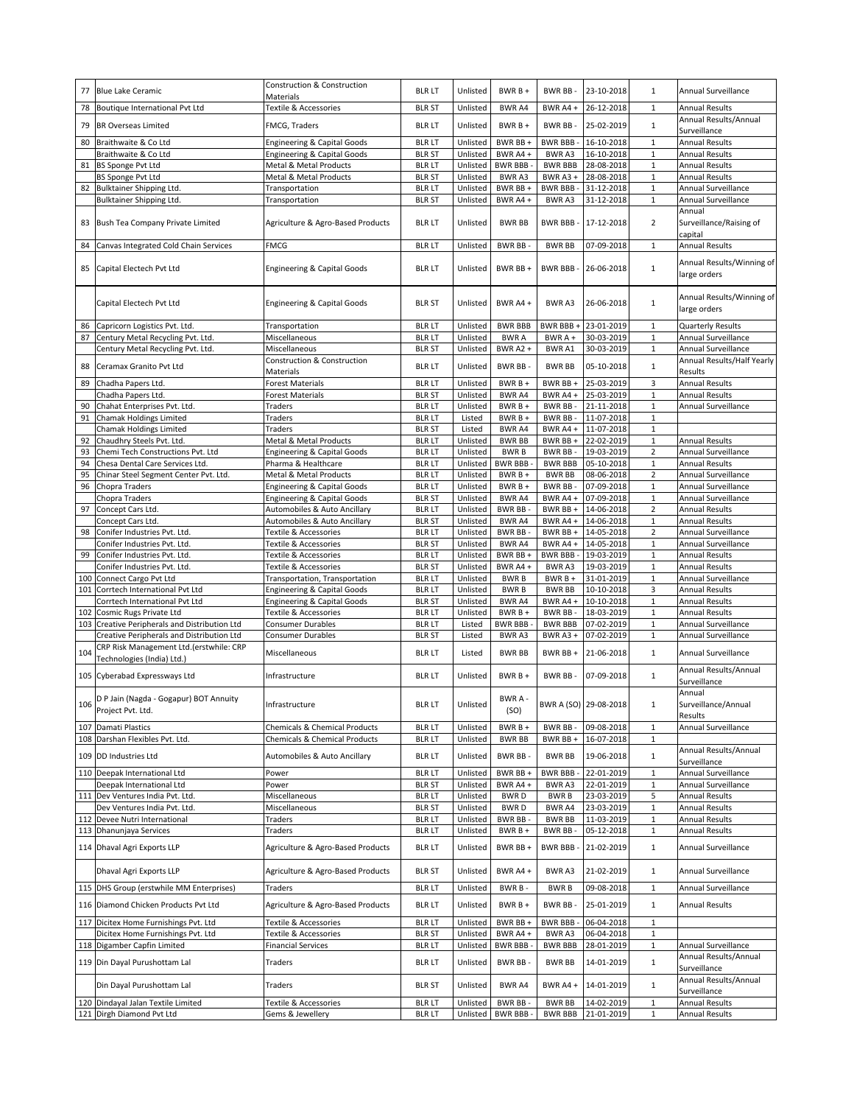|     | 77 Blue Lake Ceramic                                            | <b>Construction &amp; Construction</b>    | <b>BLR LT</b>                  | Unlisted             | $BWRB +$             | BWR BB-                         | 23-10-2018               | $\mathbf{1}$            | Annual Surveillance                            |
|-----|-----------------------------------------------------------------|-------------------------------------------|--------------------------------|----------------------|----------------------|---------------------------------|--------------------------|-------------------------|------------------------------------------------|
|     |                                                                 | Materials                                 |                                |                      |                      |                                 |                          |                         |                                                |
| 78  | Boutique International Pvt Ltd                                  | Textile & Accessories                     | <b>BLR ST</b>                  | Unlisted             | BWR A4               | BWR A4 +                        | 26-12-2018               | $\mathbf{1}$            | <b>Annual Results</b>                          |
|     |                                                                 |                                           |                                |                      |                      |                                 |                          |                         | Annual Results/Annual                          |
| 79  | <b>BR Overseas Limited</b>                                      | FMCG, Traders                             | <b>BLR LT</b>                  | Unlisted             | $BWRB +$             | BWR BB-                         | 25-02-2019               | $\mathbf{1}$            | Surveillance                                   |
|     | 80 Braithwaite & Co Ltd                                         | Engineering & Capital Goods               | <b>BLR LT</b>                  | Unlisted             | BWR BB +             | <b>BWR BBB-</b>                 | 16-10-2018               | $\mathbf{1}$            | Annual Results                                 |
|     | Braithwaite & Co Ltd                                            |                                           | <b>BLR ST</b>                  | Unlisted             | BWR A4+              | <b>BWRA3</b>                    | 16-10-2018               | $\mathbf{1}$            | <b>Annual Results</b>                          |
|     |                                                                 | Engineering & Capital Goods               |                                |                      |                      |                                 |                          |                         |                                                |
| 81  | <b>BS Sponge Pvt Ltd</b>                                        | Metal & Metal Products                    | <b>BLR LT</b>                  | Unlisted             | <b>BWR BBB</b>       | <b>BWR BBB</b>                  | 28-08-2018               | $1\,$                   | <b>Annual Results</b>                          |
|     | <b>BS Sponge Pvt Ltd</b>                                        | Metal & Metal Products                    | <b>BLR ST</b>                  | Unlisted             | <b>BWRA3</b>         | BWR A3+                         | 28-08-2018               | $\mathbf{1}$            | <b>Annual Results</b>                          |
|     | 82 Bulktainer Shipping Ltd.                                     | Transportation                            | <b>BLR LT</b>                  | Unlisted             | BWR BB +             | <b>BWR BBB-</b>                 | 31-12-2018               | $\mathbf{1}$            | Annual Surveillance                            |
|     | Bulktainer Shipping Ltd.                                        | Transportation                            | <b>BLR ST</b>                  | Unlisted             | BWR A4+              | BWR A3                          | 31-12-2018               | $\mathbf 1$             | Annual Surveillance                            |
|     |                                                                 |                                           |                                |                      |                      |                                 |                          |                         | Annual                                         |
|     | 83 Bush Tea Company Private Limited                             | Agriculture & Agro-Based Products         | <b>BLR LT</b>                  | Unlisted             | <b>BWR BB</b>        | BWR BBB -                       | 17-12-2018               | $\overline{2}$          | Surveillance/Raising of                        |
|     |                                                                 |                                           |                                |                      |                      |                                 |                          |                         | capital                                        |
|     | Canvas Integrated Cold Chain Services                           | FMCG                                      | <b>BLR LT</b>                  | Unlisted             | <b>BWR BB</b>        | <b>BWR BB</b>                   | 07-09-2018               | $\mathbf{1}$            | Annual Results                                 |
| 84  |                                                                 |                                           |                                |                      |                      |                                 |                          |                         |                                                |
|     |                                                                 |                                           |                                |                      |                      |                                 |                          |                         | Annual Results/Winning of                      |
| 85  | Capital Electech Pvt Ltd                                        | <b>Engineering &amp; Capital Goods</b>    | <b>BLR LT</b>                  | Unlisted             | BWR BB+              | BWR BBB-                        | 26-06-2018               | $\mathbf{1}$            | large orders                                   |
|     |                                                                 |                                           |                                |                      |                      |                                 |                          |                         |                                                |
|     |                                                                 |                                           |                                |                      |                      |                                 |                          |                         | Annual Results/Winning of                      |
|     | Capital Electech Pvt Ltd                                        | Engineering & Capital Goods               | <b>BLR ST</b>                  | Unlisted             | BWR A4+              | BWR A3                          | 26-06-2018               | $\mathbf{1}$            |                                                |
|     |                                                                 |                                           |                                |                      |                      |                                 |                          |                         | large orders                                   |
| 86  | Capricorn Logistics Pvt. Ltd.                                   | Transportation                            | <b>BLR LT</b>                  | Unlisted             | <b>BWR BBB</b>       | BWR BBB +                       | 23-01-2019               | $\mathbf{1}$            | <b>Quarterly Results</b>                       |
| 87  | Century Metal Recycling Pvt. Ltd.                               | Miscellaneous                             | <b>BLR LT</b>                  | Unlisted             | <b>BWRA</b>          | BWR A +                         | 30-03-2019               | $\mathbf{1}$            | Annual Surveillance                            |
|     |                                                                 |                                           |                                |                      |                      |                                 |                          |                         |                                                |
|     | Century Metal Recycling Pvt. Ltd.                               | Miscellaneous                             | <b>BLR ST</b>                  | Unlisted             | BWR A2+              | BWR A1                          | 30-03-2019               | $\mathbf{1}$            | Annual Surveillance                            |
| 88  | Ceramax Granito Pvt Ltd                                         | Construction & Construction               | <b>BLR LT</b>                  | Unlisted             | BWR BB-              | <b>BWR BB</b>                   | 05-10-2018               | $\mathbf 1$             | Annual Results/Half Yearly                     |
|     |                                                                 | Materials                                 |                                |                      |                      |                                 |                          |                         | Results                                        |
| 89  | Chadha Papers Ltd.                                              | <b>Forest Materials</b>                   | <b>BLR LT</b>                  | Unlisted             | $BWRB +$             | BWR BB +                        | 25-03-2019               | 3                       | <b>Annual Results</b>                          |
|     | Chadha Papers Ltd.                                              | <b>Forest Materials</b>                   | <b>BLR ST</b>                  | Unlisted             | BWR A4               | BWR A4 +                        | 25-03-2019               | $\,1\,$                 | <b>Annual Results</b>                          |
| 90  | Chahat Enterprises Pvt. Ltd.                                    | Traders                                   | <b>BLR LT</b>                  | Unlisted             | $BWRB +$             | BWR BB-                         | 21-11-2018               | $\mathbf 1$             | Annual Surveillance                            |
| 91  | Chamak Holdings Limited                                         | Traders                                   | <b>BLR LT</b>                  | Listed               | $BWRB+$              | BWR BB-                         | 11-07-2018               | $\mathbf{1}$            |                                                |
|     | <b>Chamak Holdings Limited</b>                                  | Traders                                   | <b>BLR ST</b>                  | Listed               | BWR A4               | BWR A4 +                        | 11-07-2018               | $\mathbf 1$             |                                                |
|     |                                                                 |                                           |                                |                      |                      |                                 |                          |                         |                                                |
| 92  | Chaudhry Steels Pvt. Ltd.                                       | Metal & Metal Products                    | <b>BLR LT</b>                  | Unlisted             | <b>BWR BB</b>        | BWR BB+                         | 22-02-2019               | $\mathbf{1}$            | <b>Annual Results</b>                          |
| 93  | Chemi Tech Constructions Pvt. Ltd                               | Engineering & Capital Goods               | <b>BLR LT</b>                  | Unlisted             | <b>BWRB</b>          | BWR BB -                        | 19-03-2019               | $\overline{2}$          | Annual Surveillance                            |
| 94  | Chesa Dental Care Services Ltd.                                 | Pharma & Healthcare                       | <b>BLR LT</b>                  | Unlisted             | <b>BWR BBB</b>       | <b>BWR BBB</b>                  | 05-10-2018               | $\mathbf{1}$            | <b>Annual Results</b>                          |
| 95  | Chinar Steel Segment Center Pvt. Ltd.                           | Metal & Metal Products                    | <b>BLR LT</b>                  | Unlisted             | BWR B +              | <b>BWR BB</b>                   | 08-06-2018               | $\overline{2}$          | Annual Surveillance                            |
| 96  | Chopra Traders                                                  | Engineering & Capital Goods               | <b>BLR LT</b>                  | Unlisted             | BWR B +              | BWR BB-                         | 07-09-2018               | $\mathbf{1}$            | Annual Surveillance                            |
|     | Chopra Traders                                                  | <b>Engineering &amp; Capital Goods</b>    | <b>BLR ST</b>                  | Unlisted             | BWR A4               | BWR A4 +                        | 07-09-2018               | $\,1\,$                 | Annual Surveillance                            |
| 97  | Concept Cars Ltd.                                               | Automobiles & Auto Ancillary              | <b>BLR LT</b>                  | Unlisted             | BWR BB-              | BWR BB +                        | 14-06-2018               | $\overline{2}$          | <b>Annual Results</b>                          |
|     | Concept Cars Ltd.                                               | Automobiles & Auto Ancillary              | <b>BLR ST</b>                  | Unlisted             | BWR A4               | BWR A4 +                        | 14-06-2018               | $\,1\,$                 | <b>Annual Results</b>                          |
| 98  | Conifer Industries Pvt. Ltd.                                    | Textile & Accessories                     | <b>BLR LT</b>                  | Unlisted             | BWR BB-              | BWR BB +                        | 14-05-2018               | $\overline{2}$          | Annual Surveillance                            |
|     | Conifer Industries Pvt. Ltd.                                    | Textile & Accessories                     | <b>BLR ST</b>                  | Unlisted             | BWR A4               | BWR A4 +                        | 14-05-2018               | $\mathbf{1}$            | Annual Surveillance                            |
| 99  | Conifer Industries Pvt. Ltd.                                    | Textile & Accessories                     | <b>BLR LT</b>                  | Unlisted             | BWR BB +             | <b>BWR BBB-</b>                 | 19-03-2019               | $\,1\,$                 | <b>Annual Results</b>                          |
|     | Conifer Industries Pvt. Ltd.                                    | Textile & Accessories                     | <b>BLR ST</b>                  | Unlisted             | BWR A4+              | BWR A3                          | 19-03-2019               | $\mathbf 1$             | <b>Annual Results</b>                          |
|     | 100 Connect Cargo Pvt Ltd                                       | Transportation, Transportation            | <b>BLR LT</b>                  | Unlisted             | <b>BWRB</b>          | $BWRB +$                        | 31-01-2019               | $\,1\,$                 | Annual Surveillance                            |
|     |                                                                 |                                           |                                |                      |                      |                                 |                          |                         |                                                |
|     |                                                                 |                                           |                                |                      |                      |                                 |                          |                         |                                                |
| 101 | Corrtech International Pvt Ltd                                  | <b>Engineering &amp; Capital Goods</b>    | <b>BLR LT</b>                  | Unlisted             | <b>BWRB</b>          | <b>BWR BB</b>                   | 10-10-2018               | $\overline{\mathbf{3}}$ | <b>Annual Results</b>                          |
|     | Corrtech International Pvt Ltd                                  | <b>Engineering &amp; Capital Goods</b>    | <b>BLR ST</b>                  | Unlisted             | BWR A4               | BWR A4 +                        | 10-10-2018               | $\mathbf 1$             | <b>Annual Results</b>                          |
| 102 | Cosmic Rugs Private Ltd                                         | Textile & Accessories                     | <b>BLR LT</b>                  | Unlisted             | $BWRB +$             | BWR BB-                         | 18-03-2019               | $\mathbf 1$             | <b>Annual Results</b>                          |
| 103 | Creative Peripherals and Distribution Ltd                       | <b>Consumer Durables</b>                  | <b>BLR LT</b>                  | Listed               | <b>BWR BBB</b>       | <b>BWR BBB</b>                  | 07-02-2019               | $\mathbf 1$             | Annual Surveillance                            |
|     | Creative Peripherals and Distribution Ltd                       | Consumer Durables                         | <b>BLR ST</b>                  | Listed               | BWR A3               | BWR A3+                         | 07-02-2019               | $\mathbf{1}$            | Annual Surveillance                            |
|     | CRP Risk Management Ltd.(erstwhile: CRP                         |                                           |                                |                      |                      |                                 |                          |                         |                                                |
| 104 | Technologies (India) Ltd.)                                      | Miscellaneous                             | <b>BLR LT</b>                  | Listed               | <b>BWR BB</b>        | BWR BB+                         | 21-06-2018               | $\mathbf{1}$            | Annual Surveillance                            |
|     |                                                                 |                                           |                                |                      |                      |                                 |                          |                         | Annual Results/Annual                          |
|     | 105 Cyberabad Expressways Ltd                                   | Infrastructure                            | <b>BLR LT</b>                  | Unlisted             | $BWRB+$              | <b>BWR BB</b>                   | 07-09-2018               | $\mathbf 1$             | Surveillance                                   |
|     |                                                                 |                                           |                                |                      |                      |                                 |                          |                         |                                                |
|     | D P Jain (Nagda - Gogapur) BOT Annuity                          |                                           |                                |                      | BWR A-               |                                 |                          |                         | Annual                                         |
|     |                                                                 | Infrastructure                            | blr lt                         | Unlisted             | (SO)                 | BWR A (SO) 29-08-2018           |                          |                         | Surveillance/Annual                            |
|     | 106 Project Pvt. Ltd.                                           |                                           |                                |                      |                      |                                 |                          |                         | Results                                        |
|     | 107 Damati Plastics                                             | <b>Chemicals &amp; Chemical Products</b>  | <b>BLR LT</b>                  | Unlisted             | $BWRB +$             | <b>BWR BB</b>                   | 09-08-2018               | $\mathbf{1}$            | Annual Surveillance                            |
|     | 108 Darshan Flexibles Pvt. Ltd.                                 | Chemicals & Chemical Products             | <b>BLR LT</b>                  | Unlisted             | <b>BWR BB</b>        | BWR BB +                        | 16-07-2018               | $\mathbf 1$             |                                                |
|     |                                                                 |                                           |                                |                      |                      |                                 |                          |                         | Annual Results/Annual                          |
|     | 109 DD Industries Ltd                                           | Automobiles & Auto Ancillary              | <b>BLR LT</b>                  | Unlisted             | <b>BWR BB-</b>       | <b>BWR BB</b>                   | 19-06-2018               | $\mathbf{1}$            | Surveillance                                   |
| 110 | Deepak International Ltd                                        | Power                                     | <b>BLR LT</b>                  | Unlisted             | BWR BB +             | <b>BWR BBB</b>                  | 22-01-2019               | $\mathbf{1}$            | Annual Surveillance                            |
|     |                                                                 |                                           |                                |                      |                      |                                 | 22-01-2019               |                         | Annual Surveillance                            |
|     | Deepak International Ltd                                        | Power<br>Miscellaneous                    | <b>BLR ST</b>                  | Unlisted             | BWR A4 +             | BWR A3                          |                          | $\mathbf{1}$            |                                                |
|     | 111 Dev Ventures India Pvt. Ltd.                                |                                           | <b>BLR LT</b>                  | Unlisted             | <b>BWRD</b>          | <b>BWRB</b>                     | 23-03-2019               | 5                       | Annual Results                                 |
|     | Dev Ventures India Pvt. Ltd.                                    | Miscellaneous                             | <b>BLR ST</b>                  | Unlisted             | <b>BWRD</b>          | BWR A4                          | 23-03-2019               | $1\,$                   | Annual Results                                 |
| 112 | Devee Nutri International                                       | Traders                                   | <b>BLR LT</b>                  | Unlisted             | <b>BWR BB</b>        | <b>BWR BB</b>                   | 11-03-2019               | $\mathbf{1}$            | Annual Results                                 |
|     | 113 Dhanunjaya Services                                         | Traders                                   | <b>BLR LT</b>                  | Unlisted             | $BWRB +$             | BWR BB-                         | 05-12-2018               | $\mathbf 1$             | Annual Results                                 |
|     | 114 Dhaval Agri Exports LLP                                     | Agriculture & Agro-Based Products         | <b>BLR LT</b>                  | Unlisted             | BWR BB +             | <b>BWR BBB</b>                  | 21-02-2019               | $\mathbf{1}$            | Annual Surveillance                            |
|     |                                                                 |                                           |                                |                      |                      |                                 |                          |                         |                                                |
|     | Dhaval Agri Exports LLP                                         | Agriculture & Agro-Based Products         | <b>BLR ST</b>                  | Unlisted             | BWR A4+              | BWR A3                          | 21-02-2019               | $\mathbf{1}$            | Annual Surveillance                            |
|     |                                                                 |                                           |                                |                      |                      |                                 |                          |                         |                                                |
|     | 115 DHS Group (erstwhile MM Enterprises)                        | Traders                                   | <b>BLR LT</b>                  | Unlisted             | BWR B-               | <b>BWRB</b>                     | 09-08-2018               | $\mathbf 1$             | Annual Surveillance                            |
|     |                                                                 |                                           |                                |                      |                      |                                 |                          |                         |                                                |
|     | 116 Diamond Chicken Products Pvt Ltd                            | Agriculture & Agro-Based Products         | <b>BLR LT</b>                  | Unlisted             | $BWRB +$             | <b>BWR BB</b>                   | 25-01-2019               | $\mathbf 1$             | <b>Annual Results</b>                          |
|     | 117 Dicitex Home Furnishings Pvt. Ltd                           | Textile & Accessories                     | <b>BLR LT</b>                  | Unlisted             | BWR BB+              | <b>BWR BBB</b>                  | 06-04-2018               | $\mathbf{1}$            |                                                |
|     | Dicitex Home Furnishings Pvt. Ltd                               | Textile & Accessories                     | <b>BLR ST</b>                  | Unlisted             | BWR A4+              | BWR A3                          | 06-04-2018               | $\,1\,$                 |                                                |
|     | 118 Digamber Capfin Limited                                     | <b>Financial Services</b>                 | <b>BLR LT</b>                  | Unlisted             | <b>BWR BBB</b>       | <b>BWR BBB</b>                  | 28-01-2019               | $1\,$                   | Annual Surveillance                            |
|     |                                                                 |                                           |                                |                      |                      |                                 |                          |                         | Annual Results/Annual                          |
|     | 119 Din Dayal Purushottam Lal                                   | Traders                                   | <b>BLR LT</b>                  | Unlisted             | <b>BWR BB-</b>       | <b>BWR BB</b>                   | 14-01-2019               | $\mathbf{1}$            | Surveillance                                   |
|     |                                                                 |                                           |                                |                      |                      |                                 |                          |                         | Annual Results/Annual                          |
|     | Din Dayal Purushottam Lal                                       | Traders                                   | <b>BLR ST</b>                  | Unlisted             | <b>BWR A4</b>        | BWR A4+                         | 14-01-2019               | $\mathbf{1}$            | Surveillance                                   |
|     |                                                                 |                                           |                                |                      |                      |                                 |                          |                         |                                                |
|     | 120 Dindayal Jalan Textile Limited<br>121 Dirgh Diamond Pvt Ltd | Textile & Accessories<br>Gems & Jewellery | <b>BLR LT</b><br><b>BLR LT</b> | Unlisted<br>Unlisted | BWR BB-<br>BWR BBB - | <b>BWR BB</b><br><b>BWR BBB</b> | 14-02-2019<br>21-01-2019 | $1\,$<br>1              | <b>Annual Results</b><br><b>Annual Results</b> |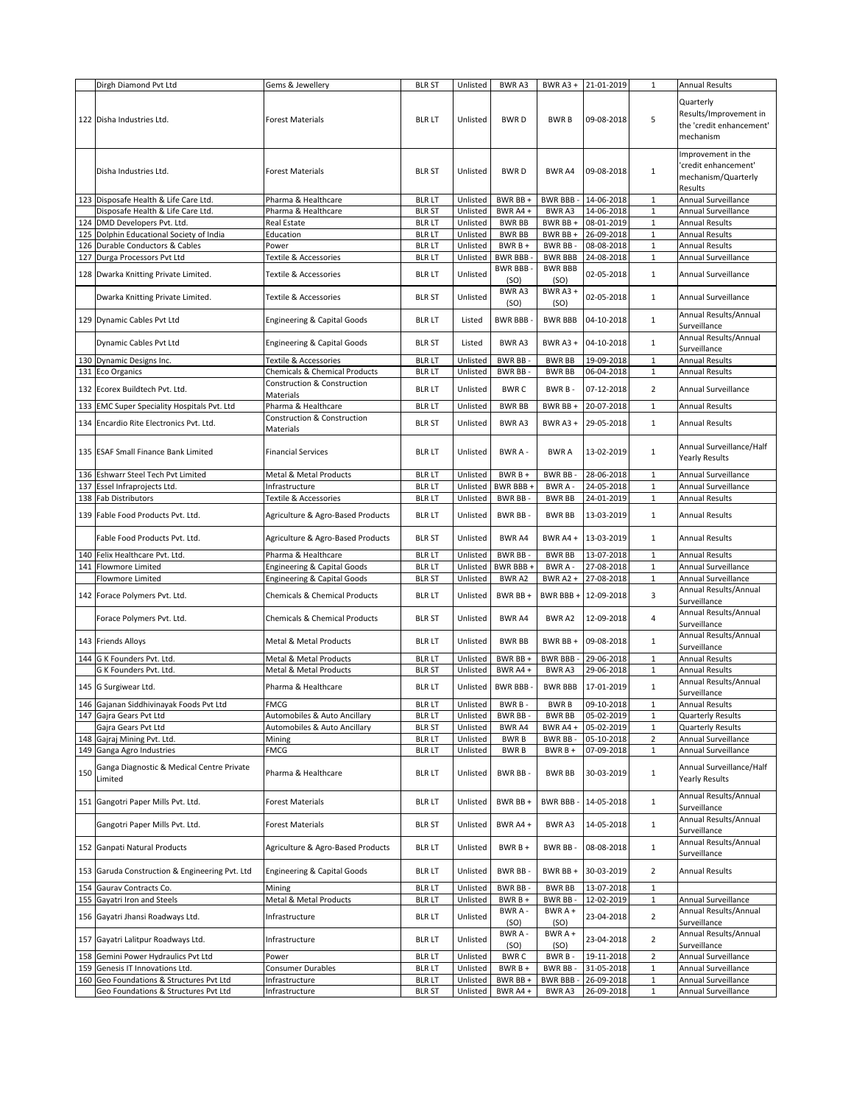|     | Dirgh Diamond Pvt Ltd                                                     | Gems & Jewellery                                 | <b>BLR ST</b>                  | Unlisted             | BWR A3                         | BWR A3 +                   | 21-01-2019               | 1                                | <b>Annual Results</b>                                                        |
|-----|---------------------------------------------------------------------------|--------------------------------------------------|--------------------------------|----------------------|--------------------------------|----------------------------|--------------------------|----------------------------------|------------------------------------------------------------------------------|
|     | 122 Disha Industries Ltd.                                                 | <b>Forest Materials</b>                          | <b>BLR LT</b>                  | Unlisted             | <b>BWRD</b>                    | <b>BWRB</b>                | 09-08-2018               | 5                                | Quarterly<br>Results/Improvement in<br>the 'credit enhancement'<br>mechanism |
|     | Disha Industries Ltd.                                                     | <b>Forest Materials</b>                          | <b>BLR ST</b>                  | Unlisted             | <b>BWRD</b>                    | <b>BWR A4</b>              | 09-08-2018               | $\mathbf{1}$                     | Improvement in the<br>'credit enhancement'<br>mechanism/Quarterly<br>Results |
|     | 123 Disposafe Health & Life Care Ltd.                                     | Pharma & Healthcare                              | <b>BLR LT</b>                  | Unlisted             | BWR BB +                       | BWR BBB -                  | 14-06-2018               | $\mathbf{1}$                     | Annual Surveillance                                                          |
|     | Disposafe Health & Life Care Ltd.<br>124 DMD Developers Pvt. Ltd.         | Pharma & Healthcare<br>Real Estate               | <b>BLR ST</b><br><b>BLR LT</b> | Unlisted<br>Unlisted | BWR A4+<br><b>BWR BB</b>       | BWR A3<br>BWR BB+          | 14-06-2018<br>08-01-2019 | $\mathbf 1$<br>$\,1\,$           | Annual Surveillance<br><b>Annual Results</b>                                 |
|     | 125 Dolphin Educational Society of India                                  | Education                                        | <b>BLR LT</b>                  | Unlisted             | <b>BWR BB</b>                  | BWR BB +                   | 26-09-2018               | $\mathbf{1}$                     | <b>Annual Results</b>                                                        |
|     | 126 Durable Conductors & Cables                                           | Power                                            | <b>BLR LT</b>                  | Unlisted             | BWR B +                        | BWR BB-                    | 08-08-2018               | $\mathbf 1$                      | <b>Annual Results</b>                                                        |
| 127 | Durga Processors Pvt Ltd                                                  | Textile & Accessories                            | <b>BLR LT</b>                  | Unlisted             | <b>BWR BBB</b>                 | <b>BWR BBB</b>             | 24-08-2018               | $\mathbf{1}$                     | Annual Surveillance                                                          |
|     |                                                                           |                                                  |                                |                      | <b>BWR BBB</b>                 | <b>BWR BBB</b>             |                          |                                  |                                                                              |
|     | 128 Dwarka Knitting Private Limited.                                      | Textile & Accessories                            | <b>BLR LT</b>                  | Unlisted             | (SO)<br>BWR A3                 | (SO)<br>BWR A3+            | 02-05-2018               | $\mathbf 1$                      | Annual Surveillance                                                          |
|     | Dwarka Knitting Private Limited.                                          | Textile & Accessories                            | <b>BLR ST</b>                  | Unlisted             | (SO)                           | (SO)                       | 02-05-2018               | $\mathbf{1}$                     | Annual Surveillance<br>Annual Results/Annual                                 |
|     | 129 Dynamic Cables Pvt Ltd                                                | Engineering & Capital Goods                      | <b>BLR LT</b>                  | Listed               | <b>BWR BBB</b>                 | <b>BWR BBB</b>             | 04-10-2018               | $\mathbf{1}$                     | Surveillance<br>Annual Results/Annual                                        |
|     | Dynamic Cables Pvt Ltd                                                    | Engineering & Capital Goods                      | <b>BLR ST</b>                  | Listed               | BWR A3                         | BWR A3 +                   | 04-10-2018               | $\mathbf{1}$                     | Surveillance                                                                 |
|     | 130 Dynamic Designs Inc.                                                  | Textile & Accessories                            | <b>BLR LT</b>                  | Unlisted             | <b>BWR BB-</b>                 | <b>BWR BB</b>              | 19-09-2018               | $\mathbf 1$                      | Annual Results                                                               |
|     | 131 Eco Organics                                                          | Chemicals & Chemical Products                    | <b>BLR LT</b>                  | Unlisted             | <b>BWR BB-</b>                 | <b>BWR BB</b>              | 06-04-2018               | $\mathbf{1}$                     | <b>Annual Results</b>                                                        |
|     | 132 Ecorex Buildtech Pvt. Ltd.                                            | Construction & Construction<br>Materials         | <b>BLR LT</b>                  | Unlisted             | <b>BWRC</b>                    | BWR B-                     | 07-12-2018               | $\overline{2}$                   | Annual Surveillance                                                          |
| 133 | <b>EMC Super Speciality Hospitals Pvt. Ltd</b>                            | Pharma & Healthcare                              | <b>BLR LT</b>                  | Unlisted             | <b>BWR BB</b>                  | BWR BB +                   | 20-07-2018               | $\mathbf{1}$                     | <b>Annual Results</b>                                                        |
|     |                                                                           | <b>Construction &amp; Construction</b>           |                                |                      |                                |                            |                          |                                  |                                                                              |
|     | 134 Encardio Rite Electronics Pvt. Ltd.                                   | Materials                                        | <b>BLR ST</b>                  | Unlisted             | BWR A3                         | BWR $A3 +$                 | 29-05-2018               | $\mathbf{1}$                     | <b>Annual Results</b>                                                        |
|     | 135 ESAF Small Finance Bank Limited                                       | <b>Financial Services</b>                        | <b>BLR LT</b>                  | Unlisted             | BWR A -                        | <b>BWRA</b>                | 13-02-2019               | $\mathbf{1}$                     | Annual Surveillance/Half<br>Yearly Results                                   |
|     | 136 Eshwarr Steel Tech Pvt Limited                                        | Metal & Metal Products                           | <b>BLR LT</b>                  | Unlisted             | BWR B +                        | BWR BB-                    | 28-06-2018               | $\mathbf{1}$                     | Annual Surveillance                                                          |
|     | 137 Essel Infraprojects Ltd.                                              | Infrastructure                                   | <b>BLR LT</b>                  | Unlisted             | BWR BBB+                       | BWR A-                     | 24-05-2018               | $\mathbf 1$                      | Annual Surveillance                                                          |
| 138 | <b>Fab Distributors</b>                                                   | Textile & Accessories                            | <b>BLR LT</b>                  | Unlisted             | BWR BB-                        | <b>BWR BB</b>              | 24-01-2019               | $\mathbf 1$                      | <b>Annual Results</b>                                                        |
|     | 139 Fable Food Products Pvt. Ltd.                                         | Agriculture & Agro-Based Products                | <b>BLR LT</b>                  | Unlisted             | <b>BWR BB-</b>                 | <b>BWR BB</b>              | 13-03-2019               | $\mathbf{1}$                     | Annual Results                                                               |
|     | Fable Food Products Pvt. Ltd.                                             | Agriculture & Agro-Based Products                | <b>BLR ST</b>                  | Unlisted             | BWR A4                         | BWR A4 +                   | 13-03-2019               | $\mathbf{1}$                     | <b>Annual Results</b>                                                        |
|     | 140 Felix Healthcare Pvt. Ltd.                                            | Pharma & Healthcare                              | <b>BLR LT</b>                  | Unlisted             | BWR BB-                        | <b>BWR BB</b>              | 13-07-2018               | $\mathbf{1}$                     | Annual Results                                                               |
|     | 141 Flowmore Limited                                                      | Engineering & Capital Goods                      | <b>BLR LT</b>                  | Unlisted             | BWR BBB +                      | BWR A -                    | 27-08-2018               | $\mathbf 1$                      | Annual Surveillance                                                          |
|     | <b>Flowmore Limited</b>                                                   | Engineering & Capital Goods                      | <b>BLR ST</b>                  | Unlisted             | BWR A2                         | BWR A2+                    | 27-08-2018               | $\mathbf 1$                      | Annual Surveillance<br>Annual Results/Annual                                 |
|     | 142 Forace Polymers Pvt. Ltd.                                             | <b>Chemicals &amp; Chemical Products</b>         | <b>BLR LT</b>                  | Unlisted             | BWR BB +                       | BWR BBB +                  | 12-09-2018               | $\overline{3}$                   | Surveillance<br>Annual Results/Annual                                        |
|     | Forace Polymers Pvt. Ltd.                                                 | <b>Chemicals &amp; Chemical Products</b>         | <b>BLR ST</b>                  | Unlisted             | BWR A4                         | BWR A2                     | 12-09-2018               | 4                                | Surveillance<br>Annual Results/Annual                                        |
|     | 143 Friends Alloys<br>144 G K Founders Pvt. Ltd.                          | Metal & Metal Products<br>Metal & Metal Products | <b>BLR LT</b><br><b>BLR LT</b> | Unlisted<br>Unlisted | <b>BWR BB</b><br>BWR BB +      | BWR BB+<br><b>BWR BBB-</b> | 09-08-2018<br>29-06-2018 | $\mathbf{1}$<br>$\mathbf{1}$     | Surveillance<br><b>Annual Results</b>                                        |
|     | G K Founders Pvt. Ltd.                                                    | Metal & Metal Products                           | <b>BLR ST</b>                  | Unlisted             | BWR A4 +                       | BWR A3                     | 29-06-2018               | $1\,$                            | <b>Annual Results</b>                                                        |
|     | 145 G Surgiwear Ltd.                                                      | Pharma & Healthcare                              | <b>BLR LT</b>                  | Unlisted             | BWR BBB-                       | <b>BWR BBB</b>             | 17-01-2019               | $\mathbf{1}$                     | Annual Results/Annual<br>Surveillance                                        |
|     | 146 Gajanan Siddhivinayak Foods Pvt Ltd                                   | FMCG                                             | <b>BLR LT</b>                  | Unlisted             | BWR B-                         | <b>BWRB</b>                | 09-10-2018               | 1                                | Annual Results                                                               |
|     | 147 Gajra Gears Pvt Ltd                                                   | Automobiles & Auto Ancillary                     | <b>BLR LT</b>                  | Unlisted             | <b>BWR BB-</b>                 | <b>BWR BB</b>              | 05-02-2019               | $\,1\,$                          | <b>Quarterly Results</b>                                                     |
|     | Gajra Gears Pvt Ltd                                                       | Automobiles & Auto Ancillary                     | <b>BLR ST</b>                  | Unlisted             | BWR A4                         | BWR A4 +                   | 05-02-2019               | $1\,$                            | <b>Quarterly Results</b>                                                     |
|     | 148 Gajraj Mining Pvt. Ltd.                                               | Mining                                           | <b>BLR LT</b>                  | Unlisted             | <b>BWRB</b>                    | BWR BB-                    | 05-10-2018               | $\overline{2}$                   | Annual Surveillance                                                          |
|     | 149 Ganga Agro Industries                                                 | FMCG                                             | <b>BLR LT</b>                  | Unlisted             | <b>BWRB</b>                    | $BWRB +$                   | 07-09-2018               | $\mathbf 1$                      | Annual Surveillance                                                          |
| 150 | Ganga Diagnostic & Medical Centre Private<br>Limited                      | Pharma & Healthcare                              | <b>BLR LT</b>                  | Unlisted             | <b>BWR BB-</b>                 | <b>BWR BB</b>              | 30-03-2019               | $\mathbf{1}$                     | Annual Surveillance/Half<br>Yearly Results                                   |
|     | 151 Gangotri Paper Mills Pvt. Ltd.                                        | <b>Forest Materials</b>                          | <b>BLR LT</b>                  | Unlisted             | BWR BB +                       | <b>BWR BBB-</b>            | 14-05-2018               | $\mathbf 1$                      | Annual Results/Annual<br>Surveillance                                        |
|     | Gangotri Paper Mills Pvt. Ltd.                                            | <b>Forest Materials</b>                          | <b>BLR ST</b>                  | Unlisted             | BWR A4+                        | BWR A3                     | 14-05-2018               | $\mathbf{1}$                     | Annual Results/Annual<br>Surveillance                                        |
|     | 152 Ganpati Natural Products                                              | Agriculture & Agro-Based Products                | <b>BLR LT</b>                  | Unlisted             | $BWRB+$                        | BWR BB-                    | 08-08-2018               | $\mathbf{1}$                     | Annual Results/Annual<br>Surveillance                                        |
|     | 153 Garuda Construction & Engineering Pvt. Ltd                            | <b>Engineering &amp; Capital Goods</b>           | <b>BLR LT</b>                  | Unlisted             | <b>BWR BB-</b>                 | BWR BB +                   | 30-03-2019               | $\overline{2}$                   | <b>Annual Results</b>                                                        |
|     | 154 Gaurav Contracts Co.                                                  | Mining                                           | <b>BLR LT</b>                  | Unlisted             | BWR BB-                        | <b>BWR BB</b>              | 13-07-2018               | $\mathbf 1$                      |                                                                              |
|     | 155 Gayatri Iron and Steels                                               | Metal & Metal Products                           | <b>BLR LT</b>                  | Unlisted             | BWR B +                        | BWR BB-                    | 12-02-2019               | $1\,$                            | Annual Surveillance                                                          |
|     | 156 Gayatri Jhansi Roadways Ltd.                                          | Infrastructure                                   | <b>BLR LT</b>                  | Unlisted             | BWR A-<br>(SO)                 | BWR A +<br>(SO)            | 23-04-2018               | $\overline{2}$                   | Annual Results/Annual<br>Surveillance                                        |
|     | 157 Gayatri Lalitpur Roadways Ltd.<br>158 Gemini Power Hydraulics Pvt Ltd | Infrastructure                                   | <b>BLR LT</b><br><b>BLR LT</b> | Unlisted<br>Unlisted | BWR A -<br>(SO)<br><b>BWRC</b> | BWR A +<br>(SO)<br>BWR B-  | 23-04-2018<br>19-11-2018 | $\overline{2}$<br>$\overline{2}$ | Annual Results/Annual<br>Surveillance<br>Annual Surveillance                 |
|     | 159 Genesis IT Innovations Ltd.                                           | Power<br>Consumer Durables                       | <b>BLR LT</b>                  | Unlisted             | $BWRB +$                       | BWR BB-                    | 31-05-2018               | $1\,$                            | Annual Surveillance                                                          |
| 160 | Geo Foundations & Structures Pvt Ltd                                      | Infrastructure                                   | <b>BLR LT</b>                  | Unlisted             | BWR BB +                       | <b>BWR BBB</b>             | 26-09-2018               | $\mathbf 1$                      | Annual Surveillance                                                          |
|     | Geo Foundations & Structures Pvt Ltd                                      | Infrastructure                                   | <b>BLR ST</b>                  | Unlisted             | BWR A4+                        | BWR A3                     | 26-09-2018               | $1\,$                            | Annual Surveillance                                                          |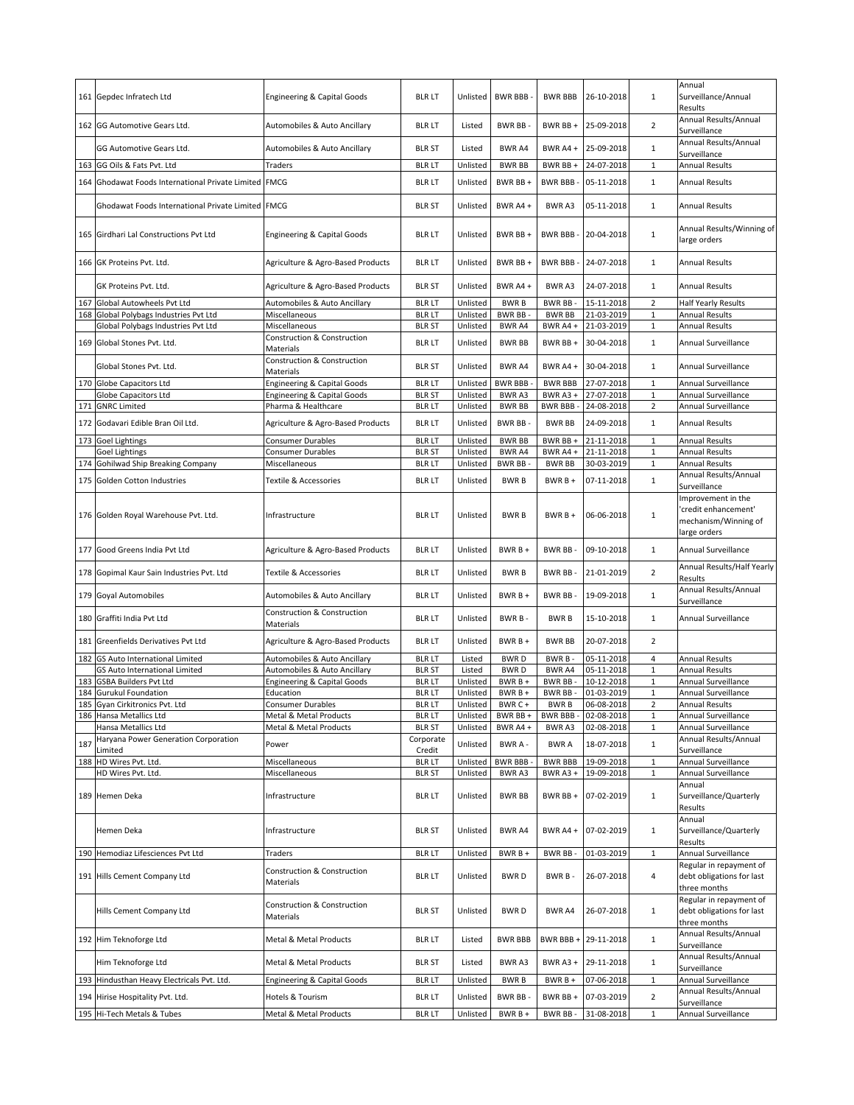|     | 161 Gepdec Infratech Ltd                                  | <b>Engineering &amp; Capital Goods</b>              | <b>BLR LT</b>                  | Unlisted             | <b>BWR BBB</b>     | <b>BWR BBB</b>            | 26-10-2018               | $\mathbf{1}$     | Annual<br>Surveillance/Annual<br>Results                                           |
|-----|-----------------------------------------------------------|-----------------------------------------------------|--------------------------------|----------------------|--------------------|---------------------------|--------------------------|------------------|------------------------------------------------------------------------------------|
|     | 162 GG Automotive Gears Ltd.                              | Automobiles & Auto Ancillary                        | <b>BLR LT</b>                  | Listed               | <b>BWR BB-</b>     | BWR BB +                  | 25-09-2018               | $\overline{2}$   | Annual Results/Annual<br>Surveillance                                              |
|     | GG Automotive Gears Ltd.                                  | Automobiles & Auto Ancillary                        | <b>BLR ST</b>                  | Listed               | BWR A4             | BWR A4+                   | 25-09-2018               | $\mathbf{1}$     | Annual Results/Annual<br>Surveillance                                              |
|     | 163 GG Oils & Fats Pvt. Ltd                               | Traders                                             | <b>BLR LT</b>                  | Unlisted             | <b>BWR BB</b>      | BWR BB+                   | 24-07-2018               | $\mathbf{1}$     | <b>Annual Results</b>                                                              |
|     | 164 Ghodawat Foods International Private Limited FMCG     |                                                     | <b>BLR LT</b>                  | Unlisted             | BWR BB +           | <b>BWR BBB-</b>           | 05-11-2018               | $\mathbf{1}$     | <b>Annual Results</b>                                                              |
|     | Ghodawat Foods International Private Limited FMCG         |                                                     | <b>BLR ST</b>                  | Unlisted             | BWR A4+            | <b>BWRA3</b>              | 05-11-2018               | $\mathbf{1}$     | <b>Annual Results</b>                                                              |
|     | 165 Girdhari Lal Constructions Pvt Ltd                    | Engineering & Capital Goods                         | <b>BLR LT</b>                  | Unlisted             | BWR BB +           | <b>BWR BBB-</b>           | 20-04-2018               | $\mathbf{1}$     | Annual Results/Winning of<br>large orders                                          |
|     | 166 GK Proteins Pvt. Ltd.                                 | Agriculture & Agro-Based Products                   | <b>BLR LT</b>                  | Unlisted             | BWR BB +           | <b>BWR BBB-</b>           | 24-07-2018               | $\mathbf{1}$     | <b>Annual Results</b>                                                              |
|     | GK Proteins Pvt. Ltd.                                     | Agriculture & Agro-Based Products                   | <b>BLR ST</b>                  | Unlisted             | BWR A4+            | BWR A3                    | 24-07-2018               | $\mathbf{1}$     | <b>Annual Results</b>                                                              |
| 167 | Global Autowheels Pvt Ltd                                 | Automobiles & Auto Ancillary                        | <b>BLR LT</b>                  | Unlisted             | <b>BWRB</b>        | BWR BB-                   | 15-11-2018               | $\overline{2}$   | <b>Half Yearly Results</b>                                                         |
|     | 168 Global Polybags Industries Pvt Ltd                    | Miscellaneous                                       | <b>BLR LT</b>                  | Unlisted             | BWR BB-            | <b>BWR BB</b>             | 21-03-2019               | $\mathbf 1$      | <b>Annual Results</b>                                                              |
|     | Global Polybags Industries Pvt Ltd                        | Miscellaneous                                       | <b>BLR ST</b>                  | Unlisted             | BWR A4             | BWR A4+                   | 21-03-2019               | $\mathbf{1}$     | <b>Annual Results</b>                                                              |
|     | 169 Global Stones Pvt. Ltd.                               | <b>Construction &amp; Construction</b><br>Materials | <b>BLR LT</b>                  | Unlisted             | <b>BWR BB</b>      | BWR BB+                   | 30-04-2018               | $\mathbf{1}$     | Annual Surveillance                                                                |
|     | Global Stones Pvt. Ltd.                                   | <b>Construction &amp; Construction</b><br>Materials | <b>BLR ST</b>                  | Unlisted             | <b>BWR A4</b>      | BWR A4+                   | 30-04-2018               | $\mathbf{1}$     | Annual Surveillance                                                                |
|     | 170 Globe Capacitors Ltd                                  | Engineering & Capital Goods                         | <b>BLR LT</b>                  | Unlisted             | <b>BWR BBB</b>     | <b>BWR BBB</b>            | 27-07-2018               | $\mathbf{1}$     | Annual Surveillance                                                                |
|     | Globe Capacitors Ltd                                      | <b>Engineering &amp; Capital Goods</b>              | <b>BLR ST</b>                  | Unlisted             | BWR A3             | BWR A3+                   | 27-07-2018               | $\mathbf{1}$     | Annual Surveillance                                                                |
| 171 | <b>GNRC Limited</b>                                       | Pharma & Healthcare                                 | <b>BLR LT</b>                  | Unlisted             | <b>BWR BB</b>      | <b>BWR BBB-</b>           | 24-08-2018               | $\overline{2}$   | Annual Surveillance                                                                |
| 172 | Godavari Edible Bran Oil Ltd.                             | Agriculture & Agro-Based Products                   | <b>BLR LT</b>                  | Unlisted             | <b>BWRBB</b>       | <b>BWR BB</b>             | 24-09-2018               | $\mathbf{1}$     | <b>Annual Results</b>                                                              |
|     | 173 Goel Lightings                                        | <b>Consumer Durables</b>                            | <b>BLR LT</b>                  | Unlisted             | <b>BWR BB</b>      | BWR BB +                  | 21-11-2018               | $\mathbf{1}$     | <b>Annual Results</b>                                                              |
|     | Goel Lightings                                            | Consumer Durables                                   | <b>BLR ST</b>                  | Unlisted             | <b>BWR A4</b>      | BWR A4 +                  | 21-11-2018               | $\mathbf{1}$     | <b>Annual Results</b>                                                              |
|     | 174 Gohilwad Ship Breaking Company                        | Miscellaneous                                       | <b>BLR LT</b>                  | Unlisted             | <b>BWR BB-</b>     | <b>BWR BB</b>             | 30-03-2019               | $\mathbf{1}$     | <b>Annual Results</b>                                                              |
| 175 | Golden Cotton Industries                                  | Textile & Accessories                               | <b>BLR LT</b>                  | Unlisted             | <b>BWRB</b>        | $BWRB +$                  | 07-11-2018               | $\mathbf{1}$     | Annual Results/Annual<br>Surveillance                                              |
|     | 176 Golden Royal Warehouse Pvt. Ltd.                      | Infrastructure                                      | <b>BLR LT</b>                  | Unlisted             | <b>BWRB</b>        | $BWRB +$                  | 06-06-2018               | $\mathbf{1}$     | Improvement in the<br>'credit enhancement'<br>mechanism/Winning of<br>large orders |
| 177 | Good Greens India Pvt Ltd                                 | Agriculture & Agro-Based Products                   | <b>BLR LT</b>                  | Unlisted             | $BWRB+$            | <b>BWR BB</b>             | 09-10-2018               | $\mathbf{1}$     | Annual Surveillance                                                                |
|     | 178 Gopimal Kaur Sain Industries Pvt. Ltd                 | Textile & Accessories                               | <b>BLR LT</b>                  | Unlisted             | <b>BWRB</b>        | <b>BWR BB</b>             | 21-01-2019               | $\overline{2}$   | Annual Results/Half Yearly<br>Results                                              |
|     | 179 Goyal Automobiles                                     | Automobiles & Auto Ancillary                        | <b>BLR LT</b>                  | Unlisted             | $BWRB +$           | <b>BWR BB</b>             | 19-09-2018               | $\mathbf{1}$     | Annual Results/Annual<br>Surveillance                                              |
|     | 180 Graffiti India Pvt Ltd                                | Construction & Construction<br>Materials            | <b>BLR LT</b>                  | Unlisted             | BWR B-             | <b>BWRB</b>               | 15-10-2018               | $\mathbf{1}$     | Annual Surveillance                                                                |
| 181 | Greenfields Derivatives Pvt Ltd                           | Agriculture & Agro-Based Products                   | <b>BLR LT</b>                  | Unlisted             | $BWRB +$           | <b>BWR BB</b>             | 20-07-2018               | $\overline{2}$   |                                                                                    |
|     | 182 GS Auto International Limited                         | Automobiles & Auto Ancillary                        | <b>BLR LT</b>                  | Listed               | <b>BWRD</b>        | BWR B-                    | 05-11-2018               | 4                | <b>Annual Results</b>                                                              |
|     | GS Auto International Limited                             | Automobiles & Auto Ancillary                        | <b>BLR ST</b>                  | Listed               | <b>BWRD</b>        | BWR A4                    | 05-11-2018               | $\mathbf 1$      | <b>Annual Results</b>                                                              |
| 183 | <b>GSBA Builders Pvt Ltd</b>                              | Engineering & Capital Goods                         | <b>BLR LT</b>                  | Unlisted             | BWR B +            | BWR BB-                   | 10-12-2018               | $\mathbf{1}$     | Annual Surveillance                                                                |
| 184 | <b>Gurukul Foundation</b>                                 | Education                                           | <b>BLR LT</b>                  | Unlisted             | BWR B +            | BWR BB-                   | 01-03-2019               | $\mathbf 1$      | Annual Surveillance                                                                |
|     | 185 Gyan Cirkitronics Pvt. Ltd<br>186 Hansa Metallics Ltd | Consumer Durables                                   | BLR LT                         | Unlisted             | BWR C+<br>BWR BB + | BWR B                     | 06-08-2018<br>02-08-2018 | 2<br>$\mathbf 1$ | Annual Results<br>Annual Surveillance                                              |
|     | Hansa Metallics Ltd                                       | Metal & Metal Products<br>Metal & Metal Products    | <b>BLR LT</b><br><b>BLR ST</b> | Unlisted<br>Unlisted | BWR A4+            | <b>BWR BBB-</b><br>BWR A3 | 02-08-2018               | $\mathbf{1}$     | Annual Surveillance                                                                |
|     | Haryana Power Generation Corporation                      |                                                     | Corporate                      |                      |                    |                           |                          |                  | Annual Results/Annual                                                              |
| 187 | Limited                                                   | Power                                               | Credit                         | Unlisted             | BWR A -            | <b>BWRA</b>               | 18-07-2018               | $\mathbf{1}$     | Surveillance                                                                       |
|     | 188 HD Wires Pvt. Ltd.                                    | Miscellaneous                                       | <b>BLR LT</b>                  | Unlisted             | <b>BWR BBB</b>     | <b>BWR BBB</b>            | 19-09-2018               | $1\,$            | Annual Surveillance                                                                |
|     | HD Wires Pvt. Ltd.                                        | Miscellaneous                                       | <b>BLR ST</b>                  | Unlisted             | BWR A3             | BWR A3+                   | 19-09-2018               | $1\,$            | Annual Surveillance                                                                |
|     | 189 Hemen Deka                                            | Infrastructure                                      | <b>BLR LT</b>                  | Unlisted             | <b>BWR BB</b>      | BWR BB +                  | 07-02-2019               | $\mathbf{1}$     | Annual<br>Surveillance/Quarterly<br>Results                                        |
|     | Hemen Deka                                                | Infrastructure                                      | <b>BLR ST</b>                  | Unlisted             | BWR A4             | BWR A4+                   | 07-02-2019               | $\mathbf{1}$     | Annual<br>Surveillance/Quarterly<br>Results                                        |
|     | 190 Hemodiaz Lifesciences Pvt Ltd                         | Traders                                             | <b>BLR LT</b>                  | Unlisted             | BWR B +            | <b>BWR BB</b>             | 01-03-2019               | $\mathbf{1}$     | Annual Surveillance                                                                |
|     |                                                           | Construction & Construction                         |                                |                      |                    |                           |                          |                  | Regular in repayment of                                                            |
|     | 191 Hills Cement Company Ltd                              | Materials                                           | <b>BLR LT</b>                  | Unlisted             | <b>BWRD</b>        | BWR B-                    | 26-07-2018               | 4                | debt obligations for last<br>three months                                          |
|     | Hills Cement Company Ltd                                  | Construction & Construction<br>Materials            | <b>BLR ST</b>                  | Unlisted             | <b>BWRD</b>        | BWR A4                    | 26-07-2018               | $\mathbf{1}$     | Regular in repayment of<br>debt obligations for last<br>three months               |
|     | 192 Him Teknoforge Ltd                                    | Metal & Metal Products                              | <b>BLR LT</b>                  | Listed               | <b>BWR BBB</b>     | BWR BBB +                 | 29-11-2018               | $\mathbf{1}$     | Annual Results/Annual<br>Surveillance                                              |
|     | Him Teknoforge Ltd                                        | Metal & Metal Products                              | <b>BLR ST</b>                  | Listed               | BWR A3             | BWR A3+                   | 29-11-2018               | $\mathbf{1}$     | Annual Results/Annual<br>Surveillance                                              |
|     | 193 Hindusthan Heavy Electricals Pvt. Ltd.                | Engineering & Capital Goods                         | <b>BLR LT</b>                  | Unlisted             | <b>BWRB</b>        | BWR B +                   | 07-06-2018               | $\mathbf 1$      | Annual Surveillance                                                                |
|     | 194 Hirise Hospitality Pvt. Ltd.                          | Hotels & Tourism                                    | <b>BLR LT</b>                  | Unlisted             | <b>BWR BB-</b>     | BWR BB +                  | 07-03-2019               | $\mathbf 2$      | Annual Results/Annual                                                              |
|     |                                                           |                                                     |                                |                      |                    |                           |                          |                  | Surveillance                                                                       |
|     | 195 Hi-Tech Metals & Tubes                                | Metal & Metal Products                              | <b>BLR LT</b>                  | Unlisted             | $BWRB +$           | BWR BB-                   | 31-08-2018               | $\mathbf{1}$     | Annual Surveillance                                                                |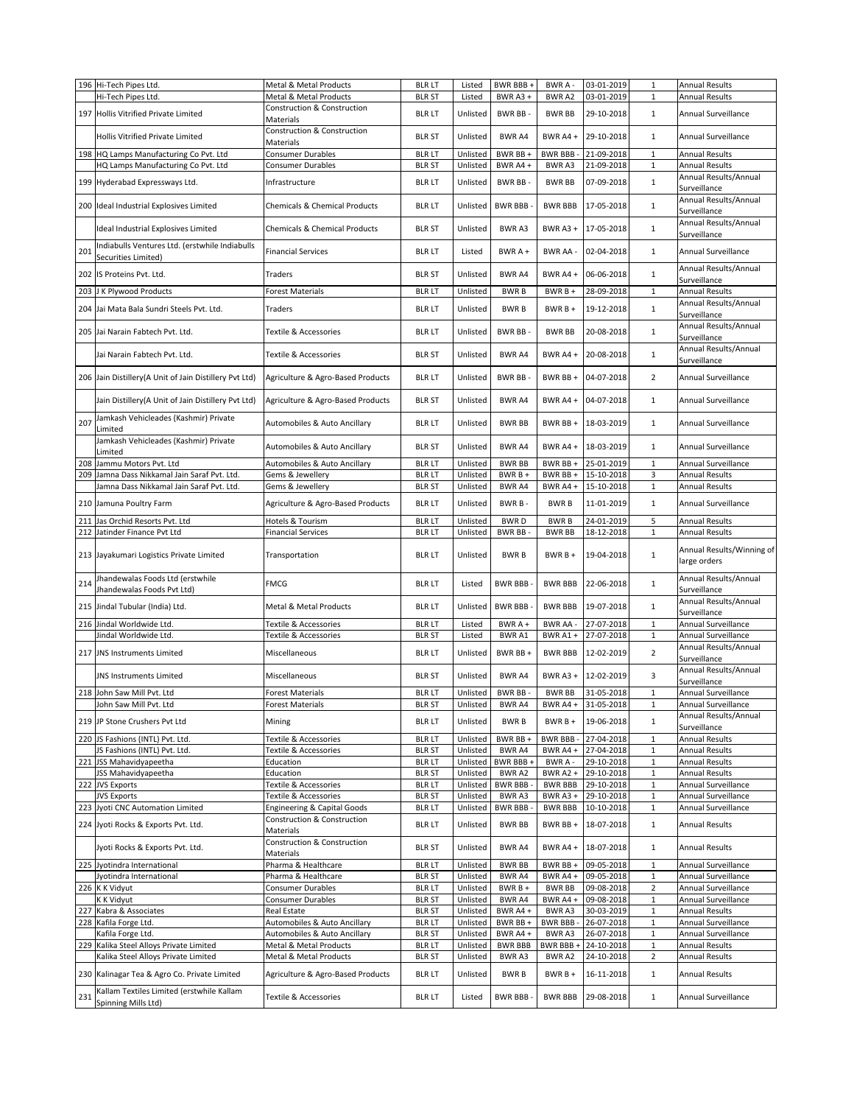|     | 196 Hi-Tech Pipes Ltd.                                           | Metal & Metal Products                 | <b>BLR LT</b> | Listed   | BWR BBB+        | BWR A-          | 03-01-2019 | $\mathbf{1}$   | <b>Annual Results</b>     |
|-----|------------------------------------------------------------------|----------------------------------------|---------------|----------|-----------------|-----------------|------------|----------------|---------------------------|
|     | Hi-Tech Pipes Ltd.                                               | Metal & Metal Products                 | <b>BLR ST</b> | Listed   | BWR A3+         | BWR A2          | 03-01-2019 | $\mathbf{1}$   | <b>Annual Results</b>     |
|     |                                                                  | Construction & Construction            |               |          |                 |                 |            |                |                           |
|     | 197 Hollis Vitrified Private Limited                             | Materials                              | <b>BLR LT</b> | Unlisted | <b>BWR BB-</b>  | <b>BWR BB</b>   | 29-10-2018 | $\mathbf{1}$   | Annual Surveillance       |
|     |                                                                  | Construction & Construction            |               |          |                 |                 |            |                |                           |
|     | Hollis Vitrified Private Limited                                 |                                        | <b>BLR ST</b> | Unlisted | BWR A4          | BWR A4+         | 29-10-2018 | $\mathbf{1}$   | Annual Surveillance       |
|     |                                                                  | Materials                              |               |          |                 |                 |            |                |                           |
|     | 198 HQ Lamps Manufacturing Co Pvt. Ltd                           | Consumer Durables                      | <b>BLR LT</b> | Unlisted | BWR BB +        | <b>BWR BBB-</b> | 21-09-2018 | $\mathbf{1}$   | <b>Annual Results</b>     |
|     | HQ Lamps Manufacturing Co Pvt. Ltd                               | Consumer Durables                      | <b>BLR ST</b> | Unlisted | BWR A4+         | BWR A3          | 21-09-2018 | $\mathbf{1}$   | Annual Results            |
|     |                                                                  |                                        |               |          |                 |                 |            |                | Annual Results/Annual     |
|     | 199 Hyderabad Expressways Ltd.                                   | Infrastructure                         | <b>BLR LT</b> | Unlisted | BWR BB-         | <b>BWR BB</b>   | 07-09-2018 | $\mathbf{1}$   |                           |
|     |                                                                  |                                        |               |          |                 |                 |            |                | Surveillance              |
|     | 200 Ideal Industrial Explosives Limited                          | Chemicals & Chemical Products          | <b>BLR LT</b> | Unlisted | <b>BWR BBB</b>  | <b>BWR BBB</b>  | 17-05-2018 | $\mathbf 1$    | Annual Results/Annual     |
|     |                                                                  |                                        |               |          |                 |                 |            |                | Surveillance              |
|     |                                                                  |                                        |               |          |                 |                 |            |                | Annual Results/Annual     |
|     | Ideal Industrial Explosives Limited                              | Chemicals & Chemical Products          | <b>BLR ST</b> | Unlisted | BWR A3          | BWR A3+         | 17-05-2018 | $\mathbf{1}$   | Surveillance              |
|     |                                                                  |                                        |               |          |                 |                 |            |                |                           |
| 201 | Indiabulls Ventures Ltd. (erstwhile Indiabulls                   | <b>Financial Services</b>              | <b>BLR LT</b> | Listed   | BWR A +         | BWR AA -        | 02-04-2018 | $\mathbf{1}$   | Annual Surveillance       |
|     | Securities Limited)                                              |                                        |               |          |                 |                 |            |                |                           |
|     |                                                                  |                                        |               |          |                 |                 |            |                | Annual Results/Annual     |
|     | 202 IS Proteins Pvt. Ltd.                                        | Traders                                | <b>BLR ST</b> | Unlisted | BWR A4          | BWR A4 +        | 06-06-2018 | $\mathbf{1}$   | Surveillance              |
|     | 203 J K Plywood Products                                         | <b>Forest Materials</b>                | <b>BLR LT</b> | Unlisted | <b>BWRB</b>     | BWR B +         | 28-09-2018 | $\mathbf{1}$   | <b>Annual Results</b>     |
|     |                                                                  |                                        |               |          |                 |                 |            |                |                           |
| 204 | Jai Mata Bala Sundri Steels Pvt. Ltd.                            | Traders                                | <b>BLR LT</b> | Unlisted | <b>BWRB</b>     | BWR B +         | 19-12-2018 | $\mathbf{1}$   | Annual Results/Annual     |
|     |                                                                  |                                        |               |          |                 |                 |            |                | Surveillance              |
|     |                                                                  |                                        |               |          |                 |                 |            |                | Annual Results/Annual     |
|     | 205 Jai Narain Fabtech Pvt. Ltd.                                 | Textile & Accessories                  | <b>BLR LT</b> | Unlisted | BWR BB-         | <b>BWR BB</b>   | 20-08-2018 | $\mathbf{1}$   | Surveillance              |
|     |                                                                  |                                        |               |          |                 |                 |            |                | Annual Results/Annual     |
|     | Jai Narain Fabtech Pvt. Ltd.                                     | Textile & Accessories                  | <b>BLR ST</b> | Unlisted | BWR A4          | BWR A4+         | 20-08-2018 | $\mathbf{1}$   |                           |
|     |                                                                  |                                        |               |          |                 |                 |            |                | Surveillance              |
|     | 206 Jain Distillery (A Unit of Jain Distillery Pvt Ltd)          | Agriculture & Agro-Based Products      | <b>BLR LT</b> | Unlisted | BWR BB-         | BWR BB +        | 04-07-2018 | $\overline{2}$ | Annual Surveillance       |
|     |                                                                  |                                        |               |          |                 |                 |            |                |                           |
|     |                                                                  |                                        |               |          |                 |                 |            |                |                           |
|     | Jain Distillery(A Unit of Jain Distillery Pvt Ltd)               | Agriculture & Agro-Based Products      | <b>BLR ST</b> | Unlisted | BWR A4          | BWR A4 +        | 04-07-2018 | $\mathbf{1}$   | Annual Surveillance       |
|     |                                                                  |                                        |               |          |                 |                 |            |                |                           |
| 207 | Jamkash Vehicleades (Kashmir) Private                            | Automobiles & Auto Ancillary           | <b>BLR LT</b> | Unlisted | <b>BWR BB</b>   | BWR BB +        | 18-03-2019 | 1              | Annual Surveillance       |
|     | Limited                                                          |                                        |               |          |                 |                 |            |                |                           |
|     | Jamkash Vehicleades (Kashmir) Private                            |                                        |               |          |                 |                 |            |                |                           |
|     | Limited                                                          | Automobiles & Auto Ancillary           | <b>BLR ST</b> | Unlisted | BWR A4          | BWR A4 +        | 18-03-2019 | 1              | Annual Surveillance       |
|     |                                                                  |                                        |               |          |                 |                 |            |                |                           |
| 208 | Jammu Motors Pvt. Ltd                                            | Automobiles & Auto Ancillary           | <b>BLR LT</b> | Unlisted | <b>BWR BB</b>   | BWR BB +        | 25-01-2019 | $\mathbf{1}$   | Annual Surveillance       |
| 209 | Jamna Dass Nikkamal Jain Saraf Pvt. Ltd.                         | Gems & Jewellery                       | <b>BLR LT</b> | Unlisted | BWR B +         | BWR BB +        | 15-10-2018 | 3              | <b>Annual Results</b>     |
|     | Jamna Dass Nikkamal Jain Saraf Pvt. Ltd.                         | Gems & Jewellery                       | <b>BLR ST</b> | Unlisted | BWR A4          | BWR A4 +        | 15-10-2018 | $\mathbf{1}$   | <b>Annual Results</b>     |
|     |                                                                  |                                        |               |          |                 |                 |            |                |                           |
|     | 210 Jamuna Poultry Farm                                          | Agriculture & Agro-Based Products      | <b>BLR LT</b> | Unlisted | BWR B-          | <b>BWRB</b>     | 11-01-2019 | $\mathbf{1}$   | Annual Surveillance       |
|     |                                                                  |                                        |               |          |                 |                 |            |                |                           |
|     | 211 Jas Orchid Resorts Pvt. Ltd                                  | Hotels & Tourism                       | <b>BLR LT</b> | Unlisted | <b>BWRD</b>     | <b>BWRB</b>     | 24-01-2019 | 5              | <b>Annual Results</b>     |
| 212 | Jatinder Finance Pvt Ltd                                         | <b>Financial Services</b>              | <b>BLR LT</b> | Unlisted | <b>BWR BB</b>   | <b>BWR BB</b>   | 18-12-2018 | $\mathbf{1}$   | <b>Annual Results</b>     |
|     |                                                                  |                                        |               |          |                 |                 |            |                |                           |
|     | 213 Jayakumari Logistics Private Limited                         | Transportation                         | <b>BLR LT</b> | Unlisted | <b>BWRB</b>     | BWR B +         | 19-04-2018 | $\mathbf{1}$   | Annual Results/Winning of |
|     |                                                                  |                                        |               |          |                 |                 |            |                |                           |
|     |                                                                  |                                        |               |          |                 |                 |            |                | large orders              |
|     |                                                                  |                                        |               |          |                 |                 |            |                |                           |
|     | Jhandewalas Foods Ltd (erstwhile                                 |                                        |               |          |                 |                 |            |                | Annual Results/Annual     |
| 214 | Jhandewalas Foods Pvt Ltd)                                       | <b>FMCG</b>                            | <b>BLR LT</b> | Listed   | <b>BWR BBB</b>  | <b>BWR BBB</b>  | 22-06-2018 | $\mathbf{1}$   | Surveillance              |
|     |                                                                  |                                        |               |          |                 |                 |            |                | Annual Results/Annual     |
|     | 215 Jindal Tubular (India) Ltd.                                  | Metal & Metal Products                 | <b>BLR LT</b> | Unlisted | <b>BWR BBB</b>  | <b>BWR BBB</b>  | 19-07-2018 | $\mathbf{1}$   |                           |
|     |                                                                  |                                        |               |          |                 |                 |            |                | Surveillance              |
|     | 216 Jindal Worldwide Ltd.                                        | Textile & Accessories                  | <b>BLR LT</b> | Listed   | BWR A +         | BWR AA -        | 27-07-2018 | $\mathbf{1}$   | Annual Surveillance       |
|     | Jindal Worldwide Ltd.                                            | Textile & Accessories                  | <b>BLR ST</b> | Listed   | BWR A1          | BWR A1+         | 27-07-2018 | $\mathbf{1}$   | Annual Surveillance       |
|     |                                                                  |                                        |               |          |                 |                 |            |                | Annual Results/Annual     |
| 217 | <b>JNS Instruments Limited</b>                                   | Miscellaneous                          | <b>BLR LT</b> | Unlisted | BWR BB +        | <b>BWR BBB</b>  | 12-02-2019 | $\overline{2}$ | Surveillance              |
|     |                                                                  |                                        |               |          |                 |                 |            |                |                           |
|     | JNS Instruments Limited                                          | Miscellaneous                          | <b>BLR ST</b> | Unlisted | <b>BWR A4</b>   | BWR A3+         | 12-02-2019 | 3              | Annual Results/Annual     |
|     |                                                                  |                                        |               |          |                 |                 |            |                | Surveillance              |
|     | 218 John Saw Mill Pvt. Ltd                                       | <b>Forest Materials</b>                | <b>BLR LT</b> | Unlisted | BWR BB-         | <b>BWR BB</b>   | 31-05-2018 | $\mathbf{1}$   | Annual Surveillance       |
|     | John Saw Mill Pvt. Ltd                                           | Forest Materials                       | BLR ST        | Unlisted | BWR A4          | BWR A4 +        | 31-05-2018 | 1              | Annual Surveillance       |
|     |                                                                  |                                        |               |          |                 |                 |            |                | Annual Results/Annual     |
|     | 219 JP Stone Crushers Pvt Ltd                                    | Mining                                 | <b>BLR LT</b> | Unlisted | <b>BWRB</b>     | $BWRB +$        | 19-06-2018 | $\mathbf{1}$   | Surveillance              |
|     |                                                                  |                                        |               |          |                 |                 |            |                |                           |
|     | 220 JS Fashions (INTL) Pvt. Ltd.                                 | Textile & Accessories                  | <b>BLR LT</b> | Unlisted | BWR BB +        | BWR BBB -       | 27-04-2018 | $1\,$          | <b>Annual Results</b>     |
|     | JS Fashions (INTL) Pvt. Ltd.                                     | Textile & Accessories                  | <b>BLR ST</b> | Unlisted | BWR A4          | BWR A4 +        | 27-04-2018 | $\mathbf{1}$   | <b>Annual Results</b>     |
|     | 221 JSS Mahavidyapeetha                                          | Education                              | <b>BLR LT</b> | Unlisted | BWR BBB+        | BWR A -         | 29-10-2018 | $1\,$          | <b>Annual Results</b>     |
|     | JSS Mahavidyapeetha                                              | Education                              | <b>BLR ST</b> | Unlisted | BWR A2          | BWR A2 +        | 29-10-2018 | $\,1\,$        | <b>Annual Results</b>     |
|     |                                                                  |                                        |               |          |                 |                 |            |                | Annual Surveillance       |
|     | 222 JVS Exports                                                  | Textile & Accessories                  | <b>BLR LT</b> | Unlisted | <b>BWR BBB</b>  | <b>BWR BBB</b>  | 29-10-2018 | $1\,$          |                           |
|     | <b>JVS Exports</b>                                               | Textile & Accessories                  | <b>BLR ST</b> | Unlisted | BWR A3          | BWR A3+         | 29-10-2018 | $1\,$          | Annual Surveillance       |
|     | 223 Jyoti CNC Automation Limited                                 | <b>Engineering &amp; Capital Goods</b> | <b>BLR LT</b> | Unlisted | <b>BWR BBB-</b> | <b>BWR BBB</b>  | 10-10-2018 | $\mathbf{1}$   | Annual Surveillance       |
|     |                                                                  | Construction & Construction            |               |          |                 |                 |            |                |                           |
|     | 224 Jyoti Rocks & Exports Pvt. Ltd.                              | Materials                              | <b>BLR LT</b> | Unlisted | <b>BWR BB</b>   | BWR BB+         | 18-07-2018 | $\mathbf{1}$   | <b>Annual Results</b>     |
|     |                                                                  | <b>Construction &amp; Construction</b> |               |          |                 |                 |            |                |                           |
|     | Jyoti Rocks & Exports Pvt. Ltd.                                  | <b>Materials</b>                       | <b>BLR ST</b> | Unlisted | BWR A4          | BWR A4 +        | 18-07-2018 | $\mathbf{1}$   | Annual Results            |
|     |                                                                  |                                        |               |          |                 |                 |            |                |                           |
|     | 225 Jyotindra International                                      | Pharma & Healthcare                    | <b>BLR LT</b> | Unlisted | <b>BWR BB</b>   | BWR BB +        | 09-05-2018 | $\,1\,$        | Annual Surveillance       |
|     | Jyotindra International                                          | Pharma & Healthcare                    | <b>BLR ST</b> | Unlisted | BWR A4          | BWR A4 +        | 09-05-2018 | $\mathbf{1}$   | Annual Surveillance       |
|     | 226 K K Vidyut                                                   | <b>Consumer Durables</b>               | <b>BLR LT</b> | Unlisted | BWR B +         | <b>BWR BB</b>   | 09-08-2018 | $\overline{2}$ | Annual Surveillance       |
|     | K K Vidyut                                                       | Consumer Durables                      | <b>BLR ST</b> | Unlisted | BWR A4          | BWR A4 +        | 09-08-2018 | $\mathbf 1$    | Annual Surveillance       |
|     |                                                                  |                                        |               |          |                 |                 |            |                |                           |
|     | 227 Kabra & Associates                                           | Real Estate                            | <b>BLR ST</b> | Unlisted | BWR A4+         | BWR A3          | 30-03-2019 | $\,1\,$        | <b>Annual Results</b>     |
|     | 228 Kafila Forge Ltd.                                            | Automobiles & Auto Ancillary           | <b>BLR LT</b> | Unlisted | BWR BB +        | BWR BBB -       | 26-07-2018 | $1\,$          | Annual Surveillance       |
|     | Kafila Forge Ltd.                                                | Automobiles & Auto Ancillary           | <b>BLR ST</b> | Unlisted | BWR A4+         | BWR A3          | 26-07-2018 | $\mathbf{1}$   | Annual Surveillance       |
|     | 229 Kalika Steel Alloys Private Limited                          | Metal & Metal Products                 | <b>BLR LT</b> | Unlisted | <b>BWR BBB</b>  | BWR BBB+        | 24-10-2018 | $\mathbf{1}$   | <b>Annual Results</b>     |
|     | Kalika Steel Alloys Private Limited                              | Metal & Metal Products                 | <b>BLR ST</b> | Unlisted | BWR A3          | BWR A2          | 24-10-2018 | $\overline{2}$ | <b>Annual Results</b>     |
|     |                                                                  |                                        |               |          |                 |                 |            |                |                           |
|     | 230 Kalinagar Tea & Agro Co. Private Limited                     | Agriculture & Agro-Based Products      | <b>BLR LT</b> | Unlisted | <b>BWRB</b>     | BWR B +         | 16-11-2018 | $\mathbf{1}$   | Annual Results            |
|     |                                                                  |                                        |               |          |                 |                 |            |                |                           |
| 231 | Kallam Textiles Limited (erstwhile Kallam<br>Spinning Mills Ltd) | Textile & Accessories                  | <b>BLR LT</b> | Listed   | <b>BWR BBB</b>  | <b>BWR BBB</b>  | 29-08-2018 | $\mathbf{1}$   | Annual Surveillance       |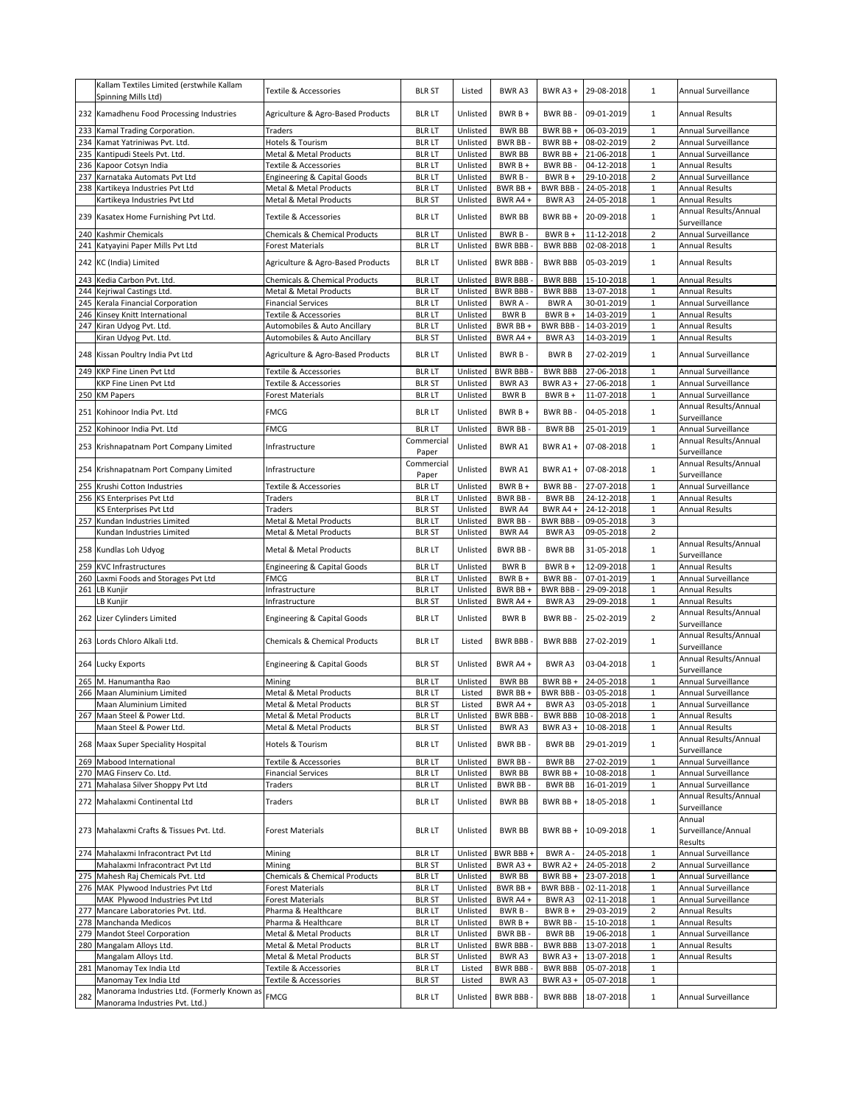|     | Kallam Textiles Limited (erstwhile Kallam   | Textile & Accessories                    | <b>BLR ST</b> | Listed   | <b>BWRA3</b>    | BWR A3+         | 29-08-2018         | $\mathbf{1}$   | Annual Surveillance   |
|-----|---------------------------------------------|------------------------------------------|---------------|----------|-----------------|-----------------|--------------------|----------------|-----------------------|
|     | Spinning Mills Ltd)                         |                                          |               |          |                 |                 |                    |                |                       |
|     | 232 Kamadhenu Food Processing Industries    |                                          | <b>BLR LT</b> | Unlisted | BWR B +         | <b>BWR BB</b>   | 09-01-2019         | $\mathbf{1}$   | <b>Annual Results</b> |
|     |                                             | Agriculture & Agro-Based Products        |               |          |                 |                 |                    |                |                       |
|     | 233 Kamal Trading Corporation.              | Traders                                  | <b>BLR LT</b> | Unlisted | <b>BWR BB</b>   | BWR BB+         | 06-03-2019         | $\mathbf 1$    | Annual Surveillance   |
|     | 234 Kamat Yatriniwas Pvt. Ltd.              | Hotels & Tourism                         | <b>BLR LT</b> | Unlisted | BWR BB -        | BWR BB +        | 08-02-2019         | $\overline{2}$ | Annual Surveillance   |
| 235 | Kantipudi Steels Pvt. Ltd.                  | Metal & Metal Products                   | <b>BLR LT</b> | Unlisted | <b>BWR BB</b>   | BWR BB +        | 21-06-2018         | $\mathbf 1$    | Annual Surveillance   |
| 236 | Kapoor Cotsyn India                         | Textile & Accessories                    | <b>BLR LT</b> | Unlisted | BWR B +         | BWR BB-         | 04-12-2018         | $\mathbf 1$    | Annual Results        |
|     | 237 Karnataka Automats Pvt Ltd              | Engineering & Capital Goods              | <b>BLR LT</b> | Unlisted | BWR B-          | BWR B +         | 29-10-2018         | $\overline{2}$ | Annual Surveillance   |
|     |                                             |                                          |               |          |                 |                 | 24-05-2018         | $\,1\,$        |                       |
|     | 238 Kartikeya Industries Pvt Ltd            | Metal & Metal Products                   | <b>BLR LT</b> | Unlisted | BWR BB +        | <b>BWR BBB-</b> |                    |                | Annual Results        |
|     | Kartikeya Industries Pvt Ltd                | Metal & Metal Products                   | <b>BLR ST</b> | Unlisted | BWR A4+         | <b>BWRA3</b>    | 24-05-2018         | $\mathbf 1$    | Annual Results        |
|     | 239 Kasatex Home Furnishing Pvt Ltd.        | Textile & Accessories                    | <b>BLR LT</b> | Unlisted | <b>BWR BB</b>   | BWR BB+         | 20-09-2018         | $\mathbf 1$    | Annual Results/Annual |
|     |                                             |                                          |               |          |                 |                 |                    |                | Surveillance          |
|     | 240 Kashmir Chemicals                       | Chemicals & Chemical Products            | <b>BLR LT</b> | Unlisted | BWR B-          | $BWRB +$        | 11-12-2018         | $\overline{2}$ | Annual Surveillance   |
| 241 | Katyayini Paper Mills Pvt Ltd               | <b>Forest Materials</b>                  | <b>BLR LT</b> | Unlisted | <b>BWR BBB</b>  | <b>BWR BBB</b>  | 02-08-2018         | $\mathbf 1$    | <b>Annual Results</b> |
|     | 242 KC (India) Limited                      |                                          | <b>BLR LT</b> | Unlisted | <b>BWR BBB</b>  | <b>BWR BBB</b>  | 05-03-2019         | $\mathbf{1}$   | <b>Annual Results</b> |
|     |                                             | Agriculture & Agro-Based Products        |               |          |                 |                 |                    |                |                       |
| 243 | Kedia Carbon Pvt. Ltd.                      | Chemicals & Chemical Products            | <b>BLR LT</b> | Unlisted | <b>BWR BBB</b>  | <b>BWR BBB</b>  | 15-10-2018         | $\mathbf 1$    | <b>Annual Results</b> |
|     | 244 Kejriwal Castings Ltd.                  | Metal & Metal Products                   | <b>BLR LT</b> | Unlisted | <b>BWR BBB</b>  | <b>BWR BBB</b>  | 13-07-2018         | $\mathbf 1$    | <b>Annual Results</b> |
|     | 245 Kerala Financial Corporation            | <b>Financial Services</b>                | <b>BLR LT</b> | Unlisted | BWR A -         | <b>BWRA</b>     | 30-01-2019         | $\mathbf{1}$   | Annual Surveillance   |
|     | 246 Kinsey Knitt International              | Textile & Accessories                    | <b>BLR LT</b> | Unlisted | <b>BWRB</b>     | BWR $B +$       | 14-03-2019         | $\mathbf 1$    | <b>Annual Results</b> |
|     | 247 Kiran Udyog Pvt. Ltd.                   | Automobiles & Auto Ancillary             | <b>BLR LT</b> | Unlisted | BWR BB +        | <b>BWR BBB-</b> | 14-03-2019         | $\mathbf 1$    | Annual Results        |
|     | Kiran Udyog Pvt. Ltd.                       | Automobiles & Auto Ancillary             | <b>BLR ST</b> | Unlisted | BWR A4+         | BWR A3          | 14-03-2019         | $\mathbf 1$    | <b>Annual Results</b> |
|     |                                             |                                          |               |          |                 |                 |                    |                |                       |
|     | 248 Kissan Poultry India Pvt Ltd            | Agriculture & Agro-Based Products        | <b>BLR LT</b> | Unlisted | BWR B-          | <b>BWRB</b>     | 27-02-2019         | $\mathbf{1}$   | Annual Surveillance   |
|     |                                             |                                          |               |          |                 |                 |                    | $\mathbf 1$    |                       |
|     | 249 KKP Fine Linen Pvt Ltd                  | Textile & Accessories                    | <b>BLR LT</b> | Unlisted | <b>BWR BBB</b>  | <b>BWR BBB</b>  | 27-06-2018         |                | Annual Surveillance   |
|     | KKP Fine Linen Pvt Ltd                      | Textile & Accessories                    | <b>BLR ST</b> | Unlisted | <b>BWRA3</b>    | BWR A3 +        | 27-06-2018         | $\mathbf{1}$   | Annual Surveillance   |
|     | 250 KM Papers                               | Forest Materials                         | <b>BLR LT</b> | Unlisted | <b>BWRB</b>     | $BWRB +$        | 11-07-2018         | $\mathbf 1$    | Annual Surveillance   |
| 251 | Kohinoor India Pvt. Ltd                     | <b>FMCG</b>                              | <b>BLR LT</b> | Unlisted | $BWRB +$        | <b>BWR BB</b>   | 04-05-2018         | $\mathbf{1}$   | Annual Results/Annual |
|     |                                             |                                          |               |          |                 |                 |                    |                | Surveillance          |
| 252 | Kohinoor India Pvt. Ltd                     | FMCG                                     | <b>BLR LT</b> | Unlisted | BWR BB-         | <b>BWR BB</b>   | 25-01-2019         | $\mathbf{1}$   | Annual Surveillance   |
|     | 253 Krishnapatnam Port Company Limited      | Infrastructure                           | Commercial    | Unlisted | BWR A1          | BWR A1+         | 07-08-2018         | $\mathbf{1}$   | Annual Results/Annual |
|     |                                             |                                          | Paper         |          |                 |                 |                    |                | Surveillance          |
|     |                                             |                                          | Commercial    |          |                 |                 |                    |                | Annual Results/Annual |
|     | 254 Krishnapatnam Port Company Limited      | Infrastructure                           | Paper         | Unlisted | BWR A1          | BWR A1+         | 07-08-2018         | $\mathbf{1}$   | Surveillance          |
|     | 255 Krushi Cotton Industries                | Textile & Accessories                    | <b>BLR LT</b> | Unlisted | BWR B +         | BWR BB-         | 27-07-2018         | $\mathbf 1$    | Annual Surveillance   |
|     | 256 KS Enterprises Pvt Ltd                  | Traders                                  | <b>BLR LT</b> | Unlisted | BWR BB-         | <b>BWR BB</b>   | 24-12-2018         | $\mathbf 1$    | Annual Results        |
|     | KS Enterprises Pvt Ltd                      | Traders                                  | <b>BLR ST</b> | Unlisted | <b>BWR A4</b>   | BWR A4+         | 24-12-2018         | $\mathbf 1$    | Annual Results        |
|     | 257 Kundan Industries Limited               | Metal & Metal Products                   | <b>BLR LT</b> | Unlisted | <b>BWR BB-</b>  | <b>BWR BBB-</b> | 09-05-2018         | 3              |                       |
|     | Kundan Industries Limited                   | Metal & Metal Products                   | <b>BLR ST</b> | Unlisted | BWR A4          | BWR A3          | 09-05-2018         | $\overline{2}$ |                       |
|     |                                             |                                          |               |          |                 |                 |                    |                | Annual Results/Annual |
|     | 258 Kundlas Loh Udyog                       | Metal & Metal Products                   | <b>BLR LT</b> | Unlisted | <b>BWR BB-</b>  | <b>BWR BB</b>   | 31-05-2018         | $\mathbf 1$    | Surveillance          |
|     |                                             |                                          |               |          |                 |                 |                    | $\mathbf 1$    | <b>Annual Results</b> |
|     | 259 KVC Infrastructures                     | Engineering & Capital Goods              | <b>BLR LT</b> | Unlisted | <b>BWRB</b>     | BWR B +         | 12-09-2018         |                |                       |
|     | 260 Laxmi Foods and Storages Pvt Ltd        | FMCG                                     | <b>BLR LT</b> | Unlisted | BWR B +         | BWR BB          | 07-01-2019         | $\mathbf 1$    | Annual Surveillance   |
|     | 261 LB Kunjir                               | Infrastructure                           | <b>BLR LT</b> | Unlisted | BWR BB +        | <b>BWR BBB-</b> | 29-09-2018         | $\mathbf 1$    | <b>Annual Results</b> |
|     | LB Kunjir                                   | Infrastructure                           | <b>BLR ST</b> | Unlisted | BWR A4+         | BWR A3          | 29-09-2018         | $\mathbf{1}$   | Annual Results        |
|     | 262 Lizer Cylinders Limited                 | <b>Engineering &amp; Capital Goods</b>   | <b>BLR LT</b> | Unlisted | <b>BWRB</b>     | BWR BB-         | 25-02-2019         | $\overline{2}$ | Annual Results/Annual |
|     |                                             |                                          |               |          |                 |                 |                    |                | Surveillance          |
|     | 263 Lords Chloro Alkali Ltd.                | <b>Chemicals &amp; Chemical Products</b> | <b>BLR LT</b> | Listed   | <b>BWR BBB-</b> | <b>BWR BBB</b>  | 27-02-2019         | $\mathbf 1$    | Annual Results/Annual |
|     |                                             |                                          |               |          |                 |                 |                    |                | Surveillance          |
|     |                                             |                                          | <b>BLR ST</b> |          | BWR A4 +        | BWR A3          |                    | $\mathbf{1}$   | Annual Results/Annual |
|     | 264 Lucky Exports                           | <b>Engineering &amp; Capital Goods</b>   |               | Unlisted |                 |                 | 03-04-2018         |                | Surveillance          |
| 265 | M. Hanumantha Rao                           | Mining                                   | <b>BLR LT</b> | Unlisted | <b>BWR BB</b>   | BWR BB +        | 24-05-2018         | $\mathbf 1$    | Annual Surveillance   |
|     | 266 Maan Aluminium Limited                  | Metal & Metal Products                   | <b>BLR LT</b> | Listed   | BWR BB +        | <b>BWR BBB-</b> | 03-05-2018         | $\mathbf 1$    | Annual Surveillance   |
|     | Maan Aluminium Limited                      | Metal & Metal Products                   | <b>BLR ST</b> | Listed   | BWR A4 +        |                 | BWR A3 03-05-2018  | 1              | Annual Surveillance   |
|     | 267 Maan Steel & Power Ltd.                 | Metal & Metal Products                   | <b>BLR LT</b> | Unlisted | <b>BWR BBB-</b> |                 | BWR BBB 10-08-2018 | $\mathbf 1$    | Annual Results        |
|     | Maan Steel & Power Ltd.                     | Metal & Metal Products                   | <b>BLR ST</b> | Unlisted | BWR A3          | BWR A3+         | 10-08-2018         | 1              | Annual Results        |
|     |                                             |                                          |               |          |                 |                 |                    |                | Annual Results/Annual |
|     | 268 Maax Super Speciality Hospital          | Hotels & Tourism                         | <b>BLR LT</b> | Unlisted | BWR BB-         | <b>BWR BB</b>   | 29-01-2019         | $\,1\,$        | Surveillance          |
|     | 269 Mabood International                    | Textile & Accessories                    | <b>BLR LT</b> | Unlisted | BWR BB-         | <b>BWR BB</b>   | 27-02-2019         | $\mathbf 1$    | Annual Surveillance   |
|     | 270 MAG Finserv Co. Ltd.                    | <b>Financial Services</b>                | <b>BLR LT</b> | Unlisted | <b>BWR BB</b>   | BWR BB +        | 10-08-2018         | $\mathbf 1$    | Annual Surveillance   |
|     | 271 Mahalasa Silver Shoppy Pvt Ltd          |                                          | <b>BLR LT</b> | Unlisted | BWR BB-         | <b>BWR BB</b>   | 16-01-2019         | $\mathbf 1$    | Annual Surveillance   |
|     |                                             | Traders                                  |               |          |                 |                 |                    |                |                       |
|     | 272 Mahalaxmi Continental Ltd               | Traders                                  | <b>BLR LT</b> | Unlisted | <b>BWR BB</b>   | BWR BB +        | 18-05-2018         | $\mathbf{1}$   | Annual Results/Annual |
|     |                                             |                                          |               |          |                 |                 |                    |                | Surveillance          |
|     |                                             |                                          |               |          |                 |                 |                    |                | Annual                |
|     | 273 Mahalaxmi Crafts & Tissues Pvt. Ltd.    | <b>Forest Materials</b>                  | <b>BLR LT</b> | Unlisted | <b>BWR BB</b>   | BWR BB +        | 10-09-2018         | $\mathbf 1$    | Surveillance/Annual   |
|     |                                             |                                          |               |          |                 |                 |                    |                | Results               |
|     | 274 Mahalaxmi Infracontract Pvt Ltd         | Mining                                   | <b>BLR LT</b> | Unlisted | BWR BBB+        | BWR A -         | 24-05-2018         | $\mathbf 1$    | Annual Surveillance   |
|     | Mahalaxmi Infracontract Pvt Ltd             | Mining                                   | <b>BLR ST</b> | Unlisted | BWR A3+         | BWR A2+         | 24-05-2018         | $\mathbf 2$    | Annual Surveillance   |
|     | 275 Mahesh Raj Chemicals Pvt. Ltd           | Chemicals & Chemical Products            | <b>BLR LT</b> | Unlisted | <b>BWR BB</b>   | BWR BB +        | 23-07-2018         | $\mathbf{1}$   | Annual Surveillance   |
|     | 276 MAK Plywood Industries Pvt Ltd          | <b>Forest Materials</b>                  | <b>BLR LT</b> | Unlisted | BWR BB +        | BWR BBB -       | 02-11-2018         | $\mathbf 1$    | Annual Surveillance   |
|     | MAK Plywood Industries Pvt Ltd              | <b>Forest Materials</b>                  | <b>BLR ST</b> | Unlisted | BWR A4 +        | BWR A3          | 02-11-2018         | $\mathbf 1$    | Annual Surveillance   |
|     | 277 Mancare Laboratories Pvt. Ltd.          | Pharma & Healthcare                      | <b>BLR LT</b> | Unlisted | BWR B-          | BWR B +         | 29-03-2019         | $\overline{2}$ | <b>Annual Results</b> |
|     | 278 Manchanda Medicos                       | Pharma & Healthcare                      | <b>BLR LT</b> | Unlisted | $BWRB+$         | BWR BB-         | 15-10-2018         | $\mathbf 1$    | Annual Results        |
|     | 279 Mandot Steel Corporation                | Metal & Metal Products                   | <b>BLR LT</b> | Unlisted | BWR BB-         | <b>BWR BB</b>   | 19-06-2018         | $\,1\,$        | Annual Surveillance   |
|     | 280 Mangalam Alloys Ltd.                    | Metal & Metal Products                   | <b>BLR LT</b> | Unlisted | <b>BWR BBB</b>  | <b>BWR BBB</b>  | 13-07-2018         | $\mathbf 1$    | <b>Annual Results</b> |
|     | Mangalam Alloys Ltd.                        | Metal & Metal Products                   | <b>BLR ST</b> | Unlisted | BWR A3          | BWR A3+         | 13-07-2018         | $\mathbf 1$    | Annual Results        |
|     | 281 Manomay Tex India Ltd                   | Textile & Accessories                    | <b>BLR LT</b> | Listed   | <b>BWR BBB</b>  | <b>BWR BBB</b>  | 05-07-2018         | $\mathbf{1}$   |                       |
|     | Manomay Tex India Ltd                       | Textile & Accessories                    | <b>BLR ST</b> | Listed   | BWR A3          | BWR A3 +        | 05-07-2018         | $\mathbf 1$    |                       |
|     | Manorama Industries Ltd. (Formerly Known as |                                          |               |          |                 |                 |                    |                |                       |
| 282 | Manorama Industries Pvt. Ltd.)              | <b>FMCG</b>                              | <b>BLR LT</b> | Unlisted | <b>BWR BBB</b>  | <b>BWR BBB</b>  | 18-07-2018         | $\mathbf{1}$   | Annual Surveillance   |
|     |                                             |                                          |               |          |                 |                 |                    |                |                       |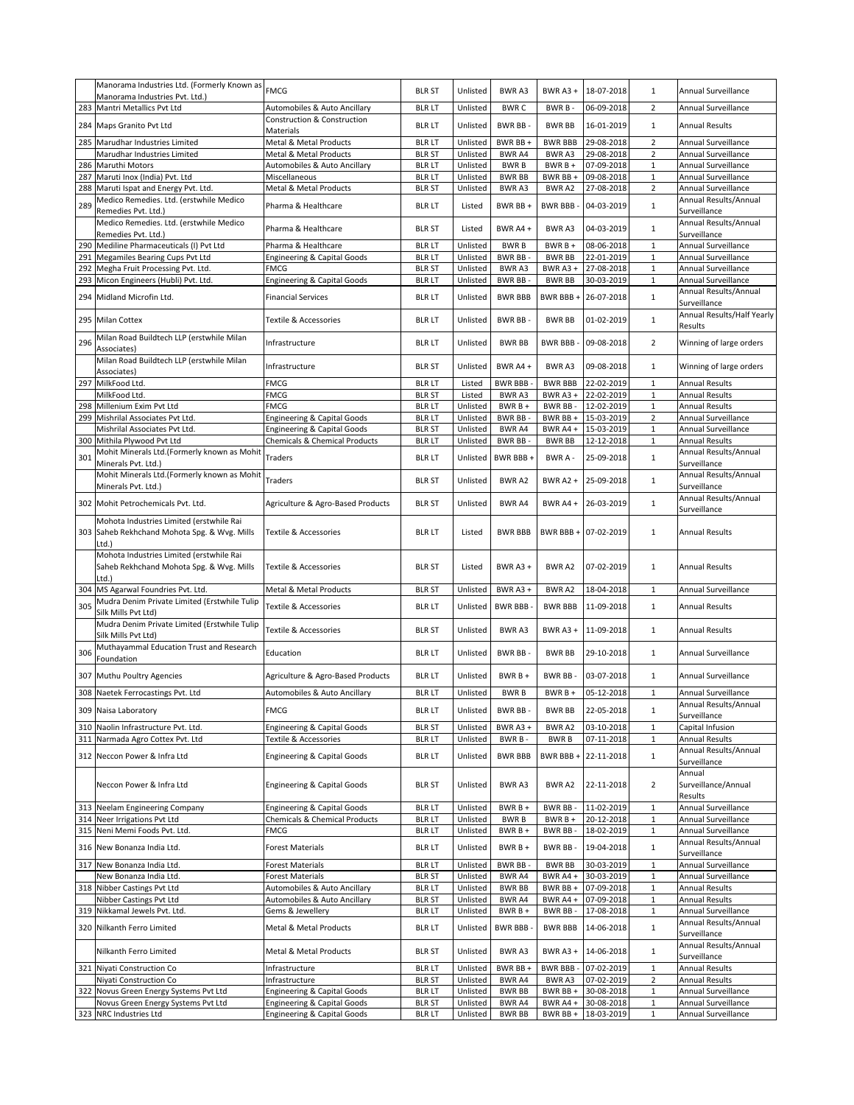|     | Manorama Industries Ltd. (Formerly Known as  | <b>FMCG</b>                            | <b>BLR ST</b> | Unlisted | BWR A3         | BWR A3 +        | 18-07-2018 | $\mathbf{1}$   | Annual Surveillance        |
|-----|----------------------------------------------|----------------------------------------|---------------|----------|----------------|-----------------|------------|----------------|----------------------------|
|     | Manorama Industries Pvt. Ltd.)               |                                        |               |          |                |                 |            |                |                            |
| 283 | Mantri Metallics Pvt Ltd                     | Automobiles & Auto Ancillary           | <b>BLR LT</b> | Unlisted | <b>BWRC</b>    | BWR B-          | 06-09-2018 | $\overline{2}$ | Annual Surveillance        |
|     | 284 Maps Granito Pvt Ltd                     | Construction & Construction            | <b>BLR LT</b> | Unlisted | BWR BB-        | <b>BWR BB</b>   | 16-01-2019 | $\mathbf{1}$   | <b>Annual Results</b>      |
|     |                                              | Materials                              |               |          |                |                 |            |                |                            |
| 285 | Marudhar Industries Limited                  | Metal & Metal Products                 | <b>BLR LT</b> | Unlisted | BWR BB +       | <b>BWR BBB</b>  | 29-08-2018 | $\overline{2}$ | Annual Surveillance        |
|     | Marudhar Industries Limited                  | Metal & Metal Products                 | <b>BLR ST</b> | Unlisted | BWR A4         | BWR A3          | 29-08-2018 | $\overline{2}$ | Annual Surveillance        |
| 286 | Maruthi Motors                               | Automobiles & Auto Ancillary           | <b>BLR LT</b> | Unlisted | <b>BWRB</b>    | BWR B +         | 07-09-2018 | $\mathbf{1}$   | Annual Surveillance        |
|     |                                              |                                        |               |          |                |                 |            |                | Annual Surveillance        |
|     | 287 Maruti Inox (India) Pvt. Ltd             | Miscellaneous                          | <b>BLR LT</b> | Unlisted | <b>BWR BB</b>  | BWR BB +        | 09-08-2018 | 1              |                            |
|     | 288 Maruti Ispat and Energy Pvt. Ltd.        | Metal & Metal Products                 | <b>BLR ST</b> | Unlisted | BWR A3         | BWR A2          | 27-08-2018 | $\overline{2}$ | Annual Surveillance        |
| 289 | Medico Remedies. Ltd. (erstwhile Medico      | Pharma & Healthcare                    | <b>BLR LT</b> | Listed   | BWR BB +       | <b>BWR BBB-</b> | 04-03-2019 | $\mathbf{1}$   | Annual Results/Annual      |
|     | Remedies Pvt. Ltd.)                          |                                        |               |          |                |                 |            |                | Surveillance               |
|     | Medico Remedies. Ltd. (erstwhile Medico      |                                        |               |          |                |                 |            |                | Annual Results/Annual      |
|     | Remedies Pvt. Ltd.)                          | Pharma & Healthcare                    | <b>BLR ST</b> | Listed   | BWR A4 +       | BWR A3          | 04-03-2019 | $\mathbf{1}$   | Surveillance               |
| 290 | Mediline Pharmaceuticals (I) Pvt Ltd         | Pharma & Healthcare                    | <b>BLR LT</b> | Unlisted | <b>BWRB</b>    | BWR B +         | 08-06-2018 | $\mathbf{1}$   | Annual Surveillance        |
|     |                                              |                                        | <b>BLR LT</b> |          |                | <b>BWR BB</b>   | 22-01-2019 | $\mathbf{1}$   |                            |
|     | 291 Megamiles Bearing Cups Pvt Ltd           | <b>Engineering &amp; Capital Goods</b> |               | Unlisted | BWR BB-        |                 |            |                | Annual Surveillance        |
|     | 292 Megha Fruit Processing Pvt. Ltd.         | FMCG                                   | <b>BLR ST</b> | Unlisted | BWR A3         | BWR A3+         | 27-08-2018 | $\mathbf{1}$   | Annual Surveillance        |
|     | 293 Micon Engineers (Hubli) Pvt. Ltd.        | <b>Engineering &amp; Capital Goods</b> | <b>BLR LT</b> | Unlisted | BWR BB-        | <b>BWR BB</b>   | 30-03-2019 | $\mathbf 1$    | Annual Surveillance        |
|     |                                              |                                        |               | Unlisted | <b>BWR BBB</b> | BWR BBB +       | 26-07-2018 | $\mathbf{1}$   | Annual Results/Annual      |
| 294 | Midland Microfin Ltd.                        | <b>Financial Services</b>              | <b>BLR LT</b> |          |                |                 |            |                | Surveillance               |
|     |                                              |                                        |               |          |                |                 |            |                | Annual Results/Half Yearly |
| 295 | <b>Milan Cottex</b>                          | Textile & Accessories                  | <b>BLR LT</b> | Unlisted | BWR BB-        | <b>BWR BB</b>   | 01-02-2019 | $\mathbf{1}$   | Results                    |
|     | Milan Road Buildtech LLP (erstwhile Milan    |                                        |               |          |                |                 |            |                |                            |
| 296 |                                              | Infrastructure                         | <b>BLR LT</b> | Unlisted | <b>BWR BB</b>  | <b>BWR BBB-</b> | 09-08-2018 | $\overline{2}$ | Winning of large orders    |
|     | Associates)                                  |                                        |               |          |                |                 |            |                |                            |
|     | Milan Road Buildtech LLP (erstwhile Milan    | Infrastructure                         | <b>BLR ST</b> | Unlisted | BWR A4 +       | BWR A3          | 09-08-2018 | $\mathbf{1}$   | Winning of large orders    |
|     | Associates)                                  |                                        |               |          |                |                 |            |                |                            |
|     | 297 MilkFood Ltd.                            | <b>FMCG</b>                            | <b>BLR LT</b> | Listed   | BWR BBB -      | <b>BWR BBB</b>  | 22-02-2019 | $\mathbf{1}$   | <b>Annual Results</b>      |
|     | MilkFood Ltd.                                | <b>FMCG</b>                            | <b>BLR ST</b> | Listed   | BWR A3         | BWR A3+         | 22-02-2019 | $\mathbf 1$    | <b>Annual Results</b>      |
|     | 298 Millenium Exim Pvt Ltd                   | FMCG                                   | <b>BLR LT</b> | Unlisted | BWR B +        | BWR BB-         | 12-02-2019 | $\mathbf{1}$   | <b>Annual Results</b>      |
|     | Mishrilal Associates Pvt Ltd.                |                                        | <b>BLR LT</b> | Unlisted | <b>BWR BB-</b> | BWR BB +        | 15-03-2019 | $\overline{2}$ | Annual Surveillance        |
| 299 |                                              | Engineering & Capital Goods            |               |          |                |                 |            |                |                            |
|     | Mishrilal Associates Pvt Ltd.                | Engineering & Capital Goods            | <b>BLR ST</b> | Unlisted | <b>BWR A4</b>  | BWR A4 +        | 15-03-2019 | $\mathbf 1$    | Annual Surveillance        |
| 300 | Mithila Plywood Pvt Ltd                      | Chemicals & Chemical Products          | <b>BLR LT</b> | Unlisted | BWR BB-        | <b>BWR BB</b>   | 12-12-2018 | $\mathbf{1}$   | <b>Annual Results</b>      |
| 301 | Mohit Minerals Ltd.(Formerly known as Mohit  | Traders                                | <b>BLR LT</b> | Unlisted | BWR BBB+       | BWR A -         | 25-09-2018 | $\mathbf 1$    | Annual Results/Annual      |
|     | Minerals Pvt. Ltd.)                          |                                        |               |          |                |                 |            |                | Surveillance               |
|     | Mohit Minerals Ltd.(Formerly known as Mohit  |                                        |               |          |                |                 |            |                | Annual Results/Annual      |
|     | Minerals Pvt. Ltd.)                          | Traders                                | <b>BLR ST</b> | Unlisted | <b>BWRA2</b>   | <b>BWR A2 +</b> | 25-09-2018 | $\mathbf{1}$   | Surveillance               |
|     |                                              |                                        |               |          |                |                 |            |                |                            |
|     | 302 Mohit Petrochemicals Pvt. Ltd.           | Agriculture & Agro-Based Products      | <b>BLR ST</b> | Unlisted | BWR A4         | BWR A4 +        | 26-03-2019 | $\mathbf{1}$   | Annual Results/Annual      |
|     |                                              |                                        |               |          |                |                 |            |                | Surveillance               |
|     | Mohota Industries Limited (erstwhile Rai     |                                        |               |          |                |                 |            |                |                            |
|     | 303 Saheb Rekhchand Mohota Spg. & Wvg. Mills | Textile & Accessories                  | <b>BLR LT</b> | Listed   | <b>BWR BBB</b> | BWR BBB +       | 07-02-2019 | $\mathbf{1}$   | <b>Annual Results</b>      |
|     | Ltd.)                                        |                                        |               |          |                |                 |            |                |                            |
|     | Mohota Industries Limited (erstwhile Rai     |                                        |               |          |                |                 |            |                |                            |
|     | Saheb Rekhchand Mohota Spg. & Wvg. Mills     | Textile & Accessories                  | <b>BLR ST</b> | Listed   | BWR A3+        | BWR A2          | 07-02-2019 | $\mathbf{1}$   | <b>Annual Results</b>      |
|     |                                              |                                        |               |          |                |                 |            |                |                            |
|     | Ltd.)                                        |                                        |               |          |                |                 |            |                |                            |
|     | 304 MS Agarwal Foundries Pvt. Ltd.           | Metal & Metal Products                 | <b>BLR ST</b> | Unlisted | BWR A3+        | BWR A2          | 18-04-2018 | $\mathbf{1}$   | Annual Surveillance        |
| 305 | Mudra Denim Private Limited (Erstwhile Tulip | Textile & Accessories                  | <b>BLR LT</b> | Unlisted | <b>BWR BBB</b> | <b>BWR BBB</b>  | 11-09-2018 | $\mathbf{1}$   | <b>Annual Results</b>      |
|     | Silk Mills Pvt Ltd)                          |                                        |               |          |                |                 |            |                |                            |
|     | Mudra Denim Private Limited (Erstwhile Tulip |                                        |               |          |                |                 |            |                |                            |
|     | Silk Mills Pvt Ltd)                          | Textile & Accessories                  | <b>BLR ST</b> | Unlisted | BWR A3         | BWR A3+         | 11-09-2018 | $\mathbf{1}$   | Annual Results             |
|     | Muthayammal Education Trust and Research     |                                        |               |          |                |                 |            |                |                            |
| 306 |                                              | Education                              | <b>BLR LT</b> | Unlisted | BWR BB-        | <b>BWR BB</b>   | 29-10-2018 | $\mathbf{1}$   | Annual Surveillance        |
|     | Foundation                                   |                                        |               |          |                |                 |            |                |                            |
|     | 307 Muthu Poultry Agencies                   | Agriculture & Agro-Based Products      | <b>BLR LT</b> | Unlisted | $BWRB+$        | BWR BB-         | 03-07-2018 | $\mathbf{1}$   | Annual Surveillance        |
|     |                                              |                                        |               |          |                |                 |            |                |                            |
|     | 308 Naetek Ferrocastings Pvt. Ltd            | Automobiles & Auto Ancillary           | <b>BLR LT</b> | Unlisted | <b>BWRB</b>    | $BWRB +$        | 05-12-2018 | $\mathbf{1}$   | Annual Surveillance        |
|     |                                              |                                        |               |          |                |                 |            |                | Annual Results/Annual      |
|     | 309 Naisa Laboratory                         | <b>FMCG</b>                            | <b>BLR LT</b> | Unlisted | BWR BB-        | <b>BWR BB</b>   | 22-05-2018 | $\mathbf{1}$   | Surveillance               |
| 310 | Naolin Infrastructure Pvt. Ltd.              | <b>Engineering &amp; Capital Goods</b> | <b>BLR ST</b> | Unlisted | BWR A3+        | BWR A2          | 03-10-2018 | $\mathbf{1}$   | Capital Infusion           |
|     |                                              |                                        |               |          |                |                 |            |                |                            |
|     | 311 Narmada Agro Cottex Pvt. Ltd             | Textile & Accessories                  | <b>BLR LT</b> | Unlisted | BWR B-         | <b>BWRB</b>     | 07-11-2018 | $\mathbf{1}$   | <b>Annual Results</b>      |
|     | 312 Neccon Power & Infra Ltd                 | <b>Engineering &amp; Capital Goods</b> | <b>BLR LT</b> | Unlisted | <b>BWR BBB</b> | BWR BBB +       | 22-11-2018 | 1              | Annual Results/Annual      |
|     |                                              |                                        |               |          |                |                 |            |                | Surveillance               |
|     |                                              |                                        |               |          |                |                 |            |                | Annual                     |
|     | Neccon Power & Infra Ltd                     | <b>Engineering &amp; Capital Goods</b> | <b>BLR ST</b> | Unlisted | BWR A3         | BWR A2          | 22-11-2018 | $\overline{2}$ | Surveillance/Annual        |
|     |                                              |                                        |               |          |                |                 |            |                | Results                    |
|     | 313 Neelam Engineering Company               | <b>Engineering &amp; Capital Goods</b> | <b>BLR LT</b> | Unlisted | BWR B +        | BWR BB-         | 11-02-2019 | $1\,$          | Annual Surveillance        |
|     |                                              |                                        |               |          |                |                 |            |                |                            |
| 314 | Neer Irrigations Pvt Ltd                     | Chemicals & Chemical Products          | <b>BLR LT</b> | Unlisted | <b>BWRB</b>    | BWR B +         | 20-12-2018 | $\mathbf{1}$   | Annual Surveillance        |
|     | 315 Neni Memi Foods Pvt. Ltd.                | FMCG                                   | <b>BLR LT</b> | Unlisted | BWR B +        | BWR BB-         | 18-02-2019 | $1\,$          | Annual Surveillance        |
| 316 | New Bonanza India Ltd.                       | <b>Forest Materials</b>                | <b>BLR LT</b> | Unlisted | BWR B +        | <b>BWR BB</b>   | 19-04-2018 | $\mathbf{1}$   | Annual Results/Annual      |
|     |                                              |                                        |               |          |                |                 |            |                | Surveillance               |
|     | 317 New Bonanza India Ltd.                   | <b>Forest Materials</b>                | <b>BLR LT</b> | Unlisted | BWR BB -       | <b>BWR BB</b>   | 30-03-2019 | $\mathbf 1$    | Annual Surveillance        |
|     | New Bonanza India Ltd.                       | <b>Forest Materials</b>                | <b>BLR ST</b> | Unlisted | BWR A4         | BWR A4 +        | 30-03-2019 | $1\,$          | Annual Surveillance        |
|     | 318 Nibber Castings Pvt Ltd                  |                                        |               |          |                | BWR BB +        | 07-09-2018 |                |                            |
|     |                                              | Automobiles & Auto Ancillary           | <b>BLR LT</b> | Unlisted | <b>BWR BB</b>  |                 |            | $1\,$          | <b>Annual Results</b>      |
|     | Nibber Castings Pvt Ltd                      | Automobiles & Auto Ancillary           | <b>BLR ST</b> | Unlisted | BWR A4         | BWR A4 +        | 07-09-2018 | $\,1\,$        | <b>Annual Results</b>      |
| 319 |                                              | Gems & Jewellery                       | <b>BLR LT</b> | Unlisted | BWR B +        | BWR BB-         | 17-08-2018 | $1\,$          | Annual Surveillance        |
|     | Nikkamal Jewels Pvt. Ltd.                    |                                        |               |          |                |                 |            |                |                            |
|     |                                              |                                        |               |          |                |                 |            |                | Annual Results/Annual      |
|     | 320 Nilkanth Ferro Limited                   | Metal & Metal Products                 | <b>BLR LT</b> | Unlisted | <b>BWR BBB</b> | <b>BWR BBB</b>  | 14-06-2018 | $\mathbf{1}$   | Surveillance               |
|     |                                              |                                        |               |          |                |                 |            |                |                            |
|     | Nilkanth Ferro Limited                       | Metal & Metal Products                 | <b>BLR ST</b> | Unlisted | BWR A3         | BWR A3 +        | 14-06-2018 | $\mathbf{1}$   | Annual Results/Annual      |
|     |                                              |                                        |               |          |                |                 |            |                | Surveillance               |
|     | 321 Niyati Construction Co                   | Infrastructure                         | <b>BLR LT</b> | Unlisted | BWR BB +       | BWR BBB -       | 07-02-2019 | $\mathbf{1}$   | <b>Annual Results</b>      |
|     | Niyati Construction Co                       | Infrastructure                         | <b>BLR ST</b> | Unlisted | BWR A4         | BWR A3          | 07-02-2019 | $\overline{2}$ | <b>Annual Results</b>      |
| 322 | Novus Green Energy Systems Pvt Ltd           | <b>Engineering &amp; Capital Goods</b> | <b>BLR LT</b> | Unlisted | <b>BWR BB</b>  | BWR BB +        | 30-08-2018 | $\mathbf{1}$   | Annual Surveillance        |
|     | Novus Green Energy Systems Pvt Ltd           | Engineering & Capital Goods            | <b>BLR ST</b> | Unlisted | BWR A4         | BWR A4 +        | 30-08-2018 | $1\,$          | Annual Surveillance        |
|     | 323 NRC Industries Ltd                       | <b>Engineering &amp; Capital Goods</b> | BLR LT        | Unlisted | <b>BWR BB</b>  | BWR BB +        | 18-03-2019 | 1              | Annual Surveillance        |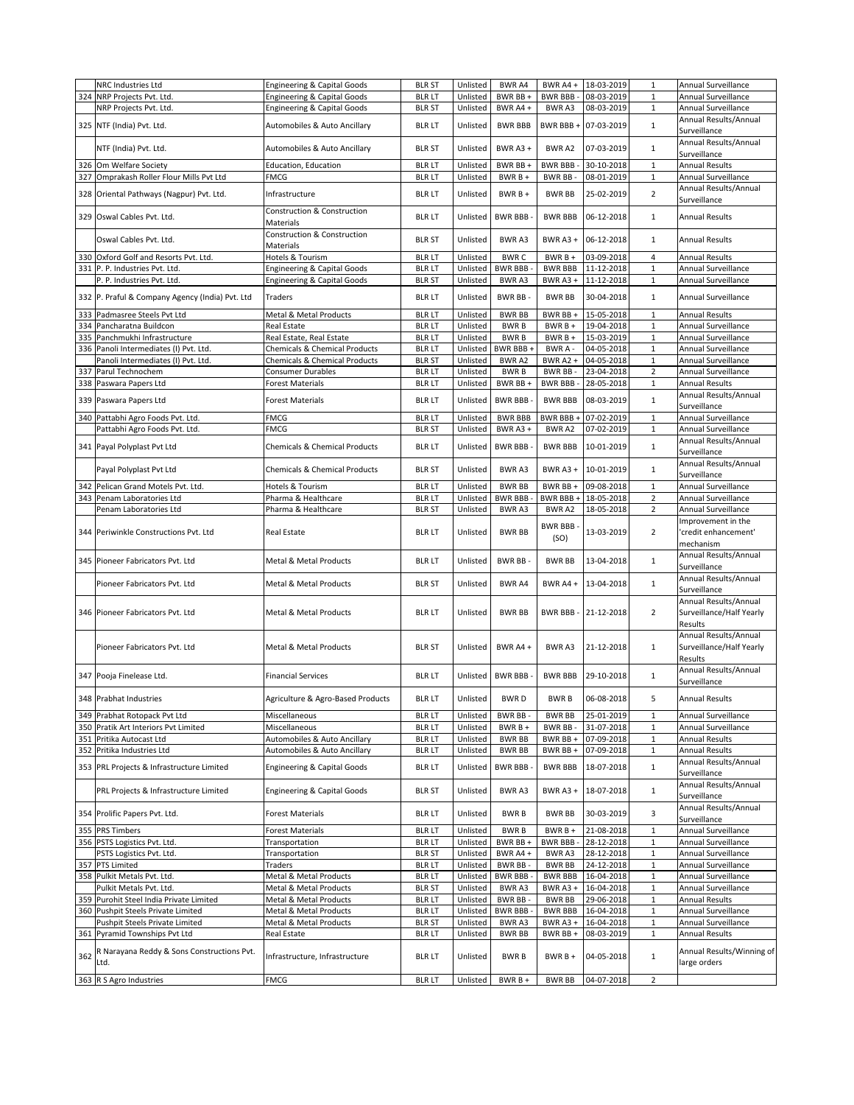|     | NRC Industries Ltd                              | Engineering & Capital Goods              | <b>BLR ST</b> | Unlisted | BWR A4         | BWR A4 +        | 18-03-2019 | $\mathbf{1}$   | Annual Surveillance       |
|-----|-------------------------------------------------|------------------------------------------|---------------|----------|----------------|-----------------|------------|----------------|---------------------------|
|     | 324 NRP Projects Pvt. Ltd.                      | <b>Engineering &amp; Capital Goods</b>   | <b>BLR LT</b> | Unlisted | BWR BB +       | <b>BWR BBB-</b> | 08-03-2019 | 1              | Annual Surveillance       |
|     | NRP Projects Pvt. Ltd.                          | <b>Engineering &amp; Capital Goods</b>   | <b>BLR ST</b> | Unlisted | BWR A4 +       | BWR A3          | 08-03-2019 | 1              | Annual Surveillance       |
|     |                                                 |                                          |               |          |                |                 |            |                |                           |
|     | 325 NTF (India) Pvt. Ltd.                       | Automobiles & Auto Ancillary             | <b>BLR LT</b> | Unlisted | <b>BWR BBB</b> | BWR BBB +       | 07-03-2019 | $\mathbf{1}$   | Annual Results/Annual     |
|     |                                                 |                                          |               |          |                |                 |            |                | Surveillance              |
|     |                                                 |                                          |               |          |                |                 |            |                | Annual Results/Annual     |
|     | NTF (India) Pvt. Ltd.                           | Automobiles & Auto Ancillary             | <b>BLR ST</b> | Unlisted | BWR A3+        | <b>BWRA2</b>    | 07-03-2019 | $\mathbf{1}$   | Surveillance              |
|     |                                                 |                                          |               |          |                |                 |            |                |                           |
|     | 326 Om Welfare Society                          | Education, Education                     | <b>BLR LT</b> | Unlisted | BWR BB +       | <b>BWR BBB-</b> | 30-10-2018 | $\mathbf{1}$   | <b>Annual Results</b>     |
|     | 327 Omprakash Roller Flour Mills Pvt Ltd        | <b>FMCG</b>                              | <b>BLR LT</b> | Unlisted | BWR B +        | BWR BB-         | 08-01-2019 | $\mathbf{1}$   | Annual Surveillance       |
|     |                                                 |                                          |               |          |                |                 |            |                | Annual Results/Annual     |
|     | 328 Oriental Pathways (Nagpur) Pvt. Ltd.        | Infrastructure                           | <b>BLR LT</b> | Unlisted | $BWRB +$       | <b>BWR BB</b>   | 25-02-2019 | $\overline{2}$ |                           |
|     |                                                 |                                          |               |          |                |                 |            |                | Surveillance              |
|     | 329 Oswal Cables Pvt. Ltd.                      | Construction & Construction              | <b>BLR LT</b> | Unlisted | <b>BWR BBB</b> | <b>BWR BBB</b>  | 06-12-2018 | $\mathbf{1}$   | <b>Annual Results</b>     |
|     |                                                 | Materials                                |               |          |                |                 |            |                |                           |
|     |                                                 | Construction & Construction              |               |          |                |                 |            |                |                           |
|     | Oswal Cables Pvt. Ltd.                          | Materials                                | <b>BLR ST</b> | Unlisted | BWR A3         | BWR A3+         | 06-12-2018 | $\mathbf{1}$   | <b>Annual Results</b>     |
|     |                                                 |                                          |               |          |                |                 |            |                |                           |
|     | 330 Oxford Golf and Resorts Pvt. Ltd.           | Hotels & Tourism                         | <b>BLR LT</b> | Unlisted | <b>BWRC</b>    | BWR B +         | 03-09-2018 | 4              | <b>Annual Results</b>     |
|     | 331 P. P. Industries Pvt. Ltd.                  | Engineering & Capital Goods              | <b>BLR LT</b> | Unlisted | <b>BWR BBB</b> | BWR BBB         | 11-12-2018 | 1              | Annual Surveillance       |
|     | P. P. Industries Pvt. Ltd.                      | Engineering & Capital Goods              | <b>BLR ST</b> | Unlisted | BWR A3         | BWR A3+         | 11-12-2018 | $\mathbf{1}$   | Annual Surveillance       |
|     |                                                 |                                          |               |          |                |                 |            |                |                           |
|     | 332 P. Praful & Company Agency (India) Pvt. Ltd | Traders                                  | <b>BLR LT</b> | Unlisted | <b>BWR BB</b>  | <b>BWR BB</b>   | 30-04-2018 | $\mathbf{1}$   | Annual Surveillance       |
|     |                                                 |                                          |               |          |                |                 |            |                |                           |
|     | 333 Padmasree Steels Pvt Ltd                    | Metal & Metal Products                   | <b>BLR LT</b> | Unlisted | <b>BWR BB</b>  | BWR BB+         | 15-05-2018 | $\mathbf{1}$   | <b>Annual Results</b>     |
|     | 334 Pancharatna Buildcon                        | Real Estate                              | <b>BLR LT</b> | Unlisted | <b>BWRB</b>    | $BWRB +$        | 19-04-2018 | $1\,$          | Annual Surveillance       |
|     |                                                 |                                          |               |          |                |                 | 15-03-2019 |                |                           |
|     | 335 Panchmukhi Infrastructure                   | Real Estate, Real Estate                 | <b>BLR LT</b> | Unlisted | <b>BWRB</b>    | $BWRB +$        |            | $\mathbf 1$    | Annual Surveillance       |
|     | 336 Panoli Intermediates (I) Pvt. Ltd.          | Chemicals & Chemical Products            | <b>BLR LT</b> | Unlisted | BWR BBB+       | BWR A -         | 04-05-2018 | $\mathbf{1}$   | Annual Surveillance       |
|     | Panoli Intermediates (I) Pvt. Ltd.              | <b>Chemicals &amp; Chemical Products</b> | <b>BLR ST</b> | Unlisted | BWR A2         | <b>BWR A2 +</b> | 04-05-2018 | 1              | Annual Surveillance       |
|     | 337 Parul Technochem                            | <b>Consumer Durables</b>                 | <b>BLR LT</b> | Unlisted | <b>BWRB</b>    | BWR BB-         | 23-04-2018 | $\overline{2}$ | Annual Surveillance       |
|     |                                                 |                                          |               |          |                |                 |            |                |                           |
|     | 338 Paswara Papers Ltd                          | <b>Forest Materials</b>                  | <b>BLR LT</b> | Unlisted | BWR BB +       | <b>BWR BBB-</b> | 28-05-2018 | $\mathbf{1}$   | <b>Annual Results</b>     |
|     |                                                 |                                          |               |          | <b>BWR BBB</b> |                 | 08-03-2019 | $\mathbf 1$    | Annual Results/Annual     |
|     | 339 Paswara Papers Ltd                          | <b>Forest Materials</b>                  | <b>BLR LT</b> | Unlisted |                | <b>BWR BBB</b>  |            |                | Surveillance              |
|     | 340 Pattabhi Agro Foods Pvt. Ltd.               | <b>FMCG</b>                              | <b>BLR LT</b> | Unlisted | <b>BWR BBB</b> | BWR BBB +       | 07-02-2019 | $\mathbf 1$    | Annual Surveillance       |
|     |                                                 |                                          |               |          |                |                 |            |                |                           |
|     | Pattabhi Agro Foods Pvt. Ltd.                   | <b>FMCG</b>                              | <b>BLR ST</b> | Unlisted | BWR A3+        | BWR A2          | 07-02-2019 | $\mathbf 1$    | Annual Surveillance       |
|     |                                                 |                                          |               |          |                |                 |            |                | Annual Results/Annual     |
|     | 341 Payal Polyplast Pvt Ltd                     | <b>Chemicals &amp; Chemical Products</b> | <b>BLR LT</b> | Unlisted | <b>BWR BBB</b> | <b>BWR BBB</b>  | 10-01-2019 | $\mathbf{1}$   | Surveillance              |
|     |                                                 |                                          |               |          |                |                 |            |                |                           |
|     | Payal Polyplast Pvt Ltd                         | <b>Chemicals &amp; Chemical Products</b> | <b>BLR ST</b> | Unlisted | BWR A3         | BWR A3+         | 10-01-2019 | $\mathbf{1}$   | Annual Results/Annual     |
|     |                                                 |                                          |               |          |                |                 |            |                | Surveillance              |
|     | 342 Pelican Grand Motels Pvt. Ltd.              | Hotels & Tourism                         | <b>BLR LT</b> | Unlisted | <b>BWR BB</b>  | BWR BB +        | 09-08-2018 | $\mathbf{1}$   | Annual Surveillance       |
|     | 343 Penam Laboratories Ltd                      | Pharma & Healthcare                      | <b>BLR LT</b> | Unlisted | <b>BWR BBB</b> | BWR BBB+        | 18-05-2018 | $\overline{2}$ | Annual Surveillance       |
|     |                                                 |                                          |               |          |                |                 |            |                |                           |
|     | Penam Laboratories Ltd                          | Pharma & Healthcare                      | <b>BLR ST</b> | Unlisted | BWR A3         | BWR A2          | 18-05-2018 | $\overline{2}$ | Annual Surveillance       |
|     |                                                 |                                          |               |          |                | <b>BWR BBB</b>  |            |                | Improvement in the        |
|     | 344 Periwinkle Constructions Pvt. Ltd           | <b>Real Estate</b>                       | <b>BLR LT</b> | Unlisted | <b>BWR BB</b>  |                 | 13-03-2019 | $\overline{2}$ | 'credit enhancement'      |
|     |                                                 |                                          |               |          |                | (SO)            |            |                |                           |
|     |                                                 |                                          |               |          |                |                 |            |                |                           |
|     |                                                 |                                          |               |          |                |                 |            |                | mechanism                 |
|     |                                                 |                                          |               |          |                |                 |            |                | Annual Results/Annual     |
|     | 345 Pioneer Fabricators Pvt. Ltd                | Metal & Metal Products                   | <b>BLR LT</b> | Unlisted | <b>BWR BB-</b> | <b>BWR BB</b>   | 13-04-2018 | $\mathbf{1}$   | Surveillance              |
|     |                                                 |                                          |               |          |                |                 |            |                |                           |
|     | Pioneer Fabricators Pvt. Ltd                    | Metal & Metal Products                   | <b>BLR ST</b> | Unlisted | BWR A4         | BWR A4 +        | 13-04-2018 | $\mathbf{1}$   | Annual Results/Annual     |
|     |                                                 |                                          |               |          |                |                 |            |                | Surveillance              |
|     |                                                 |                                          |               |          |                |                 |            |                | Annual Results/Annual     |
|     |                                                 |                                          |               |          |                |                 |            | $\overline{2}$ |                           |
|     | 346 Pioneer Fabricators Pvt. Ltd                | Metal & Metal Products                   | <b>BLR LT</b> | Unlisted | <b>BWR BB</b>  | <b>BWR BBB-</b> | 21-12-2018 |                | Surveillance/Half Yearly  |
|     |                                                 |                                          |               |          |                |                 |            |                | Results                   |
|     |                                                 |                                          |               |          |                |                 |            |                | Annual Results/Annual     |
|     | Pioneer Fabricators Pvt. Ltd                    | Metal & Metal Products                   | <b>BLR ST</b> | Unlisted | BWR A4+        | BWR A3          | 21-12-2018 | 1              | Surveillance/Half Yearly  |
|     |                                                 |                                          |               |          |                |                 |            |                |                           |
|     |                                                 |                                          |               |          |                |                 |            |                | Results                   |
|     |                                                 | <b>Financial Services</b>                | <b>BLR LT</b> | Unlisted | <b>BWR BBB</b> | <b>BWR BBB</b>  | 29-10-2018 | $\mathbf{1}$   | Annual Results/Annual     |
|     | 347 Pooja Finelease Ltd.                        |                                          |               |          |                |                 |            |                | Surveillance              |
|     |                                                 |                                          |               |          |                |                 |            |                |                           |
|     | 348 Prabhat Industries                          | Agriculture & Agro-Based Products        | <b>BLR LT</b> | Unlisted | <b>BWRD</b>    | <b>BWRB</b>     | 06-08-2018 | 5              | <b>Annual Results</b>     |
|     |                                                 |                                          |               |          |                |                 |            |                |                           |
|     | 349 Prabhat Rotopack Pvt Ltd                    | Miscellaneous                            | <b>BLR LT</b> | Unlisted | BWR BB -       | <b>BWR BB</b>   | 25-01-2019 | $\mathbf{1}$   | Annual Surveillance       |
|     | 350 Pratik Art Interiors Pvt Limited            | Miscellaneous                            | <b>BLR LT</b> | Unlisted | $BWRB+$        | BWR BB-         | 31-07-2018 | $\mathbf{1}$   | Annual Surveillance       |
|     | 351 Pritika Autocast Ltd                        | Automobiles & Auto Ancillary             | <b>BLR LT</b> | Unlisted | <b>BWR BB</b>  | BWR BB +        | 07-09-2018 | $\,1\,$        | <b>Annual Results</b>     |
|     |                                                 |                                          |               | Unlisted |                |                 |            |                |                           |
|     | 352 Pritika Industries Ltd                      | Automobiles & Auto Ancillary             | <b>BLR LT</b> |          | <b>BWR BB</b>  | BWR BB +        | 07-09-2018 | $\mathbf{1}$   | <b>Annual Results</b>     |
|     | 353 PRL Projects & Infrastructure Limited       | Engineering & Capital Goods              | <b>BLR LT</b> | Unlisted | <b>BWR BBB</b> | <b>BWR BBB</b>  | 18-07-2018 | $\mathbf{1}$   | Annual Results/Annual     |
|     |                                                 |                                          |               |          |                |                 |            |                | Surveillance              |
|     |                                                 |                                          |               |          |                |                 |            |                | Annual Results/Annual     |
|     | PRL Projects & Infrastructure Limited           | <b>Engineering &amp; Capital Goods</b>   | <b>BLR ST</b> | Unlisted | BWR A3         | BWR A3 +        | 18-07-2018 | $\mathbf{1}$   |                           |
|     |                                                 |                                          |               |          |                |                 |            |                | Surveillance              |
|     | 354 Prolific Papers Pvt. Ltd.                   | <b>Forest Materials</b>                  | <b>BLR LT</b> | Unlisted | <b>BWRB</b>    | <b>BWR BB</b>   | 30-03-2019 | 3              | Annual Results/Annual     |
|     |                                                 |                                          |               |          |                |                 |            |                | Surveillance              |
|     | 355 PRS Timbers                                 | <b>Forest Materials</b>                  | <b>BLR LT</b> | Unlisted | <b>BWRB</b>    | BWR B +         | 21-08-2018 | $\mathbf 1$    | Annual Surveillance       |
|     |                                                 |                                          |               |          |                |                 |            |                |                           |
|     | 356 PSTS Logistics Pvt. Ltd.                    | Transportation                           | <b>BLR LT</b> | Unlisted | BWR BB +       | BWR BBB -       | 28-12-2018 | $\mathbf{1}$   | Annual Surveillance       |
|     | PSTS Logistics Pvt. Ltd.                        | Transportation                           | <b>BLR ST</b> | Unlisted | BWR A4+        | BWR A3          | 28-12-2018 | $1\,$          | Annual Surveillance       |
|     | 357 PTS Limited                                 | Traders                                  | <b>BLR LT</b> | Unlisted | BWR BB-        | <b>BWR BB</b>   | 24-12-2018 | $\,1\,$        | Annual Surveillance       |
|     |                                                 | Metal & Metal Products                   | <b>BLR LT</b> |          | <b>BWR BBB</b> | <b>BWR BBB</b>  |            | $1\,$          | Annual Surveillance       |
|     | 358 Pulkit Metals Pvt. Ltd.                     |                                          |               | Unlisted |                |                 | 16-04-2018 |                |                           |
|     | Pulkit Metals Pvt. Ltd.                         | Metal & Metal Products                   | <b>BLR ST</b> | Unlisted | BWR A3         | BWR A3+         | 16-04-2018 | 1              | Annual Surveillance       |
|     | 359 Purohit Steel India Private Limited         | Metal & Metal Products                   | <b>BLR LT</b> | Unlisted | BWR BB-        | <b>BWR BB</b>   | 29-06-2018 | $\mathbf{1}$   | <b>Annual Results</b>     |
|     | 360 Pushpit Steels Private Limited              | Metal & Metal Products                   | <b>BLR LT</b> | Unlisted | <b>BWR BBB</b> | <b>BWR BBB</b>  | 16-04-2018 | $1\,$          | Annual Surveillance       |
|     |                                                 |                                          |               |          |                |                 |            |                |                           |
|     | Pushpit Steels Private Limited                  | Metal & Metal Products                   | <b>BLR ST</b> | Unlisted | BWR A3         | BWR A3 +        | 16-04-2018 | $1\,$          | Annual Surveillance       |
|     | 361 Pyramid Townships Pvt Ltd                   | Real Estate                              | <b>BLR LT</b> | Unlisted | <b>BWR BB</b>  | BWR BB+         | 08-03-2019 | $\mathbf{1}$   | <b>Annual Results</b>     |
|     |                                                 |                                          |               |          |                |                 |            |                |                           |
| 362 | R Narayana Reddy & Sons Constructions Pvt.      | Infrastructure, Infrastructure           | <b>BLR LT</b> | Unlisted | <b>BWRB</b>    | BWR B +         | 04-05-2018 | $\mathbf{1}$   | Annual Results/Winning of |
|     | Ltd.                                            |                                          |               |          |                |                 |            |                | large orders              |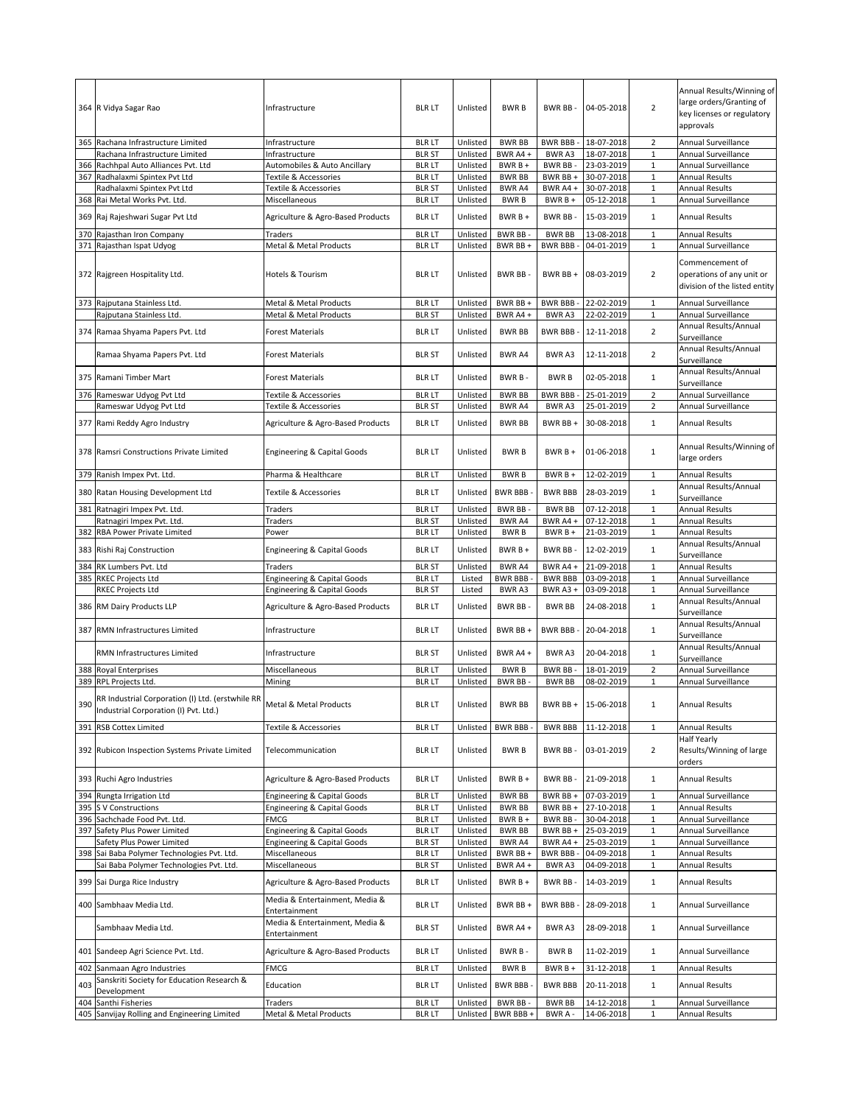|     | 364 R Vidya Sagar Rao                                                                     | Infrastructure                                        | <b>BLR LT</b>                  | Unlisted             | <b>BWRB</b>              | BWR BB-                          | 04-05-2018               | $\overline{2}$               | Annual Results/Winning of<br>large orders/Granting of<br>key licenses or regulatory<br>approvals |
|-----|-------------------------------------------------------------------------------------------|-------------------------------------------------------|--------------------------------|----------------------|--------------------------|----------------------------------|--------------------------|------------------------------|--------------------------------------------------------------------------------------------------|
|     | 365 Rachana Infrastructure Limited                                                        | Infrastructure                                        | <b>BLR LT</b>                  | Unlisted             | <b>BWR BB</b>            | BWR BBB -                        | 18-07-2018               | $\overline{2}$               | Annual Surveillance                                                                              |
|     | Rachana Infrastructure Limited                                                            | Infrastructure                                        | <b>BLR ST</b>                  | Unlisted             | BWR A4+                  | BWR A3                           | 18-07-2018               | $\mathbf{1}$                 | Annual Surveillance                                                                              |
|     | 366 Rachhpal Auto Alliances Pvt. Ltd                                                      | Automobiles & Auto Ancillary                          | <b>BLR LT</b>                  | Unlisted             | BWR B +                  | BWR BB-                          | 23-03-2019               | $\mathbf{1}$                 | Annual Surveillance                                                                              |
|     | 367 Radhalaxmi Spintex Pvt Ltd                                                            | Textile & Accessories                                 | <b>BLR LT</b>                  | Unlisted             | <b>BWR BB</b>            | BWR BB +                         | 30-07-2018               | $\,1\,$                      | <b>Annual Results</b>                                                                            |
|     | Radhalaxmi Spintex Pvt Ltd                                                                | Textile & Accessories                                 | <b>BLR ST</b>                  | Unlisted             | BWR A4                   | BWR A4 +                         | 30-07-2018               | $\mathbf 1$                  | <b>Annual Results</b>                                                                            |
|     | 368 Rai Metal Works Pvt. Ltd.                                                             | Miscellaneous                                         | <b>BLR LT</b>                  | Unlisted             | <b>BWRB</b>              | $BWRB +$                         | 05-12-2018               | $\mathbf{1}$                 | Annual Surveillance                                                                              |
|     | 369 Raj Rajeshwari Sugar Pvt Ltd                                                          | Agriculture & Agro-Based Products                     | <b>BLR LT</b>                  | Unlisted             | $BWRB+$                  | <b>BWR BB</b>                    | 15-03-2019               | $\mathbf 1$                  | <b>Annual Results</b><br><b>Annual Results</b>                                                   |
|     | 370 Rajasthan Iron Company<br>371 Rajasthan Ispat Udyog                                   | Traders<br>Metal & Metal Products                     | <b>BLR LT</b><br><b>BLR LT</b> | Unlisted<br>Unlisted | BWR BB-<br>BWR BB +      | <b>BWR BB</b><br><b>BWR BBB-</b> | 13-08-2018<br>04-01-2019 | $\mathbf{1}$<br>$\mathbf{1}$ | Annual Surveillance                                                                              |
|     |                                                                                           |                                                       |                                |                      |                          |                                  |                          |                              |                                                                                                  |
|     | 372 Rajgreen Hospitality Ltd.                                                             | Hotels & Tourism                                      | <b>BLR LT</b>                  | Unlisted             | <b>BWR BB</b>            | BWR BB +                         | 08-03-2019               | $\overline{2}$               | Commencement of<br>operations of any unit or<br>division of the listed entity                    |
|     | 373 Rajputana Stainless Ltd.                                                              | Metal & Metal Products                                | <b>BLR LT</b>                  | Unlisted             | BWR BB +                 | <b>BWR BBB-</b>                  | 22-02-2019               | $\mathbf 1$                  | Annual Surveillance                                                                              |
|     | Rajputana Stainless Ltd.                                                                  | Metal & Metal Products                                | <b>BLR ST</b>                  | Unlisted             | BWR A4+                  | BWR A3                           | 22-02-2019               | $\mathbf 1$                  | Annual Surveillance                                                                              |
|     | 374 Ramaa Shyama Papers Pvt. Ltd                                                          | <b>Forest Materials</b>                               | <b>BLR LT</b>                  | Unlisted             | <b>BWR BB</b>            | <b>BWR BBB-</b>                  | 12-11-2018               | $\overline{2}$               | Annual Results/Annual<br>Surveillance                                                            |
|     | Ramaa Shyama Papers Pvt. Ltd                                                              | <b>Forest Materials</b>                               | <b>BLR ST</b>                  | Unlisted             | BWR A4                   | BWR A3                           | 12-11-2018               | $\overline{2}$               | Annual Results/Annual<br>Surveillance                                                            |
|     | 375 Ramani Timber Mart                                                                    | Forest Materials                                      | <b>BLR LT</b>                  | Unlisted             | BWR B-                   | <b>BWRB</b>                      | 02-05-2018               | $\mathbf{1}$                 | Annual Results/Annual<br>Surveillance                                                            |
|     | 376 Rameswar Udyog Pvt Ltd                                                                | Textile & Accessories                                 | <b>BLR LT</b>                  | Unlisted             | <b>BWR BB</b>            | <b>BWR BBB</b>                   | 25-01-2019               | $\overline{2}$               | Annual Surveillance                                                                              |
|     | Rameswar Udyog Pvt Ltd                                                                    | Textile & Accessories                                 | <b>BLR ST</b>                  | Unlisted             | BWR A4                   | BWR A3                           | 25-01-2019               | $\overline{2}$               | Annual Surveillance                                                                              |
|     | 377 Rami Reddy Agro Industry                                                              | Agriculture & Agro-Based Products                     | <b>BLR LT</b>                  | Unlisted             | <b>BWR BB</b>            | BWR BB+                          | 30-08-2018               | $\mathbf{1}$                 | Annual Results                                                                                   |
|     | 378 Ramsri Constructions Private Limited                                                  | <b>Engineering &amp; Capital Goods</b>                | <b>BLR LT</b>                  | Unlisted             | <b>BWRB</b>              | $BWRB +$                         | 01-06-2018               | $\mathbf{1}$                 | Annual Results/Winning of<br>large orders                                                        |
|     | 379 Ranish Impex Pvt. Ltd.                                                                | Pharma & Healthcare                                   | <b>BLR LT</b>                  | Unlisted             | <b>BWRB</b>              | $BWRB +$                         | 12-02-2019               | $\mathbf{1}$                 | Annual Results                                                                                   |
|     | 380 Ratan Housing Development Ltd                                                         | Textile & Accessories                                 | <b>BLR LT</b>                  | Unlisted             | <b>BWR BBB</b>           | <b>BWR BBB</b>                   | 28-03-2019               | $\mathbf 1$                  | Annual Results/Annual<br>Surveillance                                                            |
| 381 | Ratnagiri Impex Pvt. Ltd.                                                                 | Traders                                               | <b>BLR LT</b>                  | Unlisted             | BWR BB-                  | <b>BWR BB</b>                    | 07-12-2018               | $\mathbf{1}$                 | <b>Annual Results</b>                                                                            |
|     | Ratnagiri Impex Pvt. Ltd.                                                                 | Traders                                               | <b>BLR ST</b>                  | Unlisted             | BWR A4                   | BWR A4 +                         | 07-12-2018               | $\mathbf{1}$                 | <b>Annual Results</b>                                                                            |
| 382 | RBA Power Private Limited                                                                 | Power                                                 | <b>BLR LT</b>                  | Unlisted             | <b>BWRB</b>              | BWR B +                          | 21-03-2019               | $\mathbf 1$                  | Annual Results                                                                                   |
| 383 | Rishi Raj Construction                                                                    | <b>Engineering &amp; Capital Goods</b>                | <b>BLR LT</b>                  | Unlisted             | $BWRB +$                 | <b>BWR BB</b>                    | 12-02-2019               | $\mathbf{1}$                 | Annual Results/Annual<br>Surveillance                                                            |
| 384 | RK Lumbers Pvt. Ltd                                                                       | Traders                                               | <b>BLR ST</b>                  | Unlisted             | BWR A4                   | BWR A4 +                         | 21-09-2018               | $\mathbf 1$                  | <b>Annual Results</b>                                                                            |
| 385 | <b>RKEC Projects Ltd</b>                                                                  | <b>Engineering &amp; Capital Goods</b>                | <b>BLR LT</b>                  | Listed               | <b>BWR BBB</b>           | <b>BWR BBB</b>                   | 03-09-2018               | $\mathbf 1$                  | Annual Surveillance                                                                              |
|     | RKEC Projects Ltd                                                                         | <b>Engineering &amp; Capital Goods</b>                | <b>BLR ST</b>                  | Listed               | BWR A3                   | BWR A3+                          | 03-09-2018               | $\mathbf 1$                  | Annual Surveillance                                                                              |
|     | 386 RM Dairy Products LLP                                                                 | Agriculture & Agro-Based Products                     | <b>BLR LT</b>                  | Unlisted             | BWR BB-                  | <b>BWR BB</b>                    | 24-08-2018               | $\mathbf{1}$                 | Annual Results/Annual<br>Surveillance                                                            |
| 387 | <b>RMN Infrastructures Limited</b>                                                        | Infrastructure                                        | <b>BLR LT</b>                  | Unlisted             | BWR BB +                 | <b>BWR BBB-</b>                  | 20-04-2018               | $\mathbf{1}$                 | Annual Results/Annual<br>Surveillance                                                            |
|     | RMN Infrastructures Limited                                                               | Infrastructure                                        | <b>BLR ST</b>                  | Unlisted             | BWR A4+                  | BWR A3                           | 20-04-2018               | $\mathbf{1}$                 | Annual Results/Annual<br>Surveillance                                                            |
|     | 388 Royal Enterprises                                                                     | Miscellaneous                                         | <b>BLR LT</b>                  | Unlisted             | <b>BWRB</b>              | BWR BB-                          | 18-01-2019               | $\overline{2}$               | Annual Surveillance                                                                              |
|     | 389 RPL Projects Ltd.                                                                     | Mining                                                | <b>BLR LT</b>                  | Unlisted             | <b>BWR BB</b>            | <b>BWR BB</b>                    | 08-02-2019               | $\mathbf 1$                  | Annual Surveillance                                                                              |
| 390 | RR Industrial Corporation (I) Ltd. (erstwhile RR<br>Industrial Corporation (I) Pvt. Ltd.) | Metal & Metal Products                                | <b>BLR LT</b>                  | Unlisted             | <b>BWR BB</b>            | BWR BB +                         | 15-06-2018               |                              | <b>Annual Results</b>                                                                            |
|     | 391 RSB Cottex Limited                                                                    | Textile & Accessories                                 | <b>BLR LT</b>                  | Unlisted             | <b>BWR BBB</b>           | <b>BWR BBB</b>                   | 11-12-2018               | $\mathbf{1}$                 | <b>Annual Results</b>                                                                            |
|     | 392 Rubicon Inspection Systems Private Limited                                            | Telecommunication                                     | <b>BLR LT</b>                  | Unlisted             | <b>BWRB</b>              | BWR BB-                          | 03-01-2019               | $\overline{2}$               | Half Yearly<br>Results/Winning of large<br>orders                                                |
|     | 393 Ruchi Agro Industries                                                                 | Agriculture & Agro-Based Products                     | <b>BLR LT</b>                  | Unlisted             | BWR B +                  | BWR BB-                          | 21-09-2018               | $\mathbf{1}$                 | Annual Results                                                                                   |
| 394 | Rungta Irrigation Ltd                                                                     | <b>Engineering &amp; Capital Goods</b>                | <b>BLR LT</b>                  | Unlisted             | <b>BWR BB</b>            | BWR BB +                         | 07-03-2019               | $\mathbf{1}$                 | Annual Surveillance                                                                              |
|     | 395 S V Constructions                                                                     | Engineering & Capital Goods                           | <b>BLR LT</b>                  | Unlisted             | <b>BWR BB</b>            | BWR BB +                         | 27-10-2018<br>30-04-2018 | $\mathbf 1$                  | Annual Results<br>Annual Surveillance                                                            |
|     | 396 Sachchade Food Pvt. Ltd.<br>397 Safety Plus Power Limited                             | <b>FMCG</b><br><b>Engineering &amp; Capital Goods</b> | <b>BLR LT</b><br><b>BLR LT</b> | Unlisted<br>Unlisted | BWR B +<br><b>BWR BB</b> | BWR BB-<br>BWR BB +              | 25-03-2019               | $1\,$<br>1                   | Annual Surveillance                                                                              |
|     | Safety Plus Power Limited                                                                 | <b>Engineering &amp; Capital Goods</b>                | <b>BLR ST</b>                  | Unlisted             | BWR A4                   | BWR A4 +                         | 25-03-2019               | $\mathbf 1$                  | Annual Surveillance                                                                              |
|     | 398 Sai Baba Polymer Technologies Pvt. Ltd.                                               | Miscellaneous                                         | <b>BLR LT</b>                  | Unlisted             | BWR BB+                  | <b>BWR BBB-</b>                  | 04-09-2018               | $\mathbf 1$                  | <b>Annual Results</b>                                                                            |
|     | Sai Baba Polymer Technologies Pvt. Ltd.                                                   | Miscellaneous                                         | <b>BLR ST</b>                  | Unlisted             | BWR A4 +                 | BWR A3                           | 04-09-2018               | $1\,$                        | <b>Annual Results</b>                                                                            |
|     | 399 Sai Durga Rice Industry                                                               | Agriculture & Agro-Based Products                     | <b>BLR LT</b>                  | Unlisted             | BWR B +                  | BWR BB-                          | 14-03-2019               | $\mathbf 1$                  | Annual Results                                                                                   |
|     | 400 Sambhaav Media Ltd.                                                                   | Media & Entertainment, Media &<br>Entertainment       | <b>BLR LT</b>                  | Unlisted             | BWR BB +                 | <b>BWR BBB-</b>                  | 28-09-2018               | $\mathbf{1}$                 | Annual Surveillance                                                                              |
|     | Sambhaav Media Ltd.                                                                       | Media & Entertainment, Media &<br>Entertainment       | <b>BLR ST</b>                  | Unlisted             | BWR A4+                  | BWR A3                           | 28-09-2018               | $\mathbf{1}$                 | Annual Surveillance                                                                              |
|     | 401 Sandeep Agri Science Pvt. Ltd.                                                        | Agriculture & Agro-Based Products                     | <b>BLR LT</b>                  | Unlisted             | BWR B-                   | <b>BWRB</b>                      | 11-02-2019               | $\mathbf{1}$                 | Annual Surveillance                                                                              |
| 402 | Sanmaan Agro Industries                                                                   | FMCG                                                  | <b>BLR LT</b>                  | Unlisted             | <b>BWRB</b>              | BWR B +                          | 31-12-2018               | $\,1\,$                      | Annual Results                                                                                   |
|     | Sanskriti Society for Education Research &                                                |                                                       |                                |                      |                          |                                  |                          |                              |                                                                                                  |
| 403 | Development                                                                               | Education                                             | <b>BLR LT</b>                  | Unlisted             | <b>BWR BBB</b>           | <b>BWR BBB</b>                   | 20-11-2018               | $\mathbf{1}$                 | Annual Results                                                                                   |
|     | 404 Santhi Fisheries                                                                      | Traders                                               | <b>BLR LT</b>                  | Unlisted             | BWR BB-                  | <b>BWR BB</b>                    | 14-12-2018               | $1\,$                        | Annual Surveillance                                                                              |
|     | 405 Sanvijay Rolling and Engineering Limited                                              | Metal & Metal Products                                | <b>BLR LT</b>                  | Unlisted             | BWR BBB +                | BWR A-                           | 14-06-2018               | 1                            | Annual Results                                                                                   |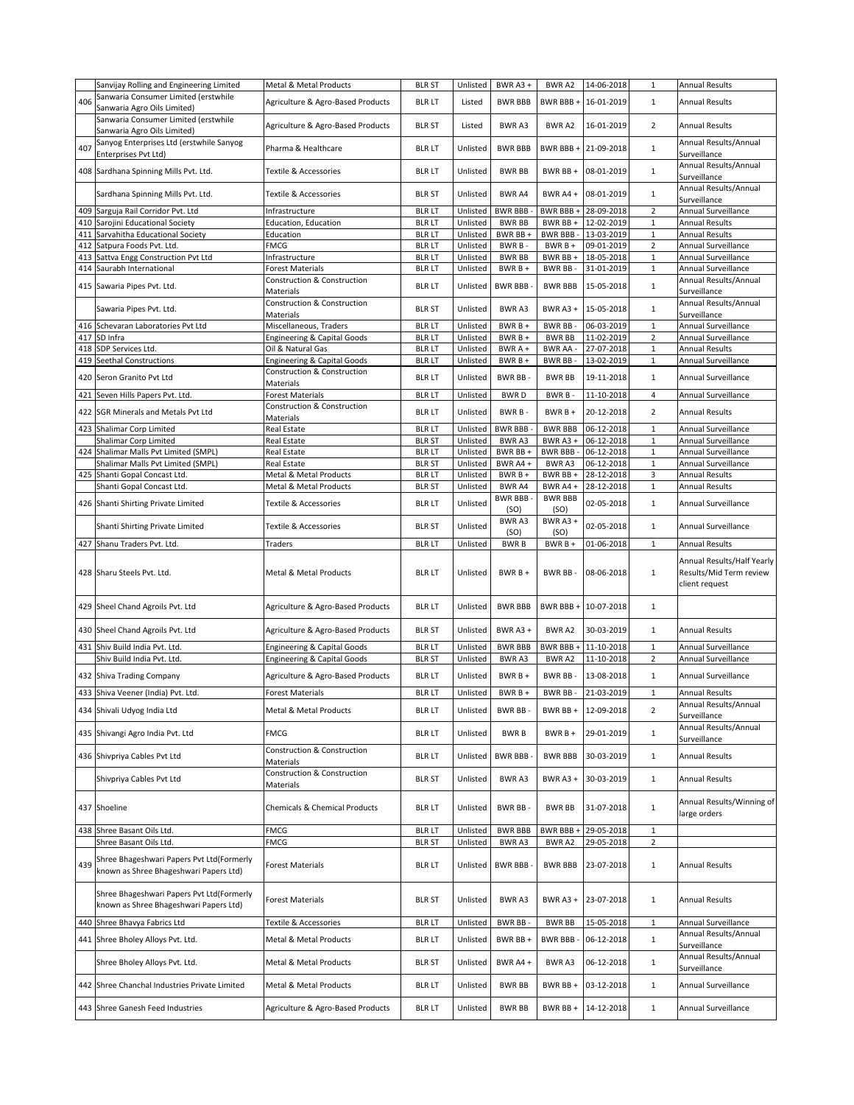|     | Sanvijay Rolling and Engineering Limited                                            | Metal & Metal Products                                       | <b>BLR ST</b>                  | Unlisted | BWR A3+                | <b>BWRA2</b>           | 14-06-2018               | 1              | <b>Annual Results</b>                                                   |
|-----|-------------------------------------------------------------------------------------|--------------------------------------------------------------|--------------------------------|----------|------------------------|------------------------|--------------------------|----------------|-------------------------------------------------------------------------|
| 406 | Sanwaria Consumer Limited (erstwhile<br>Sanwaria Agro Oils Limited)                 | Agriculture & Agro-Based Products                            | <b>BLR LT</b>                  | Listed   | <b>BWR BBB</b>         | BWR BBB+               | 16-01-2019               | $\mathbf{1}$   | <b>Annual Results</b>                                                   |
|     | Sanwaria Consumer Limited (erstwhile<br>Sanwaria Agro Oils Limited)                 | Agriculture & Agro-Based Products                            | <b>BLR ST</b>                  | Listed   | <b>BWRA3</b>           | BWR A2                 | 16-01-2019               | $\overline{2}$ | <b>Annual Results</b>                                                   |
| 407 | Sanyog Enterprises Ltd (erstwhile Sanyog<br>Enterprises Pvt Ltd)                    | Pharma & Healthcare                                          | <b>BLR LT</b>                  | Unlisted | <b>BWR BBB</b>         | BWR BBB+               | 21-09-2018               | $\mathbf{1}$   | Annual Results/Annual<br>Surveillance                                   |
|     | 408 Sardhana Spinning Mills Pvt. Ltd.                                               | Textile & Accessories                                        | <b>BLR LT</b>                  | Unlisted | <b>BWR BB</b>          | BWR BB +               | 08-01-2019               | $\mathbf 1$    | Annual Results/Annual<br>Surveillance                                   |
|     | Sardhana Spinning Mills Pvt. Ltd.                                                   | Textile & Accessories                                        | <b>BLR ST</b>                  | Unlisted | <b>BWR A4</b>          | BWR A4 +               | 08-01-2019               | $\mathbf{1}$   | Annual Results/Annual<br>Surveillance                                   |
|     | 409 Sarguja Rail Corridor Pvt. Ltd                                                  | Infrastructure                                               | <b>BLR LT</b>                  | Unlisted | <b>BWR BBB</b>         | BWR BBB +              | 28-09-2018               | $\overline{2}$ | Annual Surveillance                                                     |
| 410 | Sarojini Educational Society                                                        | Education, Education                                         | <b>BLR LT</b>                  | Unlisted | <b>BWR BB</b>          | BWR BB +               | 12-02-2019               | $\mathbf 1$    | <b>Annual Results</b>                                                   |
| 411 | Sarvahitha Educational Society                                                      | Education                                                    | <b>BLR LT</b>                  | Unlisted | BWR BB+                | BWR BBB -              | 13-03-2019               | $\mathbf 1$    | Annual Results                                                          |
|     | 412 Satpura Foods Pvt. Ltd.                                                         | <b>FMCG</b>                                                  | <b>BLR LT</b>                  | Unlisted | BWR B-                 | BWR B +                | 09-01-2019               | $\mathbf 2$    | Annual Surveillance                                                     |
| 413 | Sattva Engg Construction Pvt Ltd                                                    | Infrastructure                                               | <b>BLR LT</b>                  | Unlisted | <b>BWR BB</b>          | BWR BB +               | 18-05-2018               | $\mathbf{1}$   | Annual Surveillance                                                     |
|     | 414 Saurabh International                                                           | Forest Materials                                             | <b>BLR LT</b>                  | Unlisted | BWR B +                | BWR BB-                | 31-01-2019               | $\mathbf{1}$   | Annual Surveillance                                                     |
|     | 415 Sawaria Pipes Pvt. Ltd.                                                         | Construction & Construction<br>Materials                     | <b>BLR LT</b>                  | Unlisted | <b>BWR BBB</b>         | <b>BWR BBB</b>         | 15-05-2018               | $\mathbf{1}$   | Annual Results/Annual<br>Surveillance                                   |
|     | Sawaria Pipes Pvt. Ltd.                                                             | Construction & Construction<br>Materials                     | <b>BLR ST</b>                  | Unlisted | BWR A3                 | BWR A3 +               | 15-05-2018               | $\mathbf{1}$   | Annual Results/Annual<br>Surveillance                                   |
| 416 | Schevaran Laboratories Pvt Ltd                                                      | Miscellaneous, Traders                                       | <b>BLR LT</b>                  | Unlisted | $BWRB +$               | BWR BB-                | 06-03-2019               | $\,1\,$        | Annual Surveillance                                                     |
| 417 | SD Infra                                                                            | <b>Engineering &amp; Capital Goods</b>                       | <b>BLR LT</b>                  | Unlisted | BWR B +                | <b>BWR BB</b>          | 11-02-2019               | $\overline{2}$ | Annual Surveillance                                                     |
|     |                                                                                     |                                                              |                                |          |                        |                        |                          | $\mathbf{1}$   |                                                                         |
| 418 | SDP Services Ltd.                                                                   | Oil & Natural Gas                                            | <b>BLR LT</b>                  | Unlisted | BWR A +                | BWR AA -               | 27-07-2018               |                | <b>Annual Results</b>                                                   |
|     | 419 Seethal Constructions                                                           | <b>Engineering &amp; Capital Goods</b>                       | <b>BLR LT</b>                  | Unlisted | BWR B +                | BWR BB-                | 13-02-2019               | $\mathbf{1}$   | Annual Surveillance                                                     |
| 420 | Seron Granito Pvt Ltd                                                               | Construction & Construction<br>Materials                     | <b>BLR LT</b>                  | Unlisted | BWR BB-                | <b>BWR BB</b>          | 19-11-2018               | $\mathbf{1}$   | Annual Surveillance                                                     |
|     | 421 Seven Hills Papers Pvt. Ltd.                                                    | Forest Materials                                             | <b>BLR LT</b>                  | Unlisted | <b>BWRD</b>            | BWR B-                 | 11-10-2018               | 4              | Annual Surveillance                                                     |
|     | 422 SGR Minerals and Metals Pvt Ltd                                                 | Construction & Construction<br>Materials                     | <b>BLR LT</b>                  | Unlisted | BWR B-                 | BWR B +                | 20-12-2018               | $\overline{2}$ | <b>Annual Results</b>                                                   |
|     | 423 Shalimar Corp Limited                                                           | Real Estate                                                  | <b>BLR LT</b>                  | Unlisted | <b>BWR BBB</b>         | <b>BWR BBB</b>         | 06-12-2018               | $\mathbf 1$    | Annual Surveillance                                                     |
|     | Shalimar Corp Limited                                                               | Real Estate                                                  | <b>BLR ST</b>                  | Unlisted | BWR A3                 | BWR A3 +               | 06-12-2018               | $\mathbf{1}$   | Annual Surveillance                                                     |
|     | 424 Shalimar Malls Pvt Limited (SMPL)                                               | Real Estate                                                  | <b>BLR LT</b>                  | Unlisted | BWR BB +               | <b>BWR BBB-</b>        | 06-12-2018               | $\mathbf 1$    | Annual Surveillance                                                     |
|     | Shalimar Malls Pvt Limited (SMPL)                                                   | Real Estate                                                  | <b>BLR ST</b>                  | Unlisted | BWR A4+                | BWR A3                 | 06-12-2018               | $\mathbf 1$    | Annual Surveillance                                                     |
| 425 | Shanti Gopal Concast Ltd.                                                           | Metal & Metal Products                                       | <b>BLR LT</b>                  | Unlisted | BWR B +                | BWR BB +               | 28-12-2018               | $\mathsf 3$    | <b>Annual Results</b>                                                   |
|     | Shanti Gopal Concast Ltd.                                                           | Metal & Metal Products                                       | <b>BLR ST</b>                  | Unlisted | BWR A4                 | BWR A4+                | 28-12-2018               | $\mathbf{1}$   | <b>Annual Results</b>                                                   |
|     | 426 Shanti Shirting Private Limited                                                 | Textile & Accessories                                        | <b>BLR LT</b>                  | Unlisted | <b>BWR BBB</b><br>(SO) | <b>BWR BBB</b><br>(SO) | 02-05-2018               | $\mathbf{1}$   | Annual Surveillance                                                     |
|     | Shanti Shirting Private Limited                                                     | Textile & Accessories                                        | <b>BLR ST</b>                  | Unlisted | BWR A3<br>(SO)         | BWR A3+<br>(SO)        | 02-05-2018               | $\mathbf{1}$   | Annual Surveillance                                                     |
|     | 427 Shanu Traders Pvt. Ltd.                                                         | Traders                                                      | <b>BLR LT</b>                  | Unlisted | <b>BWRB</b>            | BWR B +                | 01-06-2018               | $\mathbf{1}$   | <b>Annual Results</b>                                                   |
|     | 428 Sharu Steels Pvt. Ltd.                                                          | Metal & Metal Products                                       | <b>BLR LT</b>                  | Unlisted | BWR B+                 | BWR BB-                | 08-06-2018               | $\mathbf{1}$   | Annual Results/Half Yearly<br>Results/Mid Term review<br>client request |
|     | 429 Sheel Chand Agroils Pvt. Ltd                                                    | Agriculture & Agro-Based Products                            | <b>BLR LT</b>                  | Unlisted | <b>BWR BBB</b>         | BWR BBB +              | 10-07-2018               | $\mathbf{1}$   |                                                                         |
|     | 430 Sheel Chand Agroils Pvt. Ltd                                                    | Agriculture & Agro-Based Products                            | <b>BLR ST</b>                  | Unlisted | BWR A3 +               | BWR A2                 | 30-03-2019               | $\mathbf{1}$   | <b>Annual Results</b>                                                   |
| 431 | Shiv Build India Pvt. Ltd.                                                          | Engineering & Capital Goods                                  | <b>BLR LT</b>                  | Unlisted | <b>BWR BBB</b>         | BWR BBB +              | 11-10-2018               | $1\,$          | Annual Surveillance                                                     |
|     | Shiv Build India Pvt. Ltd.                                                          | <b>Engineering &amp; Capital Goods</b>                       | <b>BLR ST</b>                  | Unlisted | BWR A3                 | BWR A2                 | 11-10-2018               | $\overline{2}$ | Annual Surveillance                                                     |
|     |                                                                                     |                                                              |                                |          |                        |                        |                          |                |                                                                         |
|     | 432 Shiva Trading Company                                                           | Agriculture & Agro-Based Products<br><b>Forest Materials</b> | <b>BLR LT</b><br><b>BLR LT</b> | Unlisted | $BWRB +$               | BWR BB-                | 13-08-2018<br>21-03-2019 | $\mathbf{1}$   | Annual Surveillance<br><b>Annual Results</b>                            |
|     | 433 Shiva Veener (India) Pvt. Ltd.                                                  |                                                              |                                | Unlisted | BWR B +                | BWR BB-                |                          | $\mathbf{1}$   |                                                                         |
|     | 434 Shivali Udyog India Ltd                                                         | Metal & Metal Products                                       | <b>BLR LT</b>                  | Unlisted | BWR BB-                | BWR BB +               | 12-09-2018               | $\overline{2}$ | Annual Results/Annual<br>Surveillance                                   |
|     | 435 Shivangi Agro India Pvt. Ltd                                                    | <b>FMCG</b>                                                  | <b>BLR LT</b>                  | Unlisted | <b>BWRB</b>            | BWR B +                | 29-01-2019               | $\mathbf 1$    | Annual Results/Annual<br>Surveillance                                   |
|     | 436 Shivpriya Cables Pvt Ltd                                                        | Construction & Construction<br>Materials                     | <b>BLR LT</b>                  | Unlisted | <b>BWR BBB</b>         | <b>BWR BBB</b>         | 30-03-2019               | $\mathbf{1}$   | Annual Results                                                          |
|     | Shivpriya Cables Pvt Ltd                                                            | Construction & Construction<br>Materials                     | <b>BLR ST</b>                  | Unlisted | BWR A3                 | BWR A3+                | 30-03-2019               | $\mathbf{1}$   | <b>Annual Results</b>                                                   |
|     | 437 Shoeline                                                                        | Chemicals & Chemical Products                                | <b>BLR LT</b>                  | Unlisted | BWR BB-                | <b>BWR BB</b>          | 31-07-2018               | $\mathbf{1}$   | Annual Results/Winning of<br>large orders                               |
|     | 438 Shree Basant Oils Ltd.                                                          | <b>FMCG</b>                                                  | <b>BLR LT</b>                  | Unlisted | <b>BWR BBB</b>         | BWR BBB +              | 29-05-2018               | $\mathbf{1}$   |                                                                         |
|     | Shree Basant Oils Ltd.                                                              | <b>FMCG</b>                                                  | <b>BLR ST</b>                  | Unlisted | BWR A3                 | BWR A2                 | 29-05-2018               | $\overline{2}$ |                                                                         |
| 439 | Shree Bhageshwari Papers Pvt Ltd(Formerly<br>known as Shree Bhageshwari Papers Ltd) | Forest Materials                                             | <b>BLR LT</b>                  | Unlisted | <b>BWR BBB</b>         | <b>BWR BBB</b>         | 23-07-2018               | 1              | <b>Annual Results</b>                                                   |
|     | Shree Bhageshwari Papers Pvt Ltd(Formerly<br>known as Shree Bhageshwari Papers Ltd) | Forest Materials                                             | <b>BLR ST</b>                  | Unlisted | BWR A3                 | <b>BWR A3 +</b>        | 23-07-2018               | 1              | <b>Annual Results</b>                                                   |
|     | 440 Shree Bhavya Fabrics Ltd                                                        | <b>Textile &amp; Accessories</b>                             | <b>BLR LT</b>                  | Unlisted | BWR BB -               | <b>BWR BB</b>          | 15-05-2018               | $\mathbf{1}$   | Annual Surveillance                                                     |
|     |                                                                                     |                                                              |                                |          |                        |                        |                          |                | Annual Results/Annual                                                   |
|     | 441 Shree Bholey Alloys Pvt. Ltd.                                                   | Metal & Metal Products                                       | <b>BLR LT</b>                  | Unlisted | BWR BB +               | <b>BWR BBB-</b>        | 06-12-2018               | $\mathbf{1}$   | Surveillance                                                            |
|     | Shree Bholey Alloys Pvt. Ltd.                                                       | Metal & Metal Products                                       | <b>BLR ST</b>                  | Unlisted | BWR A4+                | BWR A3                 | 06-12-2018               | $\mathbf{1}$   | Annual Results/Annual<br>Surveillance                                   |
|     | 442 Shree Chanchal Industries Private Limited                                       | Metal & Metal Products                                       | <b>BLR LT</b>                  | Unlisted | <b>BWR BB</b>          | BWR BB+                | 03-12-2018               | $\mathbf{1}$   | Annual Surveillance                                                     |
|     | 443 Shree Ganesh Feed Industries                                                    | Agriculture & Agro-Based Products                            | <b>BLR LT</b>                  | Unlisted | <b>BWR BB</b>          | BWR BB+                | 14-12-2018               | $\mathbf{1}$   | Annual Surveillance                                                     |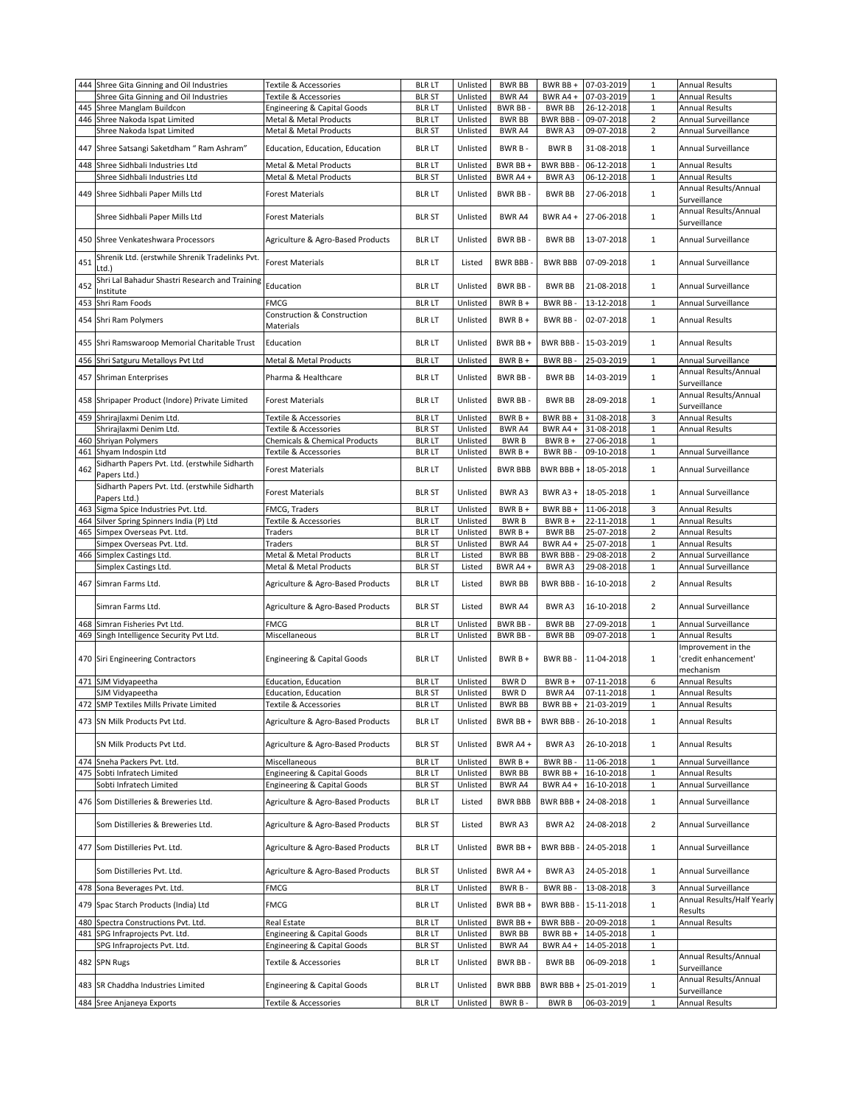|     | 444 Shree Gita Ginning and Oil Industries       |                                          | <b>BLR LT</b> | Unlisted | <b>BWR BB</b>   | BWR BB +        | 07-03-2019          | $\mathbf{1}$   |                                       |
|-----|-------------------------------------------------|------------------------------------------|---------------|----------|-----------------|-----------------|---------------------|----------------|---------------------------------------|
|     |                                                 | Textile & Accessories                    |               |          |                 |                 |                     |                | <b>Annual Results</b>                 |
|     | Shree Gita Ginning and Oil Industries           | Textile & Accessories                    | <b>BLR ST</b> | Unlisted | BWR A4          | BWR A4 +        | 07-03-2019          | $\mathbf 1$    | <b>Annual Results</b>                 |
| 445 | Shree Manglam Buildcon                          | Engineering & Capital Goods              | <b>BLR LT</b> | Unlisted | <b>BWR BB-</b>  | <b>BWR BB</b>   | 26-12-2018          | $\mathbf 1$    | <b>Annual Results</b>                 |
|     | 446 Shree Nakoda Ispat Limited                  | Metal & Metal Products                   | <b>BLR LT</b> | Unlisted | <b>BWR BB</b>   | <b>BWR BBB-</b> | 09-07-2018          | $\overline{2}$ | Annual Surveillance                   |
|     | Shree Nakoda Ispat Limited                      | Metal & Metal Products                   | <b>BLR ST</b> | Unlisted | BWR A4          | BWR A3          | 09-07-2018          | $\overline{2}$ | Annual Surveillance                   |
|     |                                                 |                                          |               |          |                 |                 |                     |                |                                       |
|     | 447 Shree Satsangi Saketdham " Ram Ashram"      | Education, Education, Education          | <b>BLR LT</b> | Unlisted | BWR B-          | <b>BWRB</b>     | 31-08-2018          | $\mathbf{1}$   | Annual Surveillance                   |
|     |                                                 |                                          |               |          |                 |                 |                     |                |                                       |
|     | 448 Shree Sidhbali Industries Ltd               | Metal & Metal Products                   | <b>BLR LT</b> | Unlisted | BWR BB +        | BWR BBB -       | 06-12-2018          | $\mathbf 1$    | <b>Annual Results</b>                 |
|     | Shree Sidhbali Industries Ltd                   | Metal & Metal Products                   | <b>BLR ST</b> | Unlisted | BWR A4+         | BWR A3          | 06-12-2018          | $\mathbf{1}$   | <b>Annual Results</b>                 |
|     |                                                 |                                          |               |          |                 |                 |                     |                | Annual Results/Annual                 |
|     | 449 Shree Sidhbali Paper Mills Ltd              | Forest Materials                         | <b>BLR LT</b> | Unlisted | BWR BB-         | <b>BWR BB</b>   | 27-06-2018          | $\mathbf{1}$   | Surveillance                          |
|     |                                                 |                                          |               |          |                 |                 |                     |                |                                       |
|     | Shree Sidhbali Paper Mills Ltd                  | Forest Materials                         | <b>BLR ST</b> | Unlisted | BWR A4          | BWR A4 +        | 27-06-2018          | $\mathbf{1}$   | Annual Results/Annual                 |
|     |                                                 |                                          |               |          |                 |                 |                     |                | Surveillance                          |
|     |                                                 |                                          | <b>BLR LT</b> | Unlisted | BWR BB-         | <b>BWR BB</b>   | 13-07-2018          | $\mathbf{1}$   | Annual Surveillance                   |
|     | 450 Shree Venkateshwara Processors              | Agriculture & Agro-Based Products        |               |          |                 |                 |                     |                |                                       |
|     | Shrenik Ltd. (erstwhile Shrenik Tradelinks Pvt. |                                          |               |          |                 |                 |                     |                |                                       |
| 451 | Ltd.)                                           | <b>Forest Materials</b>                  | <b>BLR LT</b> | Listed   | <b>BWR BBB-</b> | <b>BWR BBB</b>  | 07-09-2018          | $\mathbf{1}$   | Annual Surveillance                   |
|     |                                                 |                                          |               |          |                 |                 |                     |                |                                       |
| 452 | Shri Lal Bahadur Shastri Research and Training  | Education                                | <b>BLR LT</b> | Unlisted | BWR BB-         | <b>BWR BB</b>   | 21-08-2018          | $\mathbf{1}$   | Annual Surveillance                   |
|     | Institute                                       |                                          |               |          |                 |                 |                     |                |                                       |
|     | 453 Shri Ram Foods                              | <b>FMCG</b>                              | <b>BLR LT</b> | Unlisted | $BWRB+$         | <b>BWR BB</b>   | 13-12-2018          | $\mathbf{1}$   | Annual Surveillance                   |
|     |                                                 | Construction & Construction              |               |          |                 |                 |                     |                |                                       |
|     | 454 Shri Ram Polymers                           | Materials                                | <b>BLR LT</b> | Unlisted | BWR B +         | BWR BB-         | 02-07-2018          | $\mathbf{1}$   | <b>Annual Results</b>                 |
|     |                                                 |                                          |               |          |                 |                 |                     |                |                                       |
|     | 455 Shri Ramswaroop Memorial Charitable Trust   | Education                                | <b>BLR LT</b> | Unlisted | BWR BB+         | BWR BBB -       | 15-03-2019          | $\mathbf{1}$   | <b>Annual Results</b>                 |
|     |                                                 |                                          |               |          |                 |                 |                     |                |                                       |
|     | 456 Shri Satguru Metalloys Pvt Ltd              | Metal & Metal Products                   | <b>BLR LT</b> | Unlisted | BWR B+          | BWR BB-         | 25-03-2019          | $\mathbf{1}$   | Annual Surveillance                   |
|     |                                                 |                                          |               |          |                 |                 |                     |                | Annual Results/Annual                 |
|     | 457 Shriman Enterprises                         | Pharma & Healthcare                      | <b>BLR LT</b> | Unlisted | BWR BB-         | <b>BWR BB</b>   | 14-03-2019          | $\mathbf{1}$   | Surveillance                          |
|     |                                                 |                                          |               |          |                 |                 |                     |                | Annual Results/Annual                 |
|     | 458 Shripaper Product (Indore) Private Limited  | <b>Forest Materials</b>                  | <b>BLR LT</b> | Unlisted | BWR BB-         | <b>BWR BB</b>   | 28-09-2018          | $\mathbf{1}$   |                                       |
|     |                                                 |                                          |               |          |                 |                 |                     |                | Surveillance                          |
|     | 459 Shrirajlaxmi Denim Ltd.                     | Textile & Accessories                    | <b>BLR LT</b> | Unlisted | $BWRB +$        | BWR BB +        | 31-08-2018          | 3              | <b>Annual Results</b>                 |
|     | Shrirajlaxmi Denim Ltd.                         | Textile & Accessories                    | <b>BLR ST</b> | Unlisted | BWR A4          | BWR A4 +        | 31-08-2018          | $\mathbf 1$    | <b>Annual Results</b>                 |
|     | 460 Shriyan Polymers                            | <b>Chemicals &amp; Chemical Products</b> | <b>BLR LT</b> | Unlisted | <b>BWRB</b>     | $BWRB +$        | 27-06-2018          | $\mathbf{1}$   |                                       |
|     | 461 Shyam Indospin Ltd                          | Textile & Accessories                    | <b>BLR LT</b> | Unlisted | BWR B +         | BWR BB-         | 09-10-2018          | $\mathbf{1}$   | Annual Surveillance                   |
|     |                                                 |                                          |               |          |                 |                 |                     |                |                                       |
| 462 | Sidharth Papers Pvt. Ltd. (erstwhile Sidharth   | <b>Forest Materials</b>                  | <b>BLR LT</b> | Unlisted | <b>BWR BBB</b>  | BWR BBB+        | 18-05-2018          | $\mathbf{1}$   | Annual Surveillance                   |
|     | Papers Ltd.)                                    |                                          |               |          |                 |                 |                     |                |                                       |
|     | Sidharth Papers Pvt. Ltd. (erstwhile Sidharth   |                                          |               |          |                 |                 |                     |                |                                       |
|     | Papers Ltd.)                                    | <b>Forest Materials</b>                  | <b>BLR ST</b> | Unlisted | BWR A3          |                 | BWR A3 + 18-05-2018 | $\mathbf{1}$   | Annual Surveillance                   |
| 463 | Sigma Spice Industries Pvt. Ltd.                | FMCG, Traders                            | <b>BLR LT</b> | Unlisted | $BWRB +$        | BWR BB +        | 11-06-2018          | 3              | <b>Annual Results</b>                 |
|     |                                                 |                                          |               |          |                 |                 |                     |                |                                       |
|     | 464 Silver Spring Spinners India (P) Ltd        | Textile & Accessories                    | <b>BLR LT</b> | Unlisted | <b>BWRB</b>     | $BWRB +$        | 22-11-2018          | $\mathbf 1$    | <b>Annual Results</b>                 |
| 465 | Simpex Overseas Pvt. Ltd.                       | Traders                                  | <b>BLR LT</b> | Unlisted | BWR B +         | <b>BWR BB</b>   | 25-07-2018          | $\overline{2}$ | <b>Annual Results</b>                 |
|     | Simpex Overseas Pvt. Ltd.                       | Traders                                  | <b>BLR ST</b> | Unlisted | BWR A4          | BWR A4 +        | 25-07-2018          | $\mathbf{1}$   | <b>Annual Results</b>                 |
|     | 466 Simplex Castings Ltd.                       | Metal & Metal Products                   | <b>BLR LT</b> | Listed   | <b>BWR BB</b>   | <b>BWR BBB-</b> | 29-08-2018          | $\overline{2}$ | Annual Surveillance                   |
|     | Simplex Castings Ltd.                           | Metal & Metal Products                   | <b>BLR ST</b> | Listed   | BWR A4+         | BWR A3          | 29-08-2018          | $\mathbf 1$    | Annual Surveillance                   |
|     |                                                 |                                          |               |          |                 |                 |                     |                |                                       |
|     | 467 Simran Farms Ltd.                           | Agriculture & Agro-Based Products        | <b>BLR LT</b> | Listed   | <b>BWR BB</b>   | BWR BBB -       | 16-10-2018          | $\overline{2}$ | <b>Annual Results</b>                 |
|     |                                                 |                                          |               |          |                 |                 |                     |                |                                       |
|     | Simran Farms Ltd.                               |                                          | <b>BLR ST</b> | Listed   | BWR A4          | BWR A3          | 16-10-2018          | $\overline{2}$ | Annual Surveillance                   |
|     |                                                 | Agriculture & Agro-Based Products        |               |          |                 |                 |                     |                |                                       |
|     | 468 Simran Fisheries Pvt Ltd.                   | <b>FMCG</b>                              | <b>BLR LT</b> | Unlisted | <b>BWR BB-</b>  | <b>BWR BB</b>   | 27-09-2018          | $\mathbf{1}$   | Annual Surveillance                   |
|     |                                                 | Miscellaneous                            | <b>BLR LT</b> | Unlisted | BWR BB-         | <b>BWR BB</b>   | 09-07-2018          | $\mathbf{1}$   | <b>Annual Results</b>                 |
|     | 469 Singh Intelligence Security Pvt Ltd.        |                                          |               |          |                 |                 |                     |                |                                       |
|     |                                                 |                                          |               |          |                 |                 |                     |                |                                       |
|     |                                                 |                                          |               |          |                 |                 |                     |                | Improvement in the                    |
|     | 470 Siri Engineering Contractors                | <b>Engineering &amp; Capital Goods</b>   | <b>BLR LT</b> | Unlisted | BWR B +         | BWR BB -        | 11-04-2018          | $\mathbf{1}$   | 'credit enhancement'                  |
|     |                                                 |                                          |               |          |                 |                 |                     |                | mechanism                             |
|     |                                                 |                                          |               |          | <b>BWRD</b>     |                 |                     | 6              |                                       |
|     | 471 SJM Vidyapeetha                             | Education, Education                     | <b>BLR LT</b> | Unlisted |                 | BWR B +         | 07-11-2018          |                | <b>Annual Results</b>                 |
|     | SJM Vidyapeetha                                 | Education, Education                     | <b>BLR ST</b> | Unlisted | <b>BWRD</b>     | BWR A4          | 07-11-2018          | $\mathbf 1$    | <b>Annual Results</b>                 |
|     | 472 SMP Textiles Mills Private Limited          | Textile & Accessories                    | blr lt        | Unlisted | BWR BB          | BWR BB +        | 21-03-2019          | 1              | <b>Annual Results</b>                 |
|     |                                                 |                                          |               |          |                 |                 |                     |                |                                       |
|     | 473 SN Milk Products Pvt Ltd.                   | Agriculture & Agro-Based Products        | <b>BLR LT</b> | Unlisted | BWR BB +        | BWR BBB-        | 26-10-2018          | $\mathbf{1}$   | <b>Annual Results</b>                 |
|     |                                                 |                                          |               |          |                 |                 |                     |                |                                       |
|     | SN Milk Products Pvt Ltd.                       | Agriculture & Agro-Based Products        | <b>BLR ST</b> | Unlisted | BWR A4 +        | BWR A3          | 26-10-2018          | $\mathbf{1}$   | <b>Annual Results</b>                 |
|     |                                                 |                                          |               |          |                 |                 |                     |                |                                       |
|     | 474 Sneha Packers Pvt. Ltd.                     | Miscellaneous                            | <b>BLR LT</b> | Unlisted | BWR B +         | BWR BB-         | 11-06-2018          | $\mathbf 1$    | Annual Surveillance                   |
| 475 | Sobti Infratech Limited                         | <b>Engineering &amp; Capital Goods</b>   | <b>BLR LT</b> | Unlisted | <b>BWR BB</b>   | BWR BB +        | 16-10-2018          | $\mathbf 1$    | <b>Annual Results</b>                 |
|     | Sobti Infratech Limited                         | <b>Engineering &amp; Capital Goods</b>   | <b>BLR ST</b> | Unlisted | BWR A4          | BWR A4 +        | 16-10-2018          | $\mathbf 1$    | Annual Surveillance                   |
|     |                                                 |                                          |               |          |                 |                 |                     |                |                                       |
|     | 476 Som Distilleries & Breweries Ltd.           | Agriculture & Agro-Based Products        | <b>BLR LT</b> | Listed   | <b>BWR BBB</b>  | BWR BBB +       | 24-08-2018          | $\mathbf 1$    | Annual Surveillance                   |
|     |                                                 |                                          |               |          |                 |                 |                     |                |                                       |
|     | Som Distilleries & Breweries Ltd.               | Agriculture & Agro-Based Products        | <b>BLR ST</b> | Listed   | BWR A3          | BWR A2          | 24-08-2018          | $\overline{2}$ | Annual Surveillance                   |
|     |                                                 |                                          |               |          |                 |                 |                     |                |                                       |
|     |                                                 |                                          |               |          |                 |                 |                     |                |                                       |
|     | 477 Som Distilleries Pvt. Ltd.                  | Agriculture & Agro-Based Products        | <b>BLR LT</b> | Unlisted | BWR BB +        | <b>BWR BBB-</b> | 24-05-2018          | $\mathbf 1$    | Annual Surveillance                   |
|     |                                                 |                                          |               |          |                 |                 |                     |                |                                       |
|     | Som Distilleries Pvt. Ltd.                      | Agriculture & Agro-Based Products        | <b>BLR ST</b> | Unlisted | BWR A4 +        | BWR A3          | 24-05-2018          | $\mathbf{1}$   | Annual Surveillance                   |
|     |                                                 |                                          |               |          |                 |                 |                     |                |                                       |
|     | 478 Sona Beverages Pvt. Ltd.                    | <b>FMCG</b>                              | <b>BLR LT</b> | Unlisted | BWR B-          | BWR BB          | 13-08-2018          | 3              | Annual Surveillance                   |
|     |                                                 |                                          |               |          |                 |                 |                     |                | Annual Results/Half Yearly            |
|     | 479 Spac Starch Products (India) Ltd            | <b>FMCG</b>                              | <b>BLR LT</b> | Unlisted | BWR BB +        | BWR BBB -       | 15-11-2018          | $\mathbf{1}$   | Results                               |
| 480 | Spectra Constructions Pvt. Ltd.                 | Real Estate                              | <b>BLR LT</b> | Unlisted | BWR BB +        | <b>BWR BBB</b>  | 20-09-2018          | $\mathbf{1}$   | <b>Annual Results</b>                 |
|     |                                                 |                                          |               |          |                 |                 |                     |                |                                       |
|     | 481 SPG Infraprojects Pvt. Ltd.                 | <b>Engineering &amp; Capital Goods</b>   | <b>BLR LT</b> | Unlisted | <b>BWR BB</b>   | BWR BB +        | 14-05-2018          | $\mathbf 1$    |                                       |
|     | SPG Infraprojects Pvt. Ltd.                     | <b>Engineering &amp; Capital Goods</b>   | <b>BLR ST</b> | Unlisted | BWR A4          | BWR A4 +        | 14-05-2018          | 1              |                                       |
|     |                                                 |                                          |               |          |                 |                 |                     |                | Annual Results/Annual                 |
|     | 482 SPN Rugs                                    | Textile & Accessories                    | <b>BLR LT</b> | Unlisted | BWR BB-         | <b>BWR BB</b>   | 06-09-2018          | $\mathbf{1}$   | Surveillance                          |
|     |                                                 |                                          |               |          |                 |                 |                     |                | Annual Results/Annual                 |
|     | 483 SR Chaddha Industries Limited               | <b>Engineering &amp; Capital Goods</b>   | <b>BLR LT</b> | Unlisted | <b>BWR BBB</b>  | BWR BBB +       | 25-01-2019          | $\mathbf 1$    |                                       |
|     | 484 Sree Anjaneya Exports                       | Textile & Accessories                    | <b>BLR LT</b> | Unlisted | BWR B-          | <b>BWRB</b>     | 06-03-2019          | $\mathbf 1$    | Surveillance<br><b>Annual Results</b> |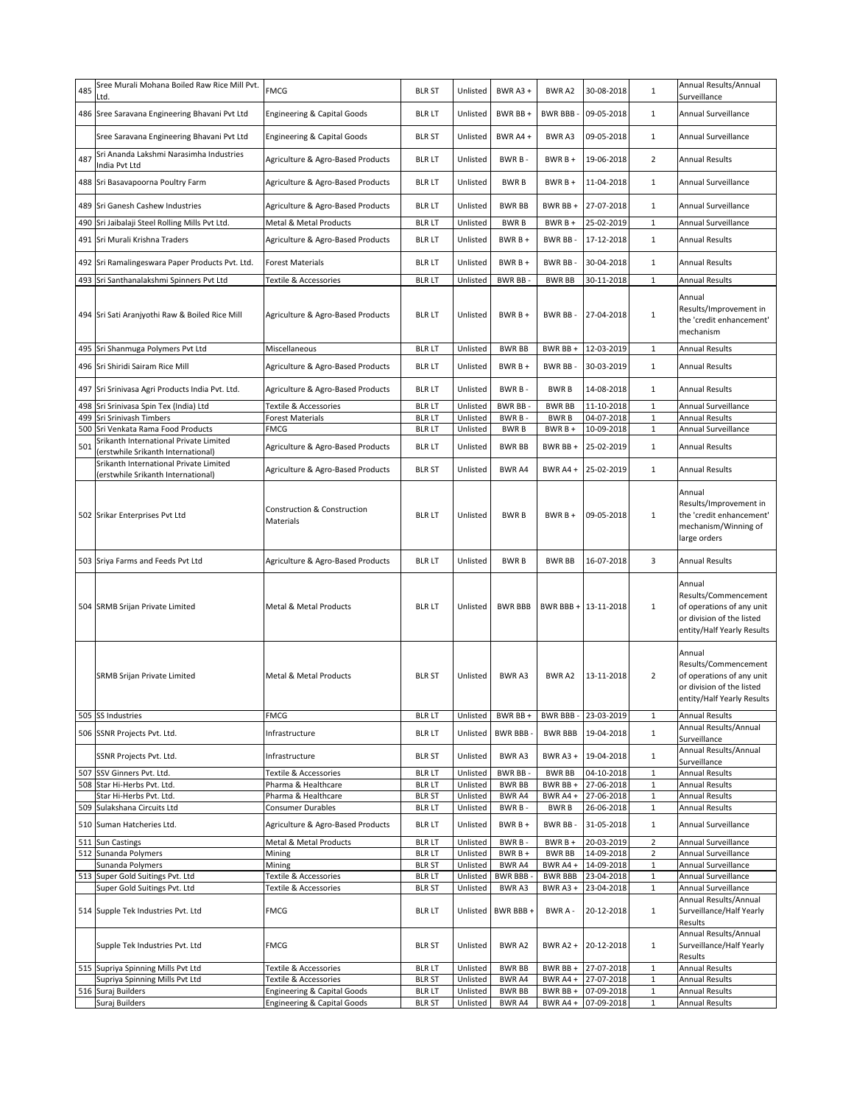| 485 | Sree Murali Mohana Boiled Raw Rice Mill Pvt.<br>Ltd.                         | <b>FMCG</b>                                                   | <b>BLR ST</b>                  | Unlisted             | <b>BWR A3 +</b>    | BWR A2                 | 30-08-2018               | $\mathbf{1}$                 | Annual Results/Annual<br>Surveillance                                                                                  |
|-----|------------------------------------------------------------------------------|---------------------------------------------------------------|--------------------------------|----------------------|--------------------|------------------------|--------------------------|------------------------------|------------------------------------------------------------------------------------------------------------------------|
|     | 486 Sree Saravana Engineering Bhavani Pvt Ltd                                | Engineering & Capital Goods                                   | <b>BLR LT</b>                  | Unlisted             | BWR BB +           | <b>BWR BBB-</b>        | 09-05-2018               | $\mathbf{1}$                 | Annual Surveillance                                                                                                    |
|     | Sree Saravana Engineering Bhavani Pvt Ltd                                    | <b>Engineering &amp; Capital Goods</b>                        | <b>BLR ST</b>                  | Unlisted             | BWR A4+            | BWR A3                 | 09-05-2018               | $\mathbf{1}$                 | Annual Surveillance                                                                                                    |
| 487 | Sri Ananda Lakshmi Narasimha Industries<br>India Pvt Ltd                     | Agriculture & Agro-Based Products                             | <b>BLR LT</b>                  | Unlisted             | BWR B-             | $BWRB +$               | 19-06-2018               | $\overline{2}$               | Annual Results                                                                                                         |
|     | 488 Sri Basavapoorna Poultry Farm                                            | Agriculture & Agro-Based Products                             | <b>BLR LT</b>                  | Unlisted             | <b>BWRB</b>        | $BWRB +$               | 11-04-2018               | $\mathbf{1}$                 | Annual Surveillance                                                                                                    |
|     | 489 Sri Ganesh Cashew Industries                                             | Agriculture & Agro-Based Products                             | <b>BLR LT</b>                  | Unlisted             | <b>BWR BB</b>      | BWR BB+                | 27-07-2018               | $\mathbf{1}$                 | Annual Surveillance                                                                                                    |
| 490 | Sri Jaibalaji Steel Rolling Mills Pvt Ltd.                                   | Metal & Metal Products                                        | <b>BLR LT</b>                  | Unlisted             | <b>BWRB</b>        | BWR B +                | 25-02-2019               | $\mathbf 1$                  | Annual Surveillance                                                                                                    |
|     | 491 Sri Murali Krishna Traders                                               | Agriculture & Agro-Based Products                             | <b>BLR LT</b>                  | Unlisted             | BWR B +            | BWR BB-                | 17-12-2018               | $\mathbf{1}$                 | <b>Annual Results</b>                                                                                                  |
|     | 492 Sri Ramalingeswara Paper Products Pvt. Ltd.                              | <b>Forest Materials</b>                                       | <b>BLR LT</b>                  | Unlisted             | BWR B +            | <b>BWR BB</b>          | 30-04-2018               | $\mathbf{1}$                 | <b>Annual Results</b>                                                                                                  |
|     | 493 Sri Santhanalakshmi Spinners Pvt Ltd                                     | Textile & Accessories                                         | <b>BLR LT</b>                  | Unlisted             | <b>BWR BB-</b>     | <b>BWR BB</b>          | 30-11-2018               | $\mathbf{1}$                 | <b>Annual Results</b>                                                                                                  |
|     | 494 Sri Sati Aranjyothi Raw & Boiled Rice Mill                               | Agriculture & Agro-Based Products                             | <b>BLR LT</b>                  | Unlisted             | $BWRB +$           | <b>BWR BB</b>          | 27-04-2018               | $\mathbf{1}$                 | Annual<br>Results/Improvement in<br>the 'credit enhancement'<br>mechanism                                              |
|     | 495 Sri Shanmuga Polymers Pvt Ltd                                            | Miscellaneous                                                 | <b>BLR LT</b>                  | Unlisted             | <b>BWR BB</b>      | BWR BB +               | 12-03-2019               | $\mathbf{1}$                 | <b>Annual Results</b>                                                                                                  |
|     | 496 Sri Shiridi Sairam Rice Mill                                             | Agriculture & Agro-Based Products                             | <b>BLR LT</b>                  | Unlisted             | $BWRB +$           | BWR BB-                | 30-03-2019               | $\mathbf{1}$                 | <b>Annual Results</b>                                                                                                  |
|     | 497 Sri Srinivasa Agri Products India Pvt. Ltd.                              | Agriculture & Agro-Based Products                             | <b>BLR LT</b>                  | Unlisted             | BWR B-             | <b>BWRB</b>            | 14-08-2018               | $\mathbf{1}$                 | <b>Annual Results</b>                                                                                                  |
|     | 498 Sri Srinivasa Spin Tex (India) Ltd                                       | Textile & Accessories                                         | <b>BLR LT</b>                  | Unlisted             | <b>BWR BB-</b>     | <b>BWR BB</b>          | 11-10-2018               | $\mathbf{1}$                 | Annual Surveillance                                                                                                    |
|     | 499 Sri Srinivash Timbers                                                    | <b>Forest Materials</b>                                       | <b>BLR LT</b>                  | Unlisted             | BWR B-             | <b>BWRB</b>            | 04-07-2018               | $\mathbf{1}$                 | <b>Annual Results</b>                                                                                                  |
|     | 500 Sri Venkata Rama Food Products                                           | <b>FMCG</b>                                                   | <b>BLR LT</b>                  | Unlisted             | <b>BWRB</b>        | $BWRB +$               | 10-09-2018               | $\mathbf 1$                  | Annual Surveillance                                                                                                    |
| 501 | Srikanth International Private Limited<br>(erstwhile Srikanth International) | Agriculture & Agro-Based Products                             | <b>BLR LT</b>                  | Unlisted             | <b>BWR BB</b>      | BWR BB+                | 25-02-2019               | $\mathbf{1}$                 | <b>Annual Results</b>                                                                                                  |
|     | Srikanth International Private Limited<br>(erstwhile Srikanth International) | Agriculture & Agro-Based Products                             | <b>BLR ST</b>                  | Unlisted             | BWR A4             | BWR A4 +               | 25-02-2019               | $\mathbf{1}$                 | <b>Annual Results</b>                                                                                                  |
|     | 502 Srikar Enterprises Pvt Ltd                                               | Construction & Construction<br>Materials                      | <b>BLR LT</b>                  | Unlisted             | <b>BWRB</b>        | $BWRB +$               | 09-05-2018               | $\mathbf{1}$                 | Annual<br>Results/Improvement in<br>the 'credit enhancement'<br>mechanism/Winning of<br>large orders                   |
|     | 503 Sriya Farms and Feeds Pvt Ltd                                            | Agriculture & Agro-Based Products                             | <b>BLR LT</b>                  | Unlisted             | <b>BWRB</b>        | <b>BWR BB</b>          | 16-07-2018               | 3                            | <b>Annual Results</b>                                                                                                  |
|     | 504 SRMB Srijan Private Limited                                              | Metal & Metal Products                                        | <b>BLR LT</b>                  | Unlisted             | <b>BWR BBB</b>     |                        | BWR BBB + 13-11-2018     | $\mathbf{1}$                 | Annual<br>Results/Commencement<br>of operations of any unit<br>or division of the listed<br>entity/Half Yearly Results |
|     | <b>SRMB Srijan Private Limited</b>                                           | Metal & Metal Products                                        | <b>BLR ST</b>                  | Unlisted             | BWR A3             | BWR A2                 | 13-11-2018               | $\overline{2}$               | Annual<br>Results/Commencement<br>of operations of any unit<br>or division of the listed<br>entity/Half Yearly Results |
|     | 505 SS Industries                                                            | <b>FMCG</b>                                                   | <b>BLR LT</b>                  | Unlisted             | BWR BB +           | <b>BWR BBB-</b>        | 23-03-2019               | $\mathbf{1}$                 | <b>Annual Results</b>                                                                                                  |
|     | 506 SSNR Projects Pvt. Ltd.                                                  | Infrastructure                                                | <b>BLR LT</b>                  | Unlisted             | <b>BWR BBB</b>     | <b>BWR BBB</b>         | 19-04-2018               | $\mathbf{1}$                 | Annual Results/Annual<br>Surveillance                                                                                  |
|     | SSNR Projects Pvt. Ltd.                                                      | Infrastructure                                                | <b>BLR ST</b>                  | Unlisted             | BWR A3             | BWR A3 +               | 19-04-2018               | $\mathbf{1}$                 | Annual Results/Annual<br>Surveillance                                                                                  |
|     | 507 SSV Ginners Pvt. Ltd.                                                    | Textile & Accessories                                         | <b>BLR LT</b>                  | Unlisted             | BWR BB-            | <b>BWR BB</b>          | 04-10-2018               | $\mathbf{1}$                 | <b>Annual Results</b>                                                                                                  |
|     | 508 Star Hi-Herbs Pvt. Ltd.                                                  | Pharma & Healthcare                                           | <b>BLR LT</b>                  | Unlisted             | <b>BWR BB</b>      | BWR BB +               | 27-06-2018               | $\,1\,$                      | <b>Annual Results</b>                                                                                                  |
|     | Star Hi-Herbs Pvt. Ltd.                                                      | Pharma & Healthcare                                           | <b>BLR ST</b>                  | Unlisted             | BWR A4             | BWR A4 +               | 27-06-2018               | $\,1\,$                      | <b>Annual Results</b>                                                                                                  |
|     | 509 Sulakshana Circuits Ltd<br>510 Suman Hatcheries Ltd.                     | <b>Consumer Durables</b><br>Agriculture & Agro-Based Products | <b>BLR LT</b><br><b>BLR LT</b> | Unlisted<br>Unlisted | BWR B-<br>$BWRB+$  | BWR B<br><b>BWR BB</b> | 26-06-2018<br>31-05-2018 | $\mathbf{1}$<br>$\mathbf{1}$ | <b>Annual Results</b><br>Annual Surveillance                                                                           |
|     | 511 Sun Castings                                                             | Metal & Metal Products                                        | <b>BLR LT</b>                  | Unlisted             | BWR B-             | BWR B +                | 20-03-2019               | $\overline{2}$               | Annual Surveillance                                                                                                    |
|     | 512 Sunanda Polymers                                                         | Mining                                                        | <b>BLR LT</b>                  | Unlisted             | BWR B +            | <b>BWR BB</b>          | 14-09-2018               | $\overline{2}$               | Annual Surveillance                                                                                                    |
|     | Sunanda Polymers                                                             | Mining                                                        | <b>BLR ST</b>                  | Unlisted             | BWR A4             | BWR A4 +               | 14-09-2018               | $\mathbf{1}$                 | Annual Surveillance                                                                                                    |
| 513 | Super Gold Suitings Pvt. Ltd                                                 | Textile & Accessories                                         | <b>BLR LT</b>                  | Unlisted             | <b>BWR BBB</b>     | <b>BWR BBB</b>         | 23-04-2018               | 1                            | Annual Surveillance                                                                                                    |
|     | Super Gold Suitings Pvt. Ltd<br>514 Supple Tek Industries Pvt. Ltd           | Textile & Accessories<br><b>FMCG</b>                          | <b>BLR ST</b><br><b>BLR LT</b> | Unlisted<br>Unlisted | BWR A3<br>BWR BBB+ | BWR A3+<br>BWR A -     | 23-04-2018<br>20-12-2018 | $\mathbf{1}$<br>$\mathbf{1}$ | Annual Surveillance<br>Annual Results/Annual<br>Surveillance/Half Yearly<br>Results                                    |
|     | Supple Tek Industries Pvt. Ltd                                               | <b>FMCG</b>                                                   | <b>BLR ST</b>                  | Unlisted             | BWR A2             | <b>BWR A2 +</b>        | 20-12-2018               | $\mathbf{1}$                 | Annual Results/Annual<br>Surveillance/Half Yearly<br>Results                                                           |
|     | 515 Supriya Spinning Mills Pvt Ltd                                           | Textile & Accessories                                         | <b>BLR LT</b>                  | Unlisted             | <b>BWR BB</b>      | BWR BB +               | 27-07-2018               | $1\,$                        | Annual Results                                                                                                         |
|     | Supriya Spinning Mills Pvt Ltd                                               | Textile & Accessories                                         | <b>BLR ST</b>                  | Unlisted             | BWR A4             | BWR A4 +               | 27-07-2018               | $\mathbf{1}$                 | <b>Annual Results</b>                                                                                                  |
|     | 516 Suraj Builders                                                           | Engineering & Capital Goods                                   | <b>BLR LT</b>                  | Unlisted             | <b>BWR BB</b>      | BWR BB +               | 07-09-2018               | $\mathbf{1}$                 | <b>Annual Results</b>                                                                                                  |
|     | Suraj Builders                                                               | <b>Engineering &amp; Capital Goods</b>                        | <b>BLR ST</b>                  | Unlisted             | BWR A4             | BWR A4 +               | 07-09-2018               | 1                            | <b>Annual Results</b>                                                                                                  |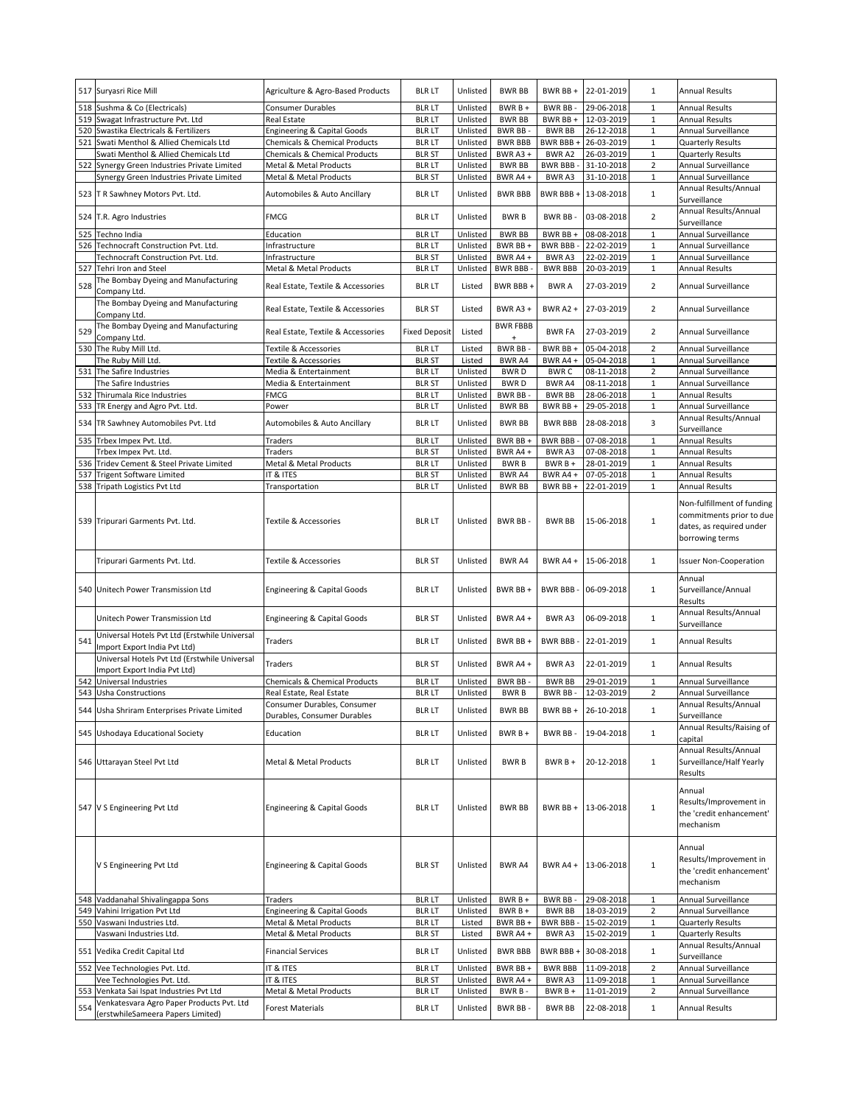|     | 517 Suryasri Rice Mill                                                         | Agriculture & Agro-Based Products        | <b>BLR LT</b>        | Unlisted | <b>BWR BB</b>   | BWR BB+         | 22-01-2019 | $\mathbf{1}$            | <b>Annual Results</b>         |
|-----|--------------------------------------------------------------------------------|------------------------------------------|----------------------|----------|-----------------|-----------------|------------|-------------------------|-------------------------------|
|     |                                                                                |                                          |                      |          |                 |                 |            |                         |                               |
| 518 | Sushma & Co (Electricals)                                                      | <b>Consumer Durables</b>                 | <b>BLR LT</b>        | Unlisted | $BWRB +$        | <b>BWR BB</b>   | 29-06-2018 | $\mathbf{1}$            | <b>Annual Results</b>         |
| 519 | Swagat Infrastructure Pvt. Ltd                                                 | <b>Real Estate</b>                       | <b>BLR LT</b>        | Unlisted | <b>BWR BB</b>   | BWR BB+         | 12-03-2019 | $\mathbf{1}$            | <b>Annual Results</b>         |
| 520 | Swastika Electricals & Fertilizers                                             | <b>Engineering &amp; Capital Goods</b>   | <b>BLR LT</b>        | Unlisted | <b>BWR BB-</b>  | <b>BWR BB</b>   | 26-12-2018 | $\mathbf 1$             | Annual Surveillance           |
| 521 | Swati Menthol & Allied Chemicals Ltd                                           | Chemicals & Chemical Products            | <b>BLR LT</b>        | Unlisted | <b>BWR BBB</b>  | BWR BBB +       | 26-03-2019 | $\mathbf 1$             | <b>Quarterly Results</b>      |
|     | Swati Menthol & Allied Chemicals Ltd                                           | <b>Chemicals &amp; Chemical Products</b> | <b>BLR ST</b>        | Unlisted | BWR A3+         | BWR A2          | 26-03-2019 | $\mathbf 1$             | <b>Quarterly Results</b>      |
|     |                                                                                |                                          |                      |          |                 |                 |            |                         |                               |
| 522 | Synergy Green Industries Private Limited                                       | Metal & Metal Products                   | <b>BLR LT</b>        | Unlisted | <b>BWR BB</b>   | <b>BWR BBB-</b> | 31-10-2018 | $\overline{2}$          | Annual Surveillance           |
|     | Synergy Green Industries Private Limited                                       | Metal & Metal Products                   | <b>BLR ST</b>        | Unlisted | BWR A4+         | BWR A3          | 31-10-2018 | $\mathbf 1$             | Annual Surveillance           |
|     | 523 T R Sawhney Motors Pvt. Ltd.                                               | Automobiles & Auto Ancillary             | <b>BLR LT</b>        | Unlisted | <b>BWR BBB</b>  | BWR BBB +       | 13-08-2018 | $\mathbf{1}$            | Annual Results/Annual         |
|     |                                                                                |                                          |                      |          |                 |                 |            |                         | Surveillance                  |
|     |                                                                                |                                          |                      |          |                 |                 |            |                         | Annual Results/Annual         |
|     | 524 T.R. Agro Industries                                                       | <b>FMCG</b>                              | <b>BLR LT</b>        | Unlisted | <b>BWRB</b>     | <b>BWR BB</b>   | 03-08-2018 | $\overline{2}$          | Surveillance                  |
| 525 | Techno India                                                                   | Education                                | <b>BLR LT</b>        | Unlisted | <b>BWR BB</b>   | BWR BB +        | 08-08-2018 | $\mathbf 1$             | <b>Annual Surveillance</b>    |
|     |                                                                                |                                          |                      |          |                 |                 |            | $\mathbf{1}$            |                               |
| 526 | Technocraft Construction Pvt. Ltd.                                             | Infrastructure                           | <b>BLR LT</b>        | Unlisted | BWR BB +        | <b>BWR BBB-</b> | 22-02-2019 |                         | Annual Surveillance           |
|     | Technocraft Construction Pyt. Ltd.                                             | Infrastructure                           | <b>BLR ST</b>        | Unlisted | BWR A4+         | BWR A3          | 22-02-2019 | $\mathbf 1$             | Annual Surveillance           |
| 527 | Tehri Iron and Steel                                                           | Metal & Metal Products                   | <b>BLR LT</b>        | Unlisted | <b>BWR BBB-</b> | <b>BWR BBB</b>  | 20-03-2019 | $\mathbf{1}$            | <b>Annual Results</b>         |
|     | The Bombay Dyeing and Manufacturing                                            |                                          | <b>BLR LT</b>        |          | BWR BBB +       | <b>BWRA</b>     | 27-03-2019 | $\overline{2}$          | Annual Surveillance           |
| 528 | Company Ltd.                                                                   | Real Estate, Textile & Accessories       |                      | Listed   |                 |                 |            |                         |                               |
|     | The Bombay Dyeing and Manufacturing                                            |                                          |                      |          |                 |                 |            |                         |                               |
|     | Company Ltd.                                                                   | Real Estate, Textile & Accessories       | <b>BLR ST</b>        | Listed   | BWR A3 +        | <b>BWR A2 +</b> | 27-03-2019 | $\overline{2}$          | Annual Surveillance           |
|     | The Bombay Dyeing and Manufacturing                                            |                                          |                      |          | <b>BWR FBBB</b> |                 |            |                         |                               |
| 529 |                                                                                | Real Estate, Textile & Accessories       | <b>Fixed Deposit</b> | Listed   | $+$             | <b>BWR FA</b>   | 27-03-2019 | $\overline{2}$          | Annual Surveillance           |
|     | Company Ltd.                                                                   |                                          |                      |          |                 |                 |            |                         |                               |
|     | 530 The Ruby Mill Ltd.                                                         | Textile & Accessories                    | <b>BLR LT</b>        | Listed   | <b>BWR BB</b>   | BWR BB +        | 05-04-2018 | $\overline{2}$          | Annual Surveillance           |
|     | The Ruby Mill Ltd.                                                             | <b>Textile &amp; Accessories</b>         | <b>BLR ST</b>        | Listed   | BWR A4          | BWR A4 +        | 05-04-2018 | $\mathbf 1$             | Annual Surveillance           |
|     | 531 The Safire Industries                                                      | Media & Entertainment                    | <b>BLR LT</b>        | Unlisted | <b>BWRD</b>     | <b>BWRC</b>     | 08-11-2018 | $\overline{\mathbf{c}}$ | Annual Surveillance           |
|     | The Safire Industries                                                          | Media & Entertainment                    | <b>BLR ST</b>        | Unlisted | <b>BWRD</b>     | BWR A4          | 08-11-2018 | $\mathbf 1$             | Annual Surveillance           |
| 532 | Thirumala Rice Industries                                                      | <b>FMCG</b>                              | <b>BLR LT</b>        | Unlisted | <b>BWR BB</b>   | <b>BWR BB</b>   | 28-06-2018 | $\mathbf 1$             | <b>Annual Results</b>         |
|     | 533 TR Energy and Agro Pvt. Ltd.                                               | Power                                    | <b>BLR LT</b>        | Unlisted | <b>BWR BB</b>   | BWR BB+         | 29-05-2018 | $\mathbf 1$             | Annual Surveillance           |
|     |                                                                                |                                          |                      |          |                 |                 |            |                         |                               |
|     | 534 TR Sawhney Automobiles Pvt. Ltd                                            | Automobiles & Auto Ancillary             | <b>BLR LT</b>        | Unlisted | <b>BWR BB</b>   | <b>BWR BBB</b>  | 28-08-2018 | 3                       | Annual Results/Annual         |
|     |                                                                                |                                          |                      |          |                 |                 |            |                         | Surveillance                  |
|     | 535 Trbex Impex Pvt. Ltd.                                                      | Traders                                  | <b>BLR LT</b>        | Unlisted | BWR BB +        | <b>BWR BBB-</b> | 07-08-2018 | $\mathbf 1$             | <b>Annual Results</b>         |
|     | Trbex Impex Pvt. Ltd.                                                          | <b>Traders</b>                           | <b>BLR ST</b>        | Unlisted | BWR A4 +        | BWR A3          | 07-08-2018 | $\mathbf 1$             | <b>Annual Results</b>         |
| 536 | Tridev Cement & Steel Private Limited                                          | Metal & Metal Products                   | <b>BLR LT</b>        | Unlisted | <b>BWRB</b>     | $BWRB +$        | 28-01-2019 | $\mathbf 1$             | <b>Annual Results</b>         |
|     | 537 Trigent Software Limited                                                   | IT & ITES                                | <b>BLR ST</b>        | Unlisted | <b>BWR A4</b>   | BWR A4+         | 07-05-2018 | $\mathbf 1$             | <b>Annual Results</b>         |
|     | 538 Tripath Logistics Pvt Ltd                                                  | Transportation                           | <b>BLR LT</b>        | Unlisted | <b>BWR BB</b>   | BWR BB +        | 22-01-2019 | $\mathbf 1$             | <b>Annual Results</b>         |
|     |                                                                                |                                          |                      |          |                 |                 |            |                         |                               |
|     |                                                                                |                                          |                      |          |                 |                 |            |                         | Non-fulfillment of funding    |
|     |                                                                                |                                          |                      |          |                 |                 |            |                         | commitments prior to due      |
|     | 539 Tripurari Garments Pvt. Ltd.                                               | Textile & Accessories                    | <b>BLR LT</b>        | Unlisted | BWR BB-         | <b>BWR BB</b>   | 15-06-2018 | $\mathbf{1}$            | dates, as required under      |
|     |                                                                                |                                          |                      |          |                 |                 |            |                         | borrowing terms               |
|     |                                                                                |                                          |                      |          |                 |                 |            |                         |                               |
|     |                                                                                |                                          |                      |          |                 |                 |            | $\mathbf{1}$            |                               |
|     | Tripurari Garments Pvt. Ltd.                                                   | Textile & Accessories                    | <b>BLR ST</b>        | Unlisted | <b>BWR A4</b>   | BWR A4 +        | 15-06-2018 |                         | <b>Issuer Non-Cooperation</b> |
|     |                                                                                |                                          |                      |          |                 |                 |            |                         | Annual                        |
|     |                                                                                |                                          |                      |          |                 | BWR BBB-        |            |                         |                               |
|     |                                                                                |                                          |                      |          |                 |                 |            |                         |                               |
| 540 | Unitech Power Transmission Ltd                                                 | <b>Engineering &amp; Capital Goods</b>   | <b>BLR LT</b>        | Unlisted | BWR BB +        |                 | 06-09-2018 | $\mathbf{1}$            | Surveillance/Annual           |
|     |                                                                                |                                          |                      |          |                 |                 |            |                         | Results                       |
|     |                                                                                |                                          |                      |          |                 |                 |            |                         | Annual Results/Annual         |
|     | Unitech Power Transmission Ltd                                                 | <b>Engineering &amp; Capital Goods</b>   | <b>BLR ST</b>        | Unlisted | BWR A4+         | BWR A3          | 06-09-2018 | $\mathbf{1}$            | Surveillance                  |
|     | Universal Hotels Pvt Ltd (Erstwhile Universal                                  |                                          |                      |          |                 |                 |            |                         |                               |
| 541 | Import Export India Pvt Ltd)                                                   | Traders                                  | <b>BLR LT</b>        | Unlisted | BWR BB +        | BWR BBB -       | 22-01-2019 | $\mathbf{1}$            | <b>Annual Results</b>         |
|     |                                                                                |                                          |                      |          |                 |                 |            |                         |                               |
|     | Universal Hotels Pvt Ltd (Erstwhile Universal                                  | Traders                                  | <b>BLR ST</b>        | Unlisted | BWR A4 +        | BWR A3          | 22-01-2019 | $\mathbf{1}$            | <b>Annual Results</b>         |
|     | Import Export India Pvt Ltd)                                                   |                                          |                      |          |                 |                 |            |                         |                               |
| 542 | Universal Industries                                                           | Chemicals & Chemical Products            | <b>BLR LT</b>        | Unlisted | <b>BWR BB-</b>  | <b>BWR BB</b>   | 29-01-2019 | $\mathbf 1$             | Annual Surveillance           |
| 543 | Usha Constructions                                                             | Real Estate, Real Estate                 | <b>BLR LT</b>        | Unlisted | <b>BWRB</b>     | BWR BB-         | 12-03-2019 | $\overline{2}$          | Annual Surveillance           |
|     |                                                                                | Consumer Durables, Consumer              |                      |          |                 |                 |            |                         | Annual Results/Annual         |
|     | 544 Usha Shriram Enterprises Private Limited                                   | Durables, Consumer Durables              | <b>BLR LT</b>        | Unlisted | <b>BWR BB</b>   | BWR BB +        | 26-10-2018 | $\mathbf{1}$            | Surveillance                  |
|     |                                                                                |                                          |                      |          |                 |                 |            |                         | Annual Results/Raising of     |
|     | 545 Ushodaya Educational Society                                               | Education                                | <b>BLR LT</b>        | Unlisted | BWR B +         | <b>BWR BB</b>   | 19-04-2018 | $\mathbf{1}$            | capital                       |
|     |                                                                                |                                          |                      |          |                 |                 |            |                         | Annual Results/Annual         |
|     |                                                                                | Metal & Metal Products                   |                      |          |                 |                 |            |                         |                               |
|     | 546 Uttarayan Steel Pvt Ltd                                                    |                                          | <b>BLR LT</b>        | Unlisted | <b>BWRB</b>     | BWR B +         | 20-12-2018 | $\mathbf{1}$            | Surveillance/Half Yearly      |
|     |                                                                                |                                          |                      |          |                 |                 |            |                         | Results                       |
|     |                                                                                |                                          |                      |          |                 |                 |            |                         | Annual                        |
|     |                                                                                |                                          |                      |          |                 |                 |            |                         | Results/Improvement in        |
|     | 547 V S Engineering Pvt Ltd                                                    | <b>Engineering &amp; Capital Goods</b>   | <b>BLR LT</b>        | Unlisted | <b>BWR BB</b>   | BWR BB +        | 13-06-2018 | $\mathbf 1$             |                               |
|     |                                                                                |                                          |                      |          |                 |                 |            |                         | the 'credit enhancement'      |
|     |                                                                                |                                          |                      |          |                 |                 |            |                         | mechanism                     |
|     |                                                                                |                                          |                      |          |                 |                 |            |                         |                               |
|     |                                                                                |                                          |                      |          |                 |                 |            |                         | Annual                        |
|     | V S Engineering Pvt Ltd                                                        | <b>Engineering &amp; Capital Goods</b>   | <b>BLR ST</b>        | Unlisted | BWR A4          | BWR A4 +        | 13-06-2018 | $\mathbf 1$             | Results/Improvement in        |
|     |                                                                                |                                          |                      |          |                 |                 |            |                         | the 'credit enhancement'      |
|     |                                                                                |                                          |                      |          |                 |                 |            |                         | mechanism                     |
|     |                                                                                |                                          |                      |          |                 |                 |            |                         |                               |
|     | 548 Vaddanahal Shivalingappa Sons                                              | Traders                                  | <b>BLR LT</b>        | Unlisted | BWR B +         | <b>BWR BB</b>   | 29-08-2018 | $\mathbf 1$             | Annual Surveillance           |
|     | 549 Vahini Irrigation Pvt Ltd                                                  | Engineering & Capital Goods              | <b>BLR LT</b>        | Unlisted | BWR B +         | <b>BWR BB</b>   | 18-03-2019 | $\overline{2}$          | Annual Surveillance           |
|     | 550 Vaswani Industries Ltd.                                                    | Metal & Metal Products                   | <b>BLR LT</b>        | Listed   | BWR BB +        | <b>BWR BBB-</b> | 15-02-2019 | 1                       | Quarterly Results             |
|     | Vaswani Industries Ltd.                                                        | Metal & Metal Products                   | <b>BLR ST</b>        | Listed   | BWR A4 +        | BWR A3          | 15-02-2019 | $1\,$                   | Quarterly Results             |
|     |                                                                                |                                          |                      |          |                 |                 |            |                         | Annual Results/Annual         |
|     | 551 Vedika Credit Capital Ltd                                                  | <b>Financial Services</b>                | <b>BLR LT</b>        | Unlisted | <b>BWR BBB</b>  | BWR BBB +       | 30-08-2018 | $\mathbf 1$             | Surveillance                  |
|     | 552 Vee Technologies Pvt. Ltd.                                                 | IT & ITES                                | <b>BLR LT</b>        | Unlisted | BWR BB +        | <b>BWR BBB</b>  | 11-09-2018 | $\overline{\mathbf{c}}$ | Annual Surveillance           |
|     | Vee Technologies Pvt. Ltd.                                                     | IT & ITES                                | <b>BLR ST</b>        | Unlisted | BWR A4 +        | BWR A3          | 11-09-2018 | $\mathbf 1$             | Annual Surveillance           |
| 553 | Venkata Sai Ispat Industries Pvt Ltd                                           | Metal & Metal Products                   | <b>BLR LT</b>        |          |                 |                 |            | $\overline{\mathbf{c}}$ | Annual Surveillance           |
|     |                                                                                |                                          |                      | Unlisted | BWR B-          | BWR B +         | 11-01-2019 |                         |                               |
| 554 | Venkatesvara Agro Paper Products Pvt. Ltd<br>(erstwhileSameera Papers Limited) | Forest Materials                         | <b>BLR LT</b>        | Unlisted | BWR BB-         | <b>BWR BB</b>   | 22-08-2018 | $\mathbf{1}$            | <b>Annual Results</b>         |